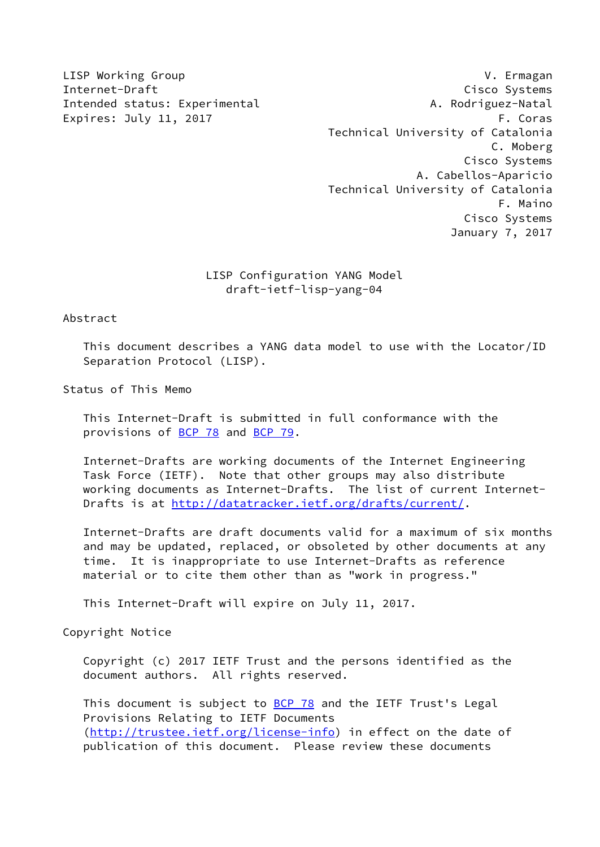LISP Working Group V. Ermagan Internet-Draft Cisco Systems Intended status: Experimental A. Rodriguez-Natal Expires: July 11, 2017 **F. Coras**  Technical University of Catalonia C. Moberg Cisco Systems A. Cabellos-Aparicio Technical University of Catalonia F. Maino Cisco Systems January 7, 2017

## LISP Configuration YANG Model draft-ietf-lisp-yang-04

Abstract

 This document describes a YANG data model to use with the Locator/ID Separation Protocol (LISP).

Status of This Memo

 This Internet-Draft is submitted in full conformance with the provisions of [BCP 78](https://datatracker.ietf.org/doc/pdf/bcp78) and [BCP 79](https://datatracker.ietf.org/doc/pdf/bcp79).

 Internet-Drafts are working documents of the Internet Engineering Task Force (IETF). Note that other groups may also distribute working documents as Internet-Drafts. The list of current Internet- Drafts is at<http://datatracker.ietf.org/drafts/current/>.

 Internet-Drafts are draft documents valid for a maximum of six months and may be updated, replaced, or obsoleted by other documents at any time. It is inappropriate to use Internet-Drafts as reference material or to cite them other than as "work in progress."

This Internet-Draft will expire on July 11, 2017.

Copyright Notice

 Copyright (c) 2017 IETF Trust and the persons identified as the document authors. All rights reserved.

This document is subject to **[BCP 78](https://datatracker.ietf.org/doc/pdf/bcp78)** and the IETF Trust's Legal Provisions Relating to IETF Documents [\(http://trustee.ietf.org/license-info](http://trustee.ietf.org/license-info)) in effect on the date of publication of this document. Please review these documents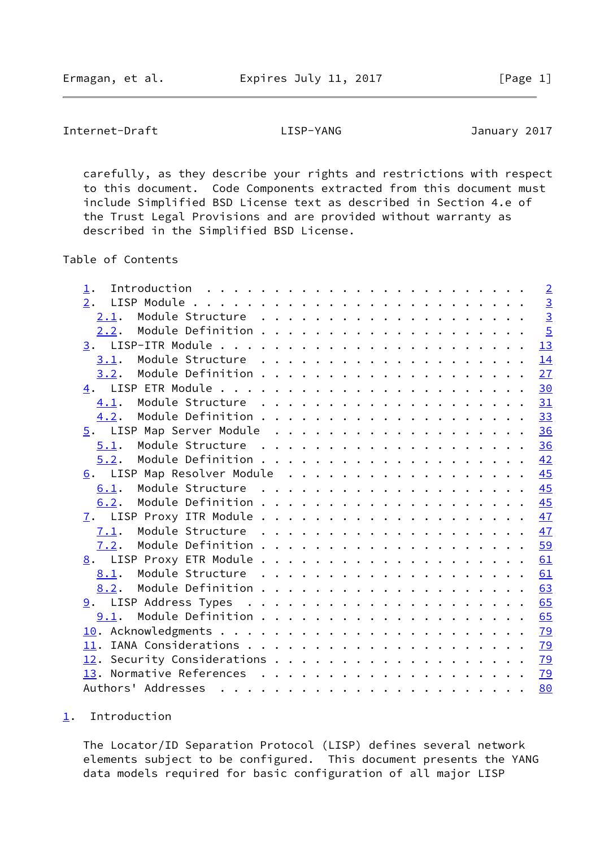<span id="page-1-1"></span>Internet-Draft LISP-YANG January 2017

 carefully, as they describe your rights and restrictions with respect to this document. Code Components extracted from this document must include Simplified BSD License text as described in Section 4.e of the Trust Legal Provisions and are provided without warranty as described in the Simplified BSD License.

Table of Contents

| 1.                          |  |  |  |  |  |  |  | $\overline{2}$ |
|-----------------------------|--|--|--|--|--|--|--|----------------|
| 2.                          |  |  |  |  |  |  |  | $\overline{3}$ |
| 2.1.                        |  |  |  |  |  |  |  | $\overline{3}$ |
|                             |  |  |  |  |  |  |  | $\overline{5}$ |
|                             |  |  |  |  |  |  |  | 13             |
|                             |  |  |  |  |  |  |  | 14             |
| 3.2.                        |  |  |  |  |  |  |  | 27             |
|                             |  |  |  |  |  |  |  | 30             |
|                             |  |  |  |  |  |  |  | 31             |
| 4.2.                        |  |  |  |  |  |  |  | 33             |
|                             |  |  |  |  |  |  |  | 36             |
| 5.1.                        |  |  |  |  |  |  |  |                |
| 5.2.                        |  |  |  |  |  |  |  | 42             |
| 6. LISP Map Resolver Module |  |  |  |  |  |  |  | 45             |
| 6.1.                        |  |  |  |  |  |  |  | 45             |
| 6.2.                        |  |  |  |  |  |  |  | 45             |
|                             |  |  |  |  |  |  |  |                |
| 7.1.                        |  |  |  |  |  |  |  | 47             |
|                             |  |  |  |  |  |  |  | 59             |
|                             |  |  |  |  |  |  |  | 61             |
|                             |  |  |  |  |  |  |  | 61             |
| 8.2.                        |  |  |  |  |  |  |  | 63             |
|                             |  |  |  |  |  |  |  | 65             |
|                             |  |  |  |  |  |  |  | 65             |
|                             |  |  |  |  |  |  |  | 79             |
|                             |  |  |  |  |  |  |  | <u>79</u>      |
|                             |  |  |  |  |  |  |  | <u>79</u>      |
|                             |  |  |  |  |  |  |  | <u>79</u>      |
|                             |  |  |  |  |  |  |  | 80             |
|                             |  |  |  |  |  |  |  |                |

## <span id="page-1-0"></span>[1](#page-1-0). Introduction

 The Locator/ID Separation Protocol (LISP) defines several network elements subject to be configured. This document presents the YANG data models required for basic configuration of all major LISP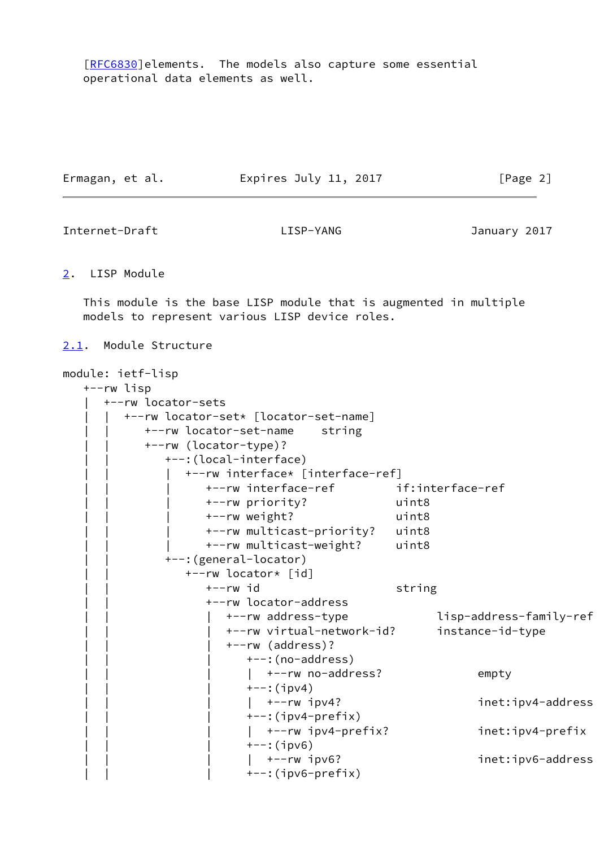[\[RFC6830](https://datatracker.ietf.org/doc/pdf/rfc6830)]elements. The models also capture some essential operational data elements as well.

| Ermagan, et al. | Expires July 11, 2017 | [Page 2] |
|-----------------|-----------------------|----------|
|                 |                       |          |

<span id="page-2-1"></span>Internet-Draft LISP-YANG January 2017

<span id="page-2-0"></span>[2](#page-2-0). LISP Module

 This module is the base LISP module that is augmented in multiple models to represent various LISP device roles.

<span id="page-2-2"></span>[2.1](#page-2-2). Module Structure

```
module: ietf-lisp
   +--rw lisp
      | +--rw locator-sets
         | | +--rw locator-set* [locator-set-name]
            | | +--rw locator-set-name string
            | | +--rw (locator-type)?
               | | +--:(local-interface)
                  | | | +--rw interface* [interface-ref]
                     | | | +--rw interface-ref if:interface-ref
                     | | | +--rw priority? uint8
                     | | | +--rw weight? uint8
                     | | | +--rw multicast-priority? uint8
                     | | | +--rw multicast-weight? uint8
               | | +--:(general-locator)
                  | | +--rw locator* [id]
                    +--rw id string
                     | | +--rw locator-address
                       | | | +--rw address-type lisp-address-family-ref
                        | | | +--rw virtual-network-id? instance-id-type
                        | | | +--rw (address)?
                          +--: (no-address)
                          | +--rw no-address? empty
                          +--: (ipv4)
                          | +-rw ipv4? inet:ipv4-address
                          +-: (ipv4-prefix)
                          | +-rw ipv4-prefix? inet:ipv4-prefix
                          +--:(ipv6)
                          | +-rw ipv6? inet:ipv6-address
                          +-: (ipv6-prefix)
```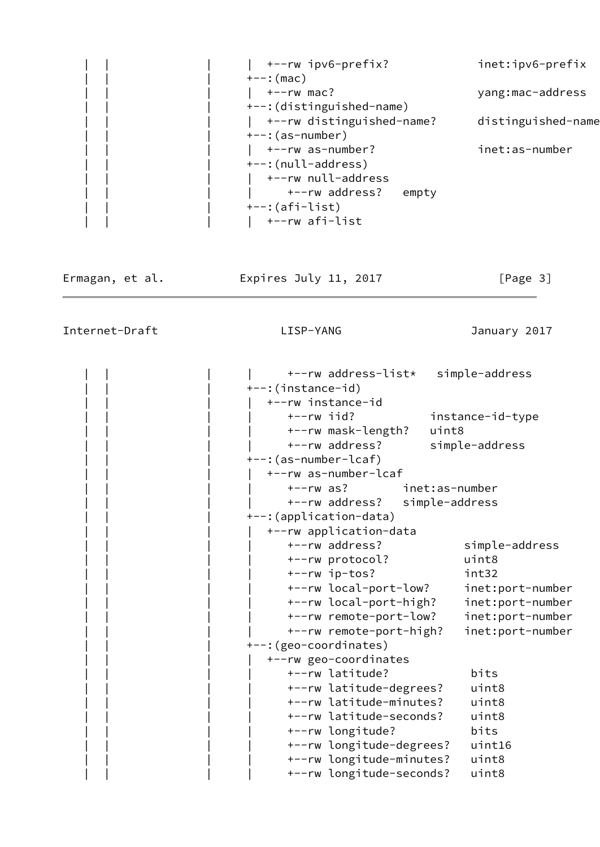|  | +--rw ipv6-prefix?        | inet:ipv6-prefix   |
|--|---------------------------|--------------------|
|  | $+--:$ (mac)              |                    |
|  | $+--rw$ mac?              | yang:mac-address   |
|  | +--: (distinguished-name) |                    |
|  | +--rw distinguished-name? | distinguished-name |
|  | $+--$ : (as-number)       |                    |
|  | +--rw as-number?          | inet:as-number     |
|  | +--:(null-address)        |                    |
|  | +--rw null-address        |                    |
|  | +--rw address?<br>empty   |                    |
|  | $+-$ : (afi-list)         |                    |
|  | +--rw afi-list            |                    |

Ermagan, et al. 
Expires July 11, 2017  $[Page 3]$ 

Internet-Draft LISP-YANG January 2017

 | | | | +--rw address-list\* simple-address +--:(instance-id) | | | | +--rw instance-id | | | | +--rw iid? instance-id-type | | | | +--rw mask-length? uint8 | | | | +--rw address? simple-address | | | +--:(as-number-lcaf) | | | | +--rw as-number-lcaf | | | | +--rw as? inet:as-number | | | | +--rw address? simple-address +--: (application-data) | | | | +--rw application-data | | | | +--rw address? simple-address | | | | +--rw protocol? uint8 | | | | +--rw ip-tos? int32 | | | | +--rw local-port-low? inet:port-number | | | | +--rw local-port-high? inet:port-number | | | | +--rw remote-port-low? inet:port-number | | | | +--rw remote-port-high? inet:port-number +--: (geo-coordinates) | | | | +--rw geo-coordinates | | | | +--rw latitude? bits | | | | +--rw latitude-degrees? uint8 | | | | +--rw latitude-minutes? uint8 | | | | +--rw latitude-seconds? uint8 | | | | +--rw longitude? bits | | | | +--rw longitude-degrees? uint16 | | | | +--rw longitude-minutes? uint8 | | | | +--rw longitude-seconds? uint8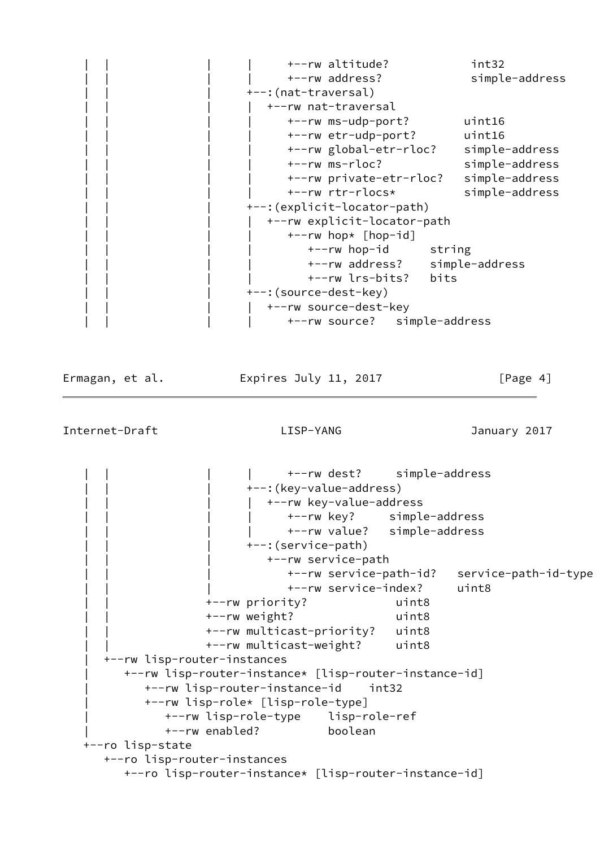|  | +--rw altitude?               | int32          |
|--|-------------------------------|----------------|
|  | +--rw address?                | simple-address |
|  | +--: (nat-traversal)          |                |
|  | +--rw nat-traversal           |                |
|  | +--rw ms-udp-port?            | uint16         |
|  | +--rw etr-udp-port?           | uint16         |
|  | +--rw global-etr-rloc?        | simple-address |
|  | +--rw ms-rloc?                | simple-address |
|  | +--rw private-etr-rloc?       | simple-address |
|  | +--rw rtr-rlocs*              | simple-address |
|  | +--: (explicit-locator-path)  |                |
|  | +--rw explicit-locator-path   |                |
|  | +--rw hop* [hop-id]           |                |
|  | +--rw hop-id string           |                |
|  | +--rw address? simple-address |                |
|  | +--rw lrs-bits?<br>bits       |                |
|  | +--: (source-dest-key)        |                |
|  | +--rw source-dest-key         |                |
|  | +--rw source? simple-address  |                |

Ermagan, et al. **Expires July 11, 2017** [Page 4]

<span id="page-4-0"></span>Internet-Draft LISP-YANG January 2017

 | | | | +--rw dest? simple-address +--: (key-value-address) +--rw key-value-address | | | | +--rw key? simple-address | | | | +--rw value? simple-address | | | +--:(service-path) | | | +--rw service-path | | | +--rw service-path-id? service-path-id-type | | | +--rw service-index? uint8 | | +--rw priority? uint8 | | +--rw weight? uint8 | | +--rw multicast-priority? uint8 | | +--rw multicast-weight? uint8 | +--rw lisp-router-instances | +--rw lisp-router-instance\* [lisp-router-instance-id] | +--rw lisp-router-instance-id int32 | +--rw lisp-role\* [lisp-role-type] | +--rw lisp-role-type lisp-role-ref | +--rw enabled? boolean +--ro lisp-state +--ro lisp-router-instances +--ro lisp-router-instance\* [lisp-router-instance-id]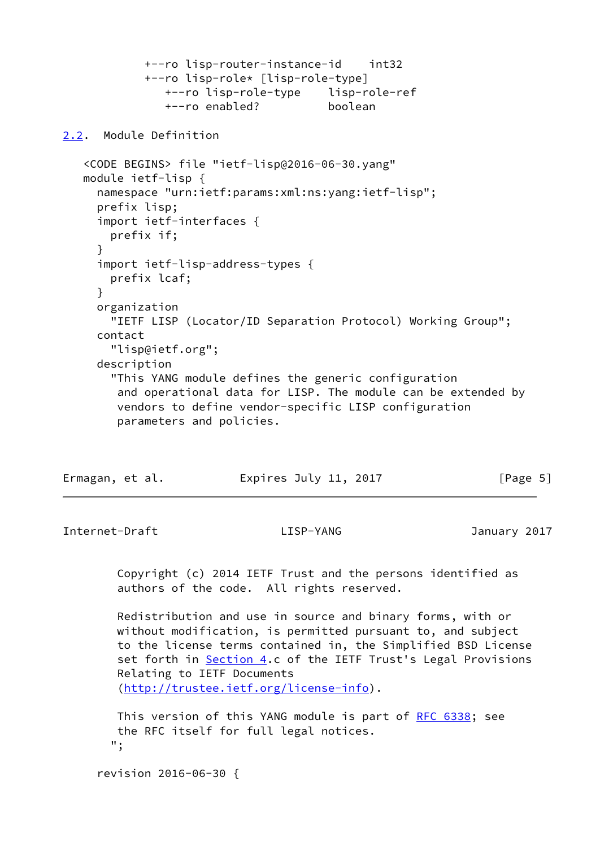```
 +--ro lisp-router-instance-id int32
 +--ro lisp-role* [lisp-role-type]
   +--ro lisp-role-type lisp-role-ref
   +--ro enabled? boolean
```
<span id="page-5-0"></span>[2.2](#page-5-0). Module Definition

```
 <CODE BEGINS> file "ietf-lisp@2016-06-30.yang"
 module ietf-lisp {
   namespace "urn:ietf:params:xml:ns:yang:ietf-lisp";
   prefix lisp;
   import ietf-interfaces {
     prefix if;
   }
   import ietf-lisp-address-types {
     prefix lcaf;
   }
   organization
     "IETF LISP (Locator/ID Separation Protocol) Working Group";
   contact
     "lisp@ietf.org";
   description
     "This YANG module defines the generic configuration
      and operational data for LISP. The module can be extended by
      vendors to define vendor-specific LISP configuration
      parameters and policies.
```

| Ermagan, et al. | Expires July 11, 2017 | [Page 5] |
|-----------------|-----------------------|----------|
|-----------------|-----------------------|----------|

Internet-Draft LISP-YANG January 2017

 Copyright (c) 2014 IETF Trust and the persons identified as authors of the code. All rights reserved.

 Redistribution and use in source and binary forms, with or without modification, is permitted pursuant to, and subject to the license terms contained in, the Simplified BSD License set forth in [Section 4.](#page-33-0)c of the IETF Trust's Legal Provisions Relating to IETF Documents [\(http://trustee.ietf.org/license-info](http://trustee.ietf.org/license-info)).

This version of this YANG module is part of [RFC 6338](https://datatracker.ietf.org/doc/pdf/rfc6338); see the RFC itself for full legal notices. ";

revision 2016-06-30 {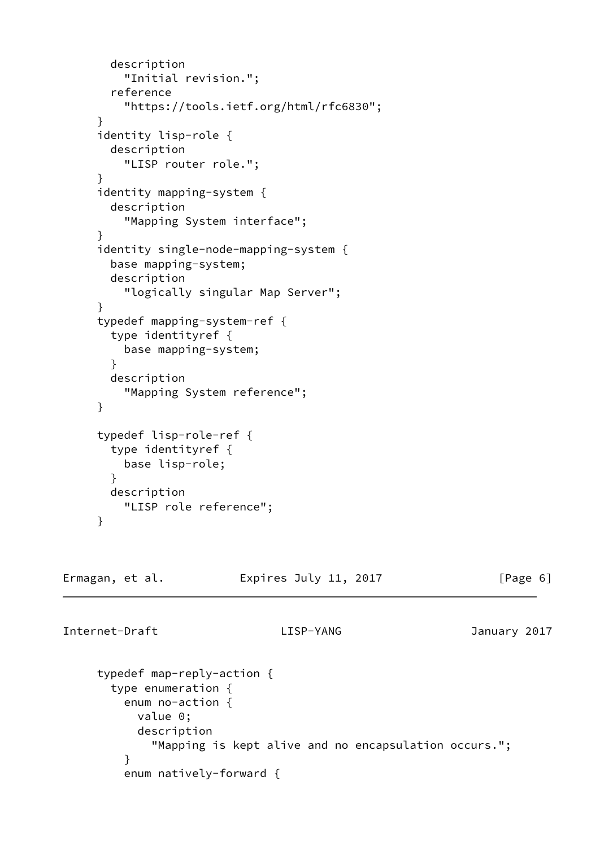```
 description
          "Initial revision.";
        reference
          "https://tools.ietf.org/html/rfc6830";
      }
      identity lisp-role {
        description
          "LISP router role.";
      }
      identity mapping-system {
        description
          "Mapping System interface";
      }
      identity single-node-mapping-system {
        base mapping-system;
        description
          "logically singular Map Server";
      }
      typedef mapping-system-ref {
        type identityref {
          base mapping-system;
        }
        description
          "Mapping System reference";
      }
      typedef lisp-role-ref {
        type identityref {
         base lisp-role;
        }
        description
          "LISP role reference";
      }
Ermagan, et al. 
Expires July 11, 2017 [Page 6]
Internet-Draft LISP-YANG January 2017
      typedef map-reply-action {
        type enumeration {
          enum no-action {
           value 0;
```

```
 description
             "Mapping is kept alive and no encapsulation occurs.";
 }
         enum natively-forward {
```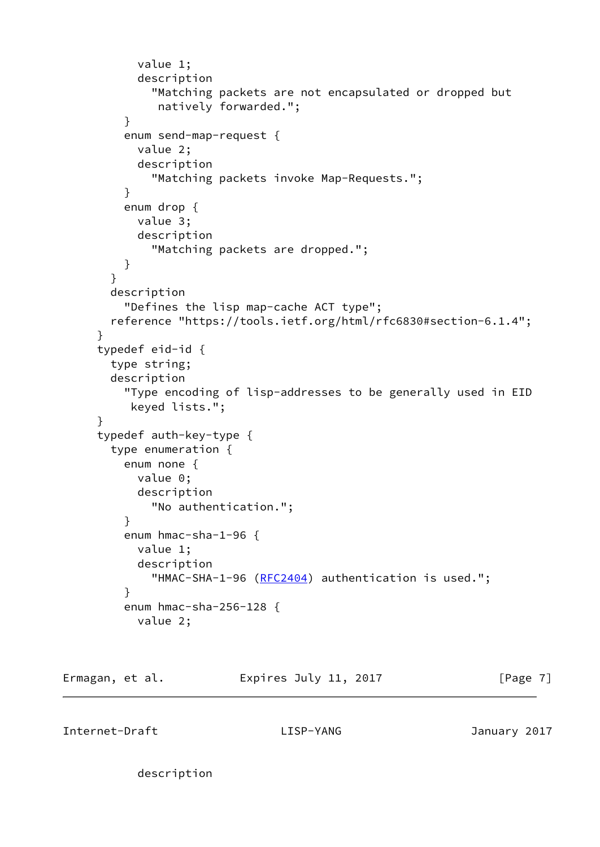```
 value 1;
            description
              "Matching packets are not encapsulated or dropped but
               natively forwarded.";
 }
          enum send-map-request {
            value 2;
            description
              "Matching packets invoke Map-Requests.";
          }
          enum drop {
            value 3;
            description
              "Matching packets are dropped.";
          }
        }
        description
          "Defines the lisp map-cache ACT type";
        reference "https://tools.ietf.org/html/rfc6830#section-6.1.4";
      }
      typedef eid-id {
        type string;
        description
          "Type encoding of lisp-addresses to be generally used in EID
          keyed lists.";
      }
      typedef auth-key-type {
        type enumeration {
          enum none {
            value 0;
            description
              "No authentication.";
          }
          enum hmac-sha-1-96 {
           value 1;
            description
             (RFC2404) authentication is used.";
          }
          enum hmac-sha-256-128 {
            value 2;
```
Ermagan, et al. 
Expires July 11, 2017

Exmagan, et al.

Internet-Draft LISP-YANG January 2017

description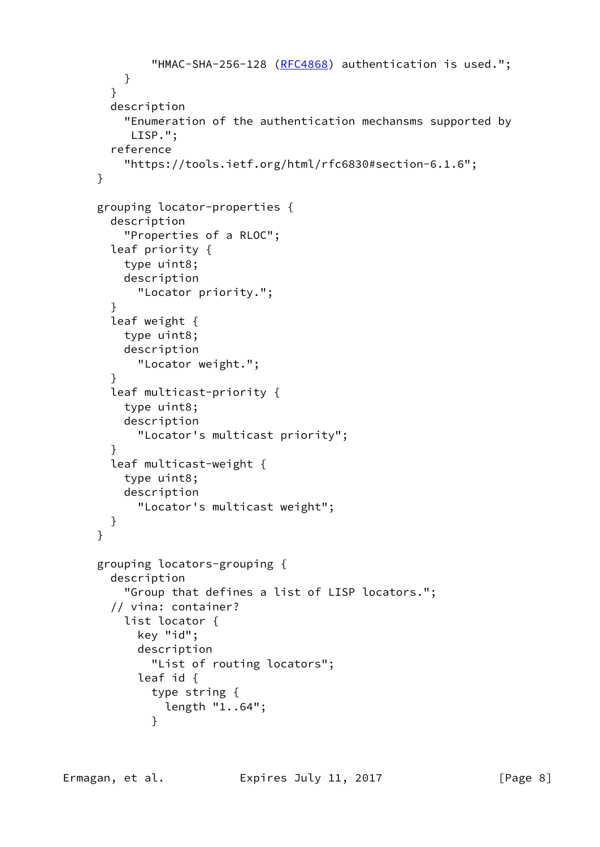```
(RFC4868) authentication is used.";
          }
        }
        description
          "Enumeration of the authentication mechansms supported by
           LISP.";
        reference
          "https://tools.ietf.org/html/rfc6830#section-6.1.6";
      }
      grouping locator-properties {
        description
          "Properties of a RLOC";
        leaf priority {
          type uint8;
          description
            "Locator priority.";
        }
        leaf weight {
          type uint8;
          description
            "Locator weight.";
        }
        leaf multicast-priority {
          type uint8;
          description
            "Locator's multicast priority";
        }
        leaf multicast-weight {
          type uint8;
          description
            "Locator's multicast weight";
        }
      }
      grouping locators-grouping {
        description
          "Group that defines a list of LISP locators.";
        // vina: container?
          list locator {
            key "id";
            description
              "List of routing locators";
            leaf id {
              type string {
                length "1..64";
 }
```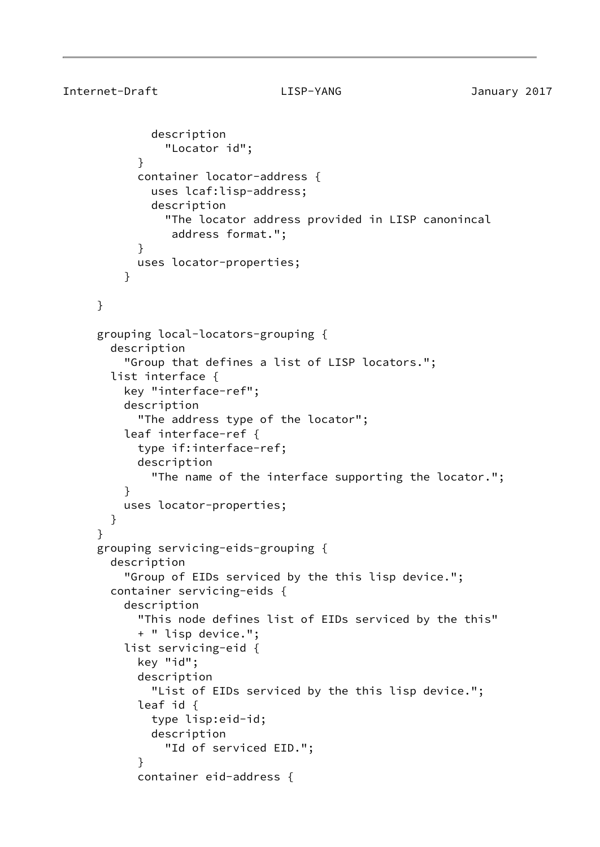```
 description
                "Locator id";
 }
            container locator-address {
             uses lcaf:lisp-address;
              description
                "The locator address provided in LISP canonincal
                 address format.";
 }
            uses locator-properties;
 }
     }
     grouping local-locators-grouping {
       description
          "Group that defines a list of LISP locators.";
       list interface {
         key "interface-ref";
         description
            "The address type of the locator";
         leaf interface-ref {
            type if:interface-ref;
            description
              "The name of the interface supporting the locator.";
 }
         uses locator-properties;
       }
     }
     grouping servicing-eids-grouping {
       description
          "Group of EIDs serviced by the this lisp device.";
       container servicing-eids {
          description
            "This node defines list of EIDs serviced by the this"
            + " lisp device.";
          list servicing-eid {
            key "id";
            description
              "List of EIDs serviced by the this lisp device.";
            leaf id {
              type lisp:eid-id;
             description
                "Id of serviced EID.";
 }
            container eid-address {
```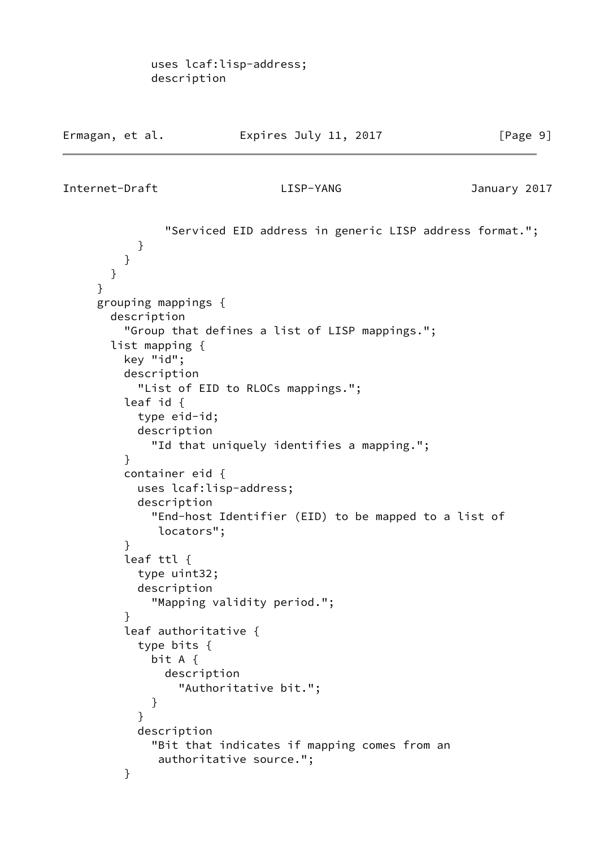```
Internet-Draft LISP-YANG January 2017
```
 "Serviced EID address in generic LISP address format."; } } } } grouping mappings { description "Group that defines a list of LISP mappings."; list mapping { key "id"; description "List of EID to RLOCs mappings."; leaf id { type eid-id; description "Id that uniquely identifies a mapping."; } container eid { uses lcaf:lisp-address; description "End-host Identifier (EID) to be mapped to a list of locators"; } leaf ttl { type uint32; description "Mapping validity period."; } leaf authoritative { type bits { bit A { description "Authoritative bit."; } } description "Bit that indicates if mapping comes from an authoritative source."; }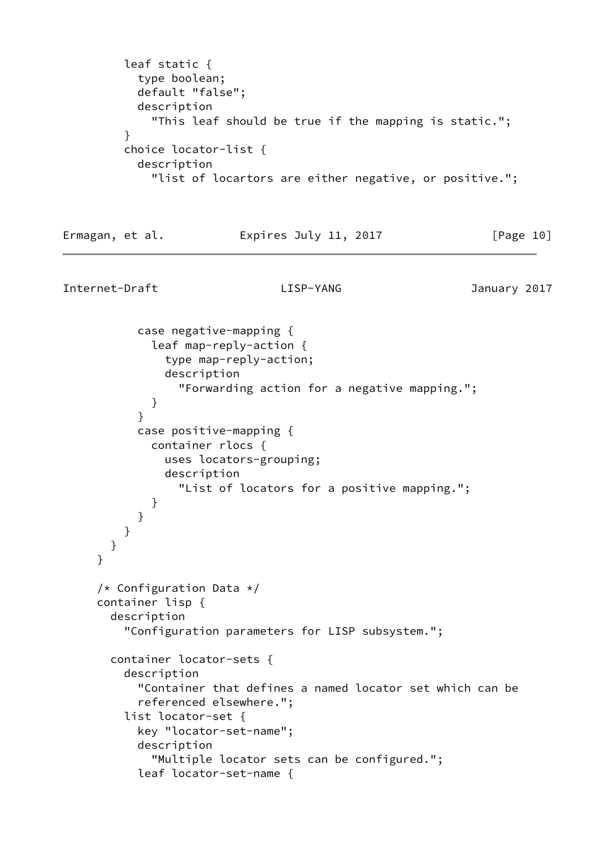leaf static { type boolean; default "false"; description "This leaf should be true if the mapping is static."; } choice locator-list { description "list of locartors are either negative, or positive.";

Ermagan, et al. 
Expires July 11, 2017  $[Page 10]$ 

Internet-Draft LISP-YANG January 2017

 case negative-mapping { leaf map-reply-action { type map-reply-action; description "Forwarding action for a negative mapping."; } } case positive-mapping { container rlocs { uses locators-grouping; description "List of locators for a positive mapping."; } } } } } /\* Configuration Data \*/ container lisp { description "Configuration parameters for LISP subsystem."; container locator-sets { description "Container that defines a named locator set which can be referenced elsewhere."; list locator-set { key "locator-set-name"; description "Multiple locator sets can be configured."; leaf locator-set-name {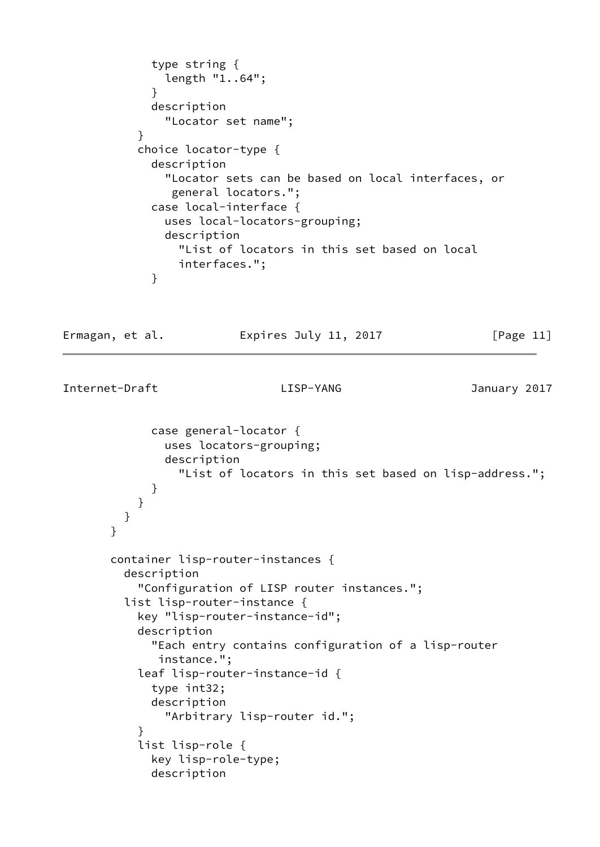```
 type string {
               length "1..64";
 }
             description
               "Locator set name";
 }
           choice locator-type {
             description
               "Locator sets can be based on local interfaces, or
                general locators.";
             case local-interface {
               uses local-locators-grouping;
               description
                 "List of locators in this set based on local
                 interfaces.";
 }
```
Ermagan, et al. **Expires July 11, 2017** [Page 11]

```
Internet-Draft LISP-YANG January 2017
```

```
 case general-locator {
               uses locators-grouping;
               description
                  "List of locators in this set based on lisp-address.";
 }
 }
         }
       }
       container lisp-router-instances {
         description
           "Configuration of LISP router instances.";
         list lisp-router-instance {
           key "lisp-router-instance-id";
           description
             "Each entry contains configuration of a lisp-router
              instance.";
           leaf lisp-router-instance-id {
             type int32;
             description
                "Arbitrary lisp-router id.";
 }
           list lisp-role {
             key lisp-role-type;
             description
```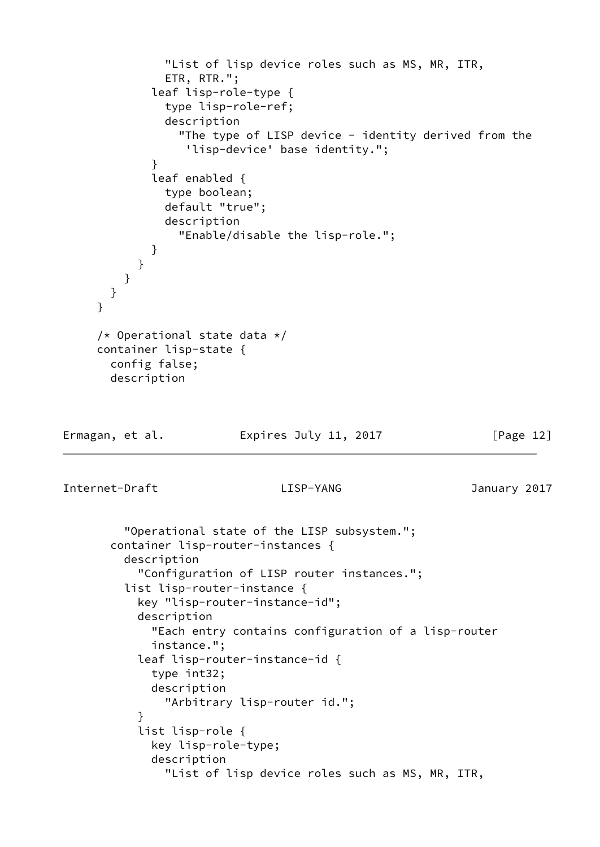```
 "List of lisp device roles such as MS, MR, ITR,
               ETR, RTR.";
              leaf lisp-role-type {
               type lisp-role-ref;
               description
                 "The type of LISP device - identity derived from the
                   'lisp-device' base identity.";
 }
             leaf enabled {
               type boolean;
               default "true";
               description
                 "Enable/disable the lisp-role.";
 }
           }
         }
       }
     }
     /* Operational state data */ container lisp-state {
       config false;
       description
Ermagan, et al.               Expires July 11, 2017               [Page 12]
Internet-Draft LISP-YANG January 2017
          "Operational state of the LISP subsystem.";
       container lisp-router-instances {
         description
            "Configuration of LISP router instances.";
          list lisp-router-instance {
           key "lisp-router-instance-id";
           description
              "Each entry contains configuration of a lisp-router
             instance.";
            leaf lisp-router-instance-id {
             type int32;
             description
                "Arbitrary lisp-router id.";
 }
            list lisp-role {
             key lisp-role-type;
             description
                "List of lisp device roles such as MS, MR, ITR,
```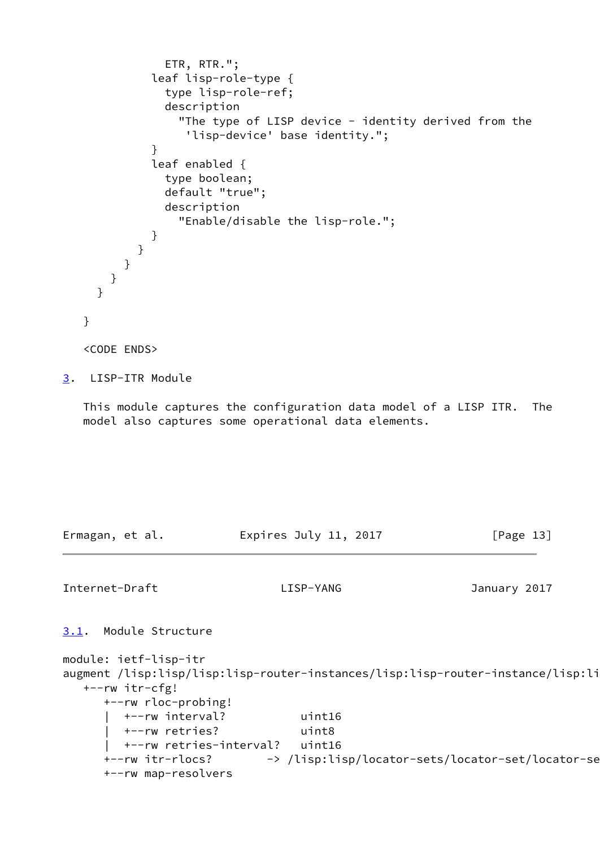```
 ETR, RTR.";
              leaf lisp-role-type {
                type lisp-role-ref;
                description
                  "The type of LISP device - identity derived from the
                   'lisp-device' base identity.";
 }
              leaf enabled {
                type boolean;
                default "true";
                description
                  "Enable/disable the lisp-role.";
 }
           }
          }
       }
     }
   }
   <CODE ENDS>
```

```
3. LISP-ITR Module
```
 This module captures the configuration data model of a LISP ITR. The model also captures some operational data elements.

Ermagan, et al. Expires July 11, 2017 [Page 13]

```
Internet-Draft LISP-YANG January 2017
3.1. Module Structure
module: ietf-lisp-itr
augment /lisp:lisp/lisp:lisp-router-instances/lisp:lisp-router-instance/lisp:li
   +--rw itr-cfg!
      +--rw rloc-probing!
        | +--rw interval? uint16
        | +--rw retries? uint8
        | +--rw retries-interval? uint16
     +--rw itr-rlocs? -> /lisp:lisp/locator-sets/locator-set/locator-se
      +--rw map-resolvers
```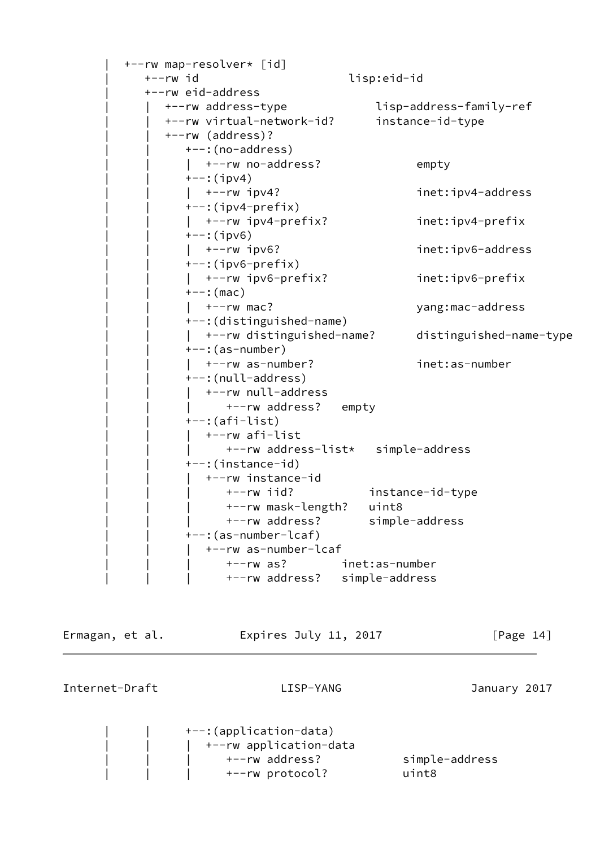```
 | +--rw map-resolver* [id]
   | +--rw id lisp:eid-id
   | +--rw eid-address
      | | +--rw address-type lisp-address-family-ref
      | | +--rw virtual-network-id? instance-id-type
      | | +--rw (address)?
        +-: (no-address)
        | +--rw no-address? empty
        +--:(ipv4)
        | +-rw ipv4? inet:ipv4-address
         | | +--:(ipv4-prefix)
         | | | +--rw ipv4-prefix? inet:ipv4-prefix
        +--:(ipv6)
        | +--rw ipv6? inet:ipv6-address
         | | +--:(ipv6-prefix)
        | +-rw ipv6-prefix? inet:ipv6-prefix
        +--: (mac)
        | +--rw mac? yang:mac-address
         | | +--:(distinguished-name)
         | | | +--rw distinguished-name? distinguished-name-type
        +--: (as-number)
         | | | +--rw as-number? inet:as-number
        +--:(null-address)
        | +--rw null-address
             +--rw address? empty
        +--: (afi-list) | | | +--rw afi-list
              | | | +--rw address-list* simple-address
         | | +--:(instance-id)
           | | | +--rw instance-id
              | | | +--rw iid? instance-id-type
              | | | +--rw mask-length? uint8
              | | | +--rw address? simple-address
         | | +--:(as-number-lcaf)
           | | | +--rw as-number-lcaf
              | | | +--rw as? inet:as-number
              | | | +--rw address? simple-address
```
Ermagan, et al. 
Expires July 11, 2017  $[Page 14]$ 

Internet-Draft LISP-YANG January 2017

 | | +--:(application-data) | | | +--rw application-data | | | +--rw address? simple-address | | | +--rw protocol? uint8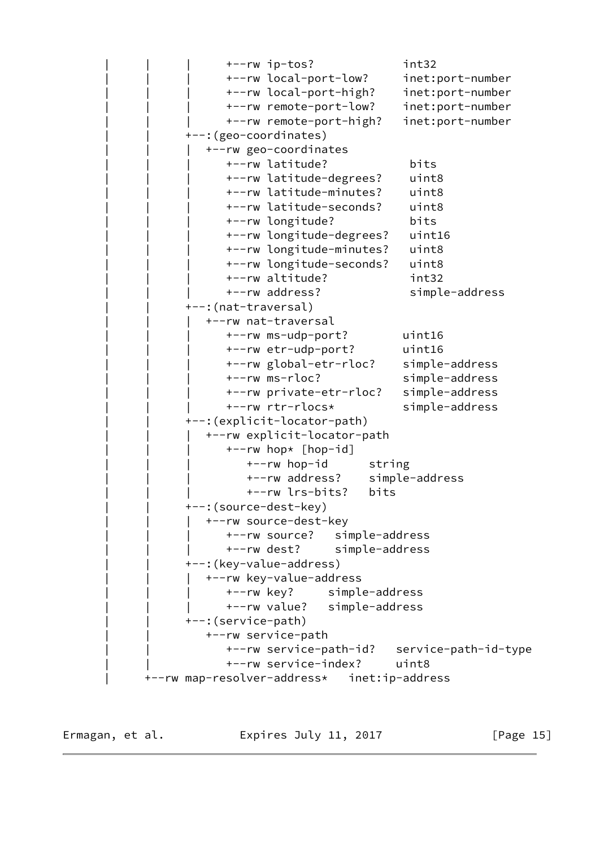| | | +--rw ip-tos? int32 | | | +--rw local-port-low? inet:port-number | | | +--rw local-port-high? inet:port-number | | | +--rw remote-port-low? inet:port-number | | | +--rw remote-port-high? inet:port-number +--: (geo-coordinates) | | | +--rw geo-coordinates | | | +--rw latitude? bits | | | +--rw latitude-degrees? uint8 | | | +--rw latitude-minutes? uint8 | | | +--rw latitude-seconds? uint8 | | | +--rw longitude? bits | | | +--rw longitude-degrees? uint16 | | | +--rw longitude-minutes? uint8 | | | +--rw longitude-seconds? uint8 | | | +--rw altitude? int32 +--rw address? simple-address +--:(nat-traversal) | | | +--rw nat-traversal | | | +--rw ms-udp-port? uint16 | | | +--rw etr-udp-port? uint16 | | | +--rw global-etr-rloc? simple-address | | | +--rw ms-rloc? simple-address | | | +--rw private-etr-rloc? simple-address | | | +--rw rtr-rlocs\* simple-address | | +--:(explicit-locator-path) | | | +--rw explicit-locator-path | | | +--rw hop\* [hop-id] +--rw hop-id string | | | +--rw address? simple-address | | | +--rw lrs-bits? bits +--: (source-dest-key) +--rw source-dest-key | | | +--rw source? simple-address | | | +--rw dest? simple-address +--: (key-value-address) | | | +--rw key-value-address | | | +--rw key? simple-address | | | +--rw value? simple-address | | +--:(service-path) | | +--rw service-path | | +--rw service-path-id? service-path-id-type | | +--rw service-index? uint8 | +--rw map-resolver-address\* inet:ip-address

Ermagan, et al. 
Expires July 11, 2017  $[Page 15]$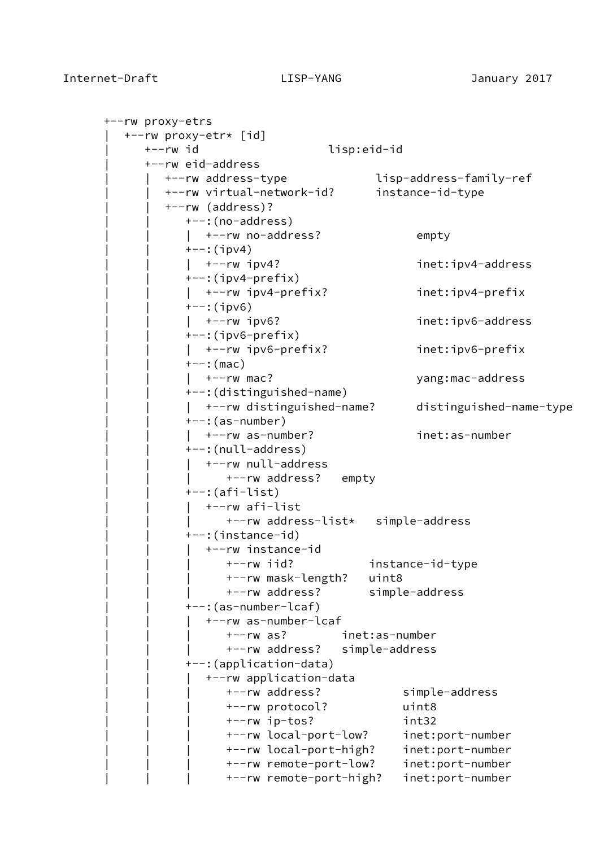```
 +--rw proxy-etrs
   | +--rw proxy-etr* [id]
      | +--rw id lisp:eid-id
      | +--rw eid-address
         | | +--rw address-type lisp-address-family-ref
         | | +--rw virtual-network-id? instance-id-type
         | | +--rw (address)?
           ---:(no-address)| +--rw no-address? empty
           +--:(ipv4)
           | +--rw ipv4? inet:ipv4-address
           +--: (ipv4-prefix)
           | +-rw ipv4-prefix? inet:ipv4-prefix
           +--:(ipv6)
              | | | +--rw ipv6? inet:ipv6-address
           +-:(ipv6-prefix)
            | | | +--rw ipv6-prefix? inet:ipv6-prefix
           +--: (mac)
               | | | +--rw mac? yang:mac-address
            | | +--:(distinguished-name)
            | | | +--rw distinguished-name? distinguished-name-type
           +--: (as-number)
               | | | +--rw as-number? inet:as-number
           +--: (null-address)
              | | | +--rw null-address
                 +--rw address? empty
           +--: (afi-list) | | | +--rw afi-list
                  | | | +--rw address-list* simple-address
            | | +--:(instance-id)
               | | | +--rw instance-id
                  | | | +--rw iid? instance-id-type
                  | | | +--rw mask-length? uint8
                  | | | +--rw address? simple-address
            | | +--:(as-number-lcaf)
               | | | +--rw as-number-lcaf
                  | | | +--rw as? inet:as-number
                  | | | +--rw address? simple-address
            | | +--:(application-data)
               | | | +--rw application-data
                  | | | +--rw address? simple-address
                  | | | +--rw protocol? uint8
                  | | | +--rw ip-tos? int32
                  | | | +--rw local-port-low? inet:port-number
                  | | | +--rw local-port-high? inet:port-number
                  | | | +--rw remote-port-low? inet:port-number
                  | | | +--rw remote-port-high? inet:port-number
```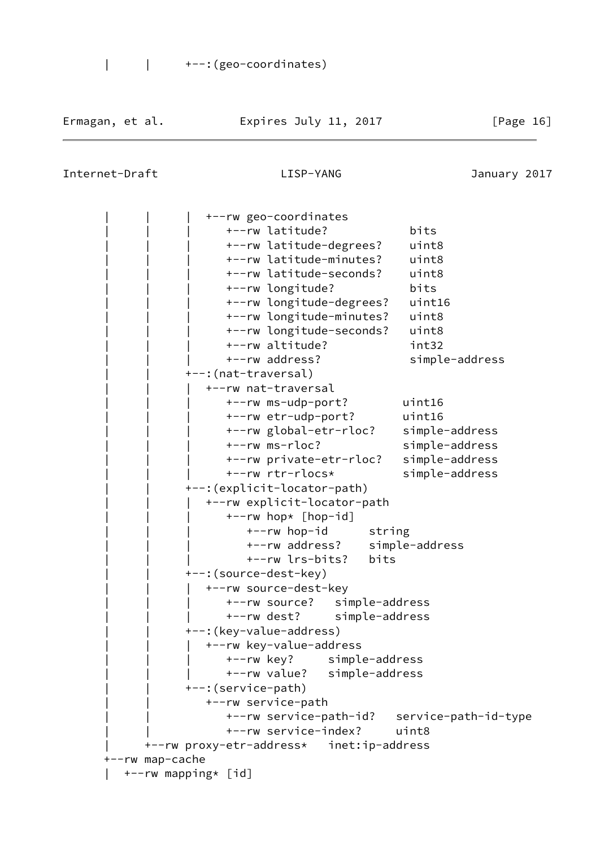| | +--:(geo-coordinates)

## Internet-Draft LISP-YANG January 2017

 | | | +--rw geo-coordinates | | | +--rw latitude? bits | | | +--rw latitude-degrees? uint8 | | | +--rw latitude-minutes? uint8 | | | +--rw latitude-seconds? uint8 | | | +--rw longitude? bits | | | +--rw longitude-degrees? uint16 | | | +--rw longitude-minutes? uint8 | | | +--rw longitude-seconds? uint8 | | | +--rw altitude? int32 | | | +--rw address? simple-address +--: (nat-traversal) | | | +--rw nat-traversal | | | +--rw ms-udp-port? uint16 | | | +--rw etr-udp-port? uint16 | | | +--rw global-etr-rloc? simple-address | | | +--rw ms-rloc? simple-address | | | +--rw private-etr-rloc? simple-address | | | +--rw rtr-rlocs\* simple-address | | +--:(explicit-locator-path) | | | +--rw explicit-locator-path  $+--rw$  hop\*  $[hop-id]$ +--rw hop-id string | | | +--rw address? simple-address | | | +--rw lrs-bits? bits +--: (source-dest-key) | | | +--rw source-dest-key | | | +--rw source? simple-address | | | +--rw dest? simple-address +--: (key-value-address) +--rw key-value-address | | | +--rw key? simple-address | | | +--rw value? simple-address | | +--:(service-path) | | +--rw service-path | | +--rw service-path-id? service-path-id-type | | +--rw service-index? uint8 | +--rw proxy-etr-address\* inet:ip-address +--rw map-cache | +--rw mapping\* [id]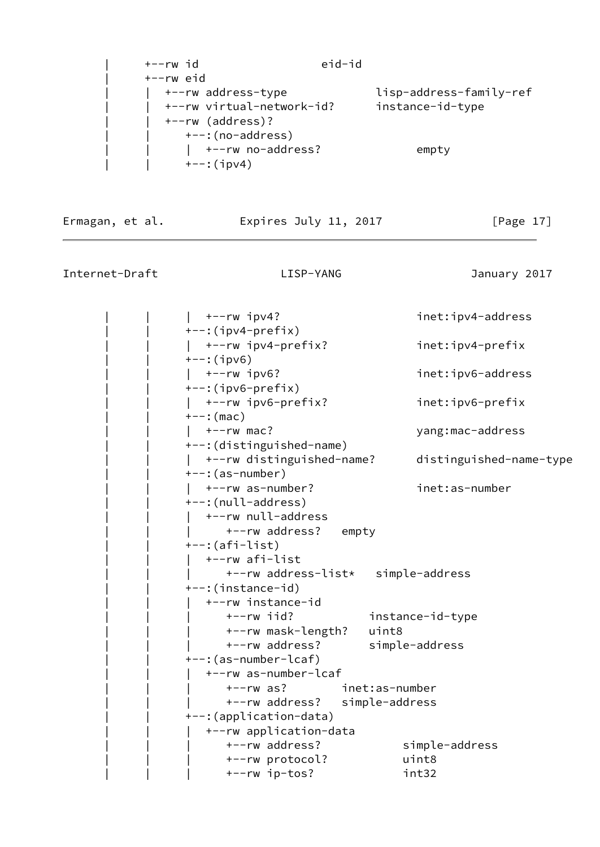| +--rw id                  | eid-id |                         |
|---------------------------|--------|-------------------------|
| $+--rw$ eid               |        |                         |
| +--rw address-type        |        | lisp-address-family-ref |
| +--rw virtual-network-id? |        | instance-id-type        |
| +--rw (address)?          |        |                         |
| +--:(no-address)          |        |                         |
| +--rw no-address?         |        | empty                   |
| $+--$ : (ipv4)            |        |                         |

Ermagan, et al. Expires July 11, 2017 [Page 17]

Internet-Draft LISP-YANG January 2017

|  $+--rw$  ipv4? inet:ipv4-address  $+-:$ (ipv4-prefix) | | | +--rw ipv4-prefix? inet:ipv4-prefix  $+--:$ (ipv6) |  $+-rw$  ipv6? inet:ipv6-address  $+-$ : (ipv6-prefix) | | | +--rw ipv6-prefix? inet:ipv6-prefix  $+--:$  (mac) | | | +--rw mac? yang:mac-address | | +--:(distinguished-name) | | | +--rw distinguished-name? distinguished-name-type  $---: (as-number)$ |  $+-rw$  as-number? inet:as-number | | +--:(null-address) | +--rw null-address +--rw address? empty  $+-$ : (afi-list) | | | +--rw afi-list | | | +--rw address-list\* simple-address | | +--:(instance-id) | | | +--rw instance-id | | | +--rw iid? instance-id-type | | | +--rw mask-length? uint8 | | | +--rw address? simple-address | | +--:(as-number-lcaf) | | | +--rw as-number-lcaf | | | +--rw as? inet:as-number | | | +--rw address? simple-address | | +--:(application-data) | | | +--rw application-data | | | +--rw address? simple-address | | | +--rw protocol? uint8 | | | +--rw ip-tos? int32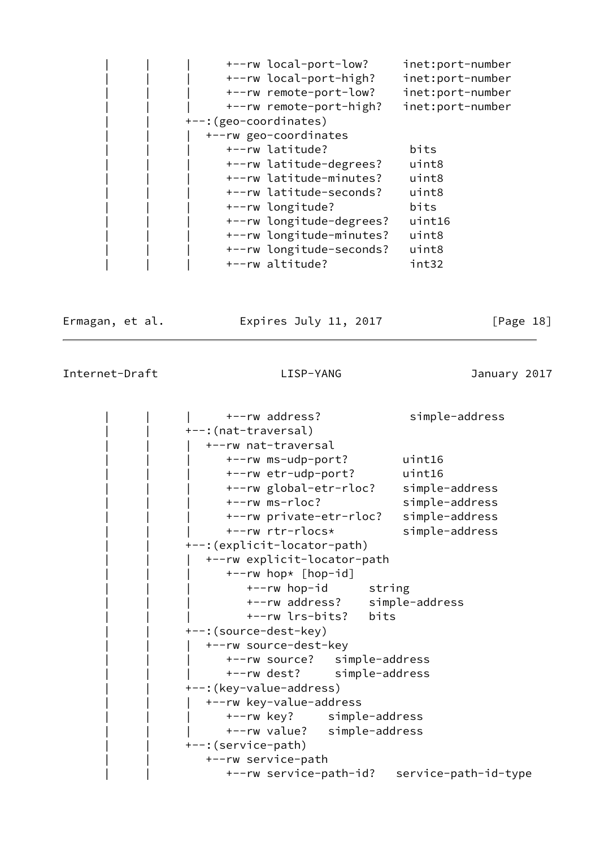| +--rw local-port-low?    | inet:port-number |
|--------------------------|------------------|
| +--rw local-port-high?   | inet:port-number |
| +--rw remote-port-low?   | inet:port-number |
| +--rw remote-port-high?  | inet:port-number |
| +--: (geo-coordinates)   |                  |
| +--rw geo-coordinates    |                  |
| +--rw latitude?          | bits             |
| +--rw latitude-degrees?  | uint8            |
| +--rw latitude-minutes?  | uint8            |
| +--rw latitude-seconds?  | uint8            |
| +--rw longitude?         | bits             |
| +--rw longitude-degrees? | uint16           |
| +--rw longitude-minutes? | uint8            |
| +--rw longitude-seconds? | uint8            |
| +--rw altitude?          | int32            |

Ermagan, et al. Expires July 11, 2017 [Page 18]

| +--rw address?                              | simple-address |
|---------------------------------------------|----------------|
| +--: (nat-traversal)                        |                |
| +--rw nat-traversal                         |                |
| +--rw ms-udp-port?                          | uint16         |
| +--rw etr-udp-port?                         | uint16         |
| +--rw global-etr-rloc?                      | simple-address |
| $+--rw$ ms-rloc?                            | simple-address |
| +--rw private-etr-rloc?                     | simple-address |
| +--rw rtr-rlocs*                            | simple-address |
| +--: (explicit-locator-path)                |                |
| +--rw explicit-locator-path                 |                |
| +--rw hop* [hop-id]                         |                |
| +--rw hop-id string                         |                |
| +--rw address? simple-address               |                |
| +--rw lrs-bits? bits                        |                |
| +--: (source-dest-key)                      |                |
| +--rw source-dest-key                       |                |
| +--rw source? simple-address                |                |
| +--rw dest? simple-address                  |                |
| +--: (key-value-address)                    |                |
| +--rw key-value-address                     |                |
| +--rw key? simple-address                   |                |
| +--rw value? simple-address                 |                |
| +--: (service-path)                         |                |
| +--rw service-path                          |                |
| +--rw service-path-id? service-path-id-type |                |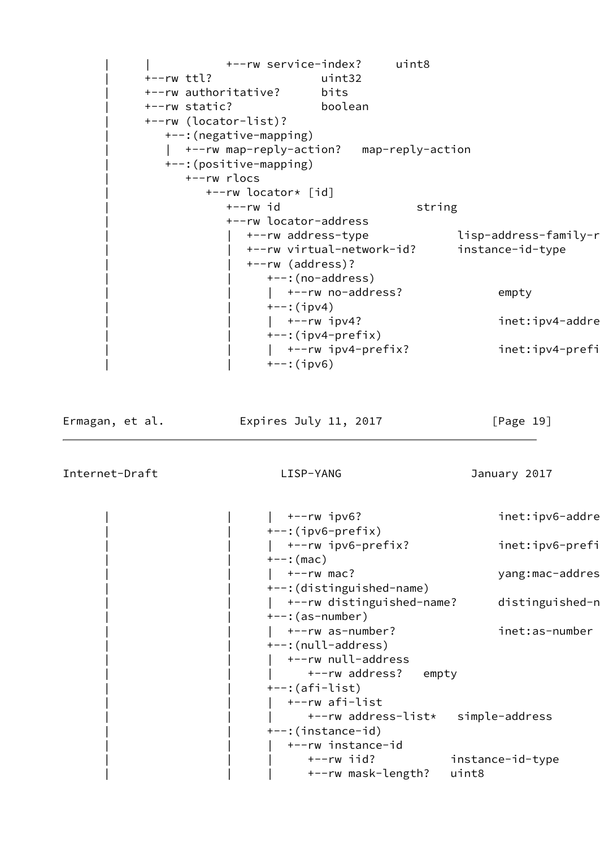```
 | | +--rw service-index? uint8
 | +--rw ttl? uint32
 | +--rw authoritative? bits
 | +--rw static? boolean
 | +--rw (locator-list)?
   | +--:(negative-mapping)
  | +--rw map-reply-action? map-reply-action
   | +--:(positive-mapping)
      | +--rw rlocs
         | +--rw locator* [id]
          +--rw id string
           | +--rw locator-address
             +--rw address-type lisp-address-family-r
              | | +--rw virtual-network-id? instance-id-type
              | | +--rw (address)?
                 | | +--:(no-address)
                | +--rw no-address? empty
                +--:(ipv4)
                | +--rw ipv4? inet:ipv4-addre
                +--: (ipv4-prefix)
                 | | | +--rw ipv4-prefix? inet:ipv4-prefix
                +--:(ipv6)
```
Ermagan, et al. 
Expires July 11, 2017  $[Page 19]$ 

```
| +--rw ipv6? inet:ipv6-addre
 | | +--:(ipv6-prefix)
 | | | +--rw ipv6-prefix? inet:ipv6-prefix
+--: (mac)
| +--rw mac? yang:mac-addres
 | | +--:(distinguished-name)
| +--rw distinguished-name? distinguished-n
---: (as-number)| +-rw as-number? inet:as-number
+--: (null-address)
   | | | +--rw null-address
| +-rw address? empty
+--: (afi-list) | | | +--rw afi-list
      | | | +--rw address-list* simple-address
 | | +--:(instance-id)
   | | | +--rw instance-id
      | | | +--rw iid? instance-id-type
      | | | +--rw mask-length? uint8
```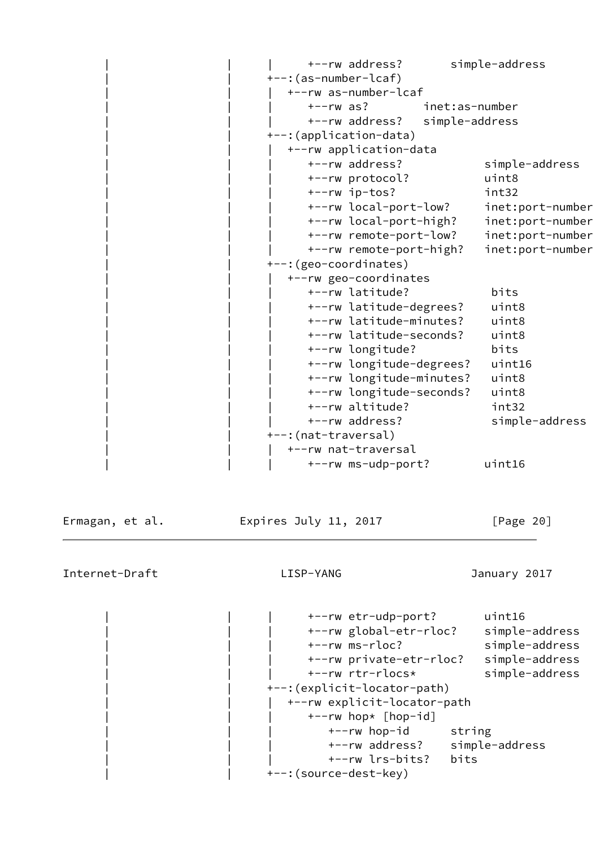| +--rw address?          | simple-address                              |
|-------------------------|---------------------------------------------|
| +--: (as-number-lcaf)   |                                             |
| +--rw as-number-lcaf    |                                             |
| $+--rw$ as?             | inet:as-number                              |
| +--rw address?          | simple-address                              |
| +--: (application-data) |                                             |
| +--rw application-data  |                                             |
| +--rw address?          | simple-address                              |
| +--rw protocol?         | uint8                                       |
| +--rw ip-tos?           | int32                                       |
|                         | +--rw local-port-low?<br>inet:port-number   |
|                         | +--rw local-port-high?<br>inet:port-number  |
|                         | +--rw remote-port-low?<br>inet:port-number  |
|                         | +--rw remote-port-high?<br>inet:port-number |
| +--: (geo-coordinates)  |                                             |
| +--rw geo-coordinates   |                                             |
| +--rw latitude?         | bits                                        |
|                         | +--rw latitude-degrees?<br>uint8            |
|                         | +--rw latitude-minutes?<br>uint8            |
|                         | +--rw latitude-seconds?<br>uint8            |
| +--rw longitude?        | bits                                        |
|                         | +--rw longitude-degrees?<br>uint16          |
|                         | +--rw longitude-minutes?<br>uint8           |
|                         | +--rw longitude-seconds?<br>uint8           |
| +--rw altitude?         | int32                                       |
| +--rw address?          | simple-address                              |
| +--: (nat-traversal)    |                                             |
| +--rw nat-traversal     |                                             |
| +--rw ms-udp-port?      | uint16                                      |
|                         |                                             |

Ermagan, et al. 
Expires July 11, 2017

Exmagan, et al.

Internet-Draft LISP-YANG January 2017

 | | | +--rw etr-udp-port? uint16 | | | +--rw global-etr-rloc? simple-address | | | +--rw ms-rloc? simple-address | | | +--rw private-etr-rloc? simple-address | | | +--rw rtr-rlocs\* simple-address --: (explicit-locator-path) | | | +--rw explicit-locator-path | | | +--rw hop\* [hop-id] +--rw hop-id string | | | +--rw address? simple-address | | | +--rw lrs-bits? bits +--: (source-dest-key)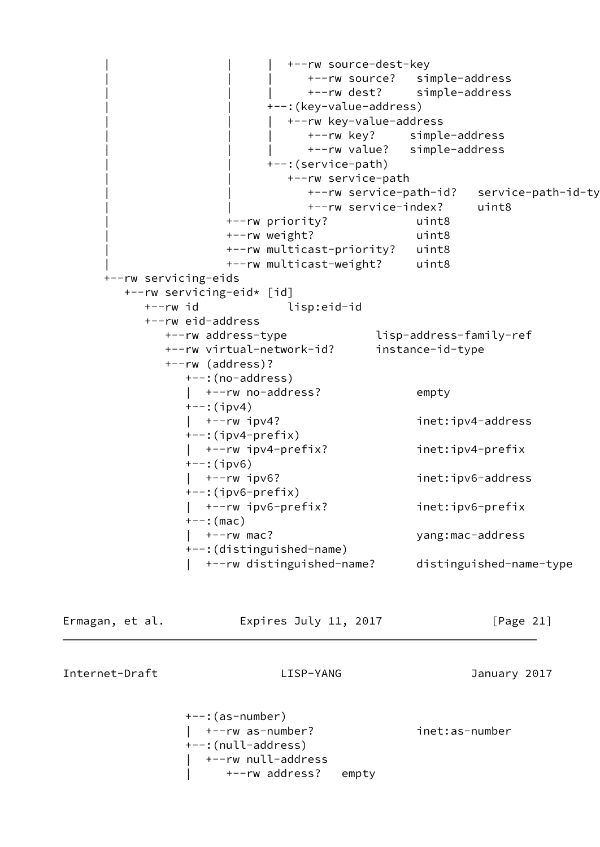+--rw source-dest-key | | | +--rw source? simple-address | | | +--rw dest? simple-address | | +--:(key-value-address) | | | +--rw key-value-address | | | +--rw key? simple-address | | | +--rw value? simple-address | | +--:(service-path) | | +--rw service-path +--rw service-path-id? service-path-id-ty | | +--rw service-index? uint8 | +--rw priority? uint8 | +--rw weight? uint8 | +--rw multicast-priority? uint8 | +--rw multicast-weight? uint8 +--rw servicing-eids +--rw servicing-eid\* [id] +--rw id lisp:eid-id +--rw eid-address +--rw address-type lisp-address-family-ref +--rw virtual-network-id? instance-id-type +--rw (address)? +--:(no-address) | +--rw no-address? empty +--:(ipv4) | +--rw ipv4? inet:ipv4-address +--:(ipv4-prefix) | +--rw ipv4-prefix? inet:ipv4-prefix +--:(ipv6) | +--rw ipv6? inet:ipv6-address +--:(ipv6-prefix) | +--rw ipv6-prefix? inet:ipv6-prefix  $+--:$  (mac) | +--rw mac? yang:mac-address +--:(distinguished-name) | +--rw distinguished-name? distinguished-name-type Ermagan, et al. Expires July 11, 2017 [Page 21]

> +--:(as-number) | +--rw as-number? inet:as-number +--:(null-address) | +--rw null-address | +--rw address? empty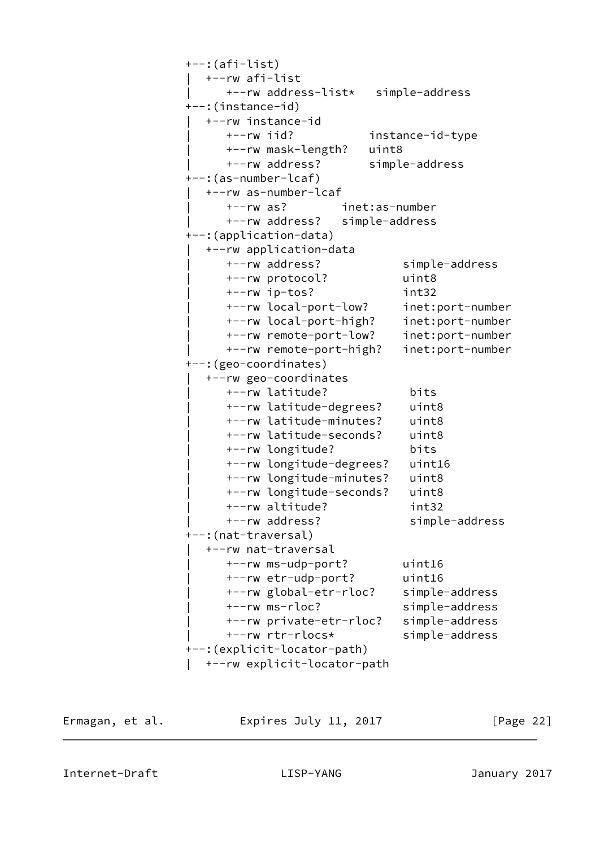```
 +--:(afi-list)
   | +--rw afi-list
      | +--rw address-list* simple-address
 +--:(instance-id)
   | +--rw instance-id
      | +--rw iid? instance-id-type
      | +--rw mask-length? uint8
      | +--rw address? simple-address
 +--:(as-number-lcaf)
   | +--rw as-number-lcaf
      | +--rw as? inet:as-number
      | +--rw address? simple-address
 +--:(application-data)
   | +--rw application-data
      | +--rw address? simple-address
      | +--rw protocol? uint8
      | +--rw ip-tos? int32
      | +--rw local-port-low? inet:port-number
      | +--rw local-port-high? inet:port-number
      | +--rw remote-port-low? inet:port-number
      | +--rw remote-port-high? inet:port-number
 +--:(geo-coordinates)
   | +--rw geo-coordinates
      | +--rw latitude? bits
      | +--rw latitude-degrees? uint8
      | +--rw latitude-minutes? uint8
      | +--rw latitude-seconds? uint8
      | +--rw longitude? bits
      | +--rw longitude-degrees? uint16
      | +--rw longitude-minutes? uint8
      | +--rw longitude-seconds? uint8
      | +--rw altitude? int32
      | +--rw address? simple-address
 +--:(nat-traversal)
   | +--rw nat-traversal
      | +--rw ms-udp-port? uint16
      | +--rw etr-udp-port? uint16
      | +--rw global-etr-rloc? simple-address
      | +--rw ms-rloc? simple-address
      | +--rw private-etr-rloc? simple-address
      | +--rw rtr-rlocs* simple-address
 +--:(explicit-locator-path)
   | +--rw explicit-locator-path
```
Ermagan, et al. Expires July 11, 2017 [Page 22]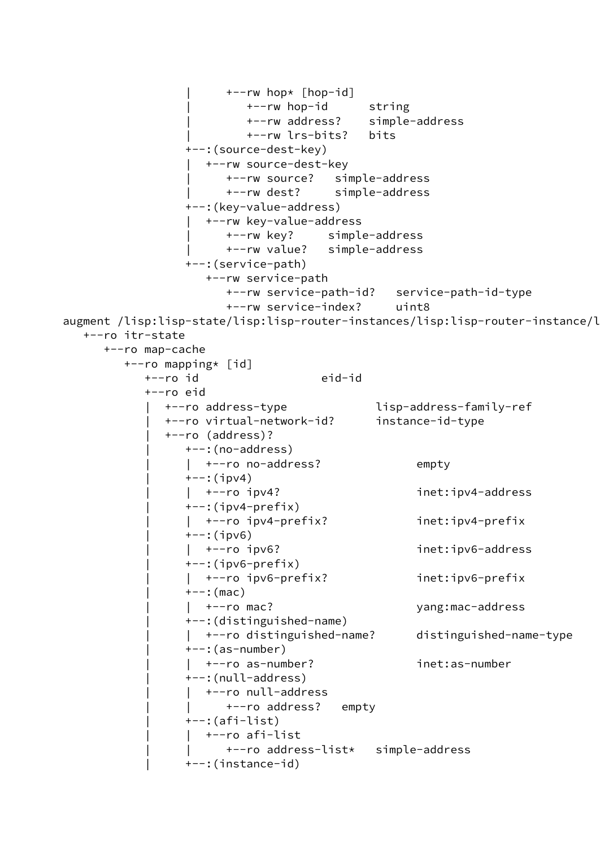```
 | +--rw hop* [hop-id]
                          | +--rw hop-id string
                          | +--rw address? simple-address
                          | +--rw lrs-bits? bits
                  +--:(source-dest-key)
                    | +--rw source-dest-key
                       | +--rw source? simple-address
                       | +--rw dest? simple-address
                  +--:(key-value-address)
                     | +--rw key-value-address
                       | +--rw key? simple-address
                       | +--rw value? simple-address
                  +--:(service-path)
                     +--rw service-path
                       +--rw service-path-id? service-path-id-type
                       +--rw service-index? uint8
augment /lisp:lisp-state/lisp:lisp-router-instances/lisp:lisp-router-instance/l
   +--ro itr-state
      +--ro map-cache
         +--ro mapping* [id]
            +--ro id eid-id
            +--ro eid
               | +--ro address-type lisp-address-family-ref
               | +--ro virtual-network-id? instance-id-type
               | +--ro (address)?
                  | +--:(no-address)
                    | | +--ro no-address? empty
                 +--:(ipv4)
                 | +--ro ipv4? inet:ipv4-address
                 +-:(ipv4-prefix)
                  | | +--ro ipv4-prefix? inet:ipv4-prefix
                 +--:(ipv6)
                 | +--ro ipv6? inet:ipv6-address
                 +-:(ipv6-prefix)
                  | | +--ro ipv6-prefix? inet:ipv6-prefix
                 +--: (mac)
                  | | +--ro mac? yang:mac-address
                  | +--:(distinguished-name)
                  | | +--ro distinguished-name? distinguished-name-type
                 +--: (as-number)
                  | | +--ro as-number? inet:as-number
                  | +--:(null-address)
                    | | +--ro null-address
                      +--ro address? empty
                  | +--:(afi-list)
                   | | +--ro afi-list
                       | | +--ro address-list* simple-address
                  | +--:(instance-id)
```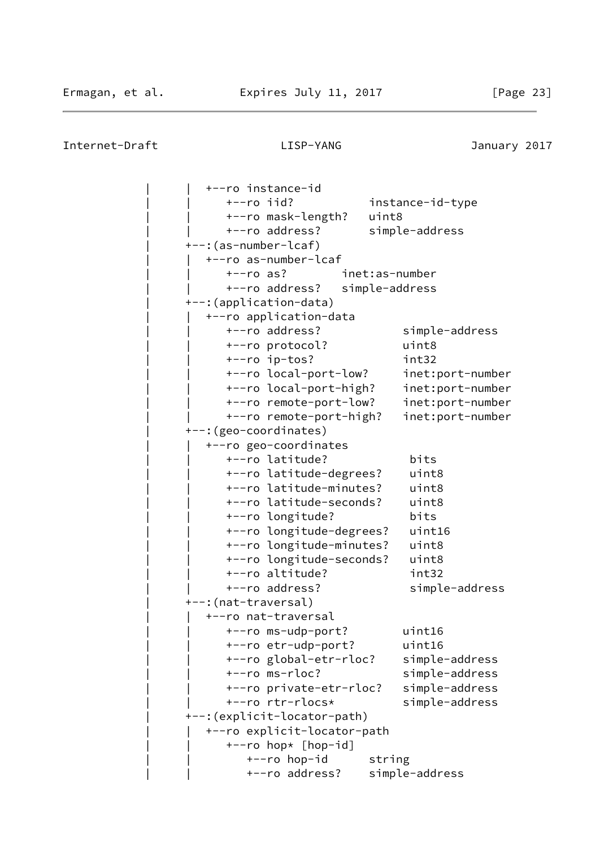|                         | +--ro instance-id            |                |                  |
|-------------------------|------------------------------|----------------|------------------|
| $+--ro$ iid?            |                              |                | instance-id-type |
|                         | +--ro mask-length?           | uint8          |                  |
|                         | +--ro address?               |                | simple-address   |
| +--:(as-number-lcaf)    |                              |                |                  |
|                         | +--ro as-number-lcaf         |                |                  |
| $+--ro$ as?             |                              | inet:as-number |                  |
|                         | +--ro address?               | simple-address |                  |
| +--: (application-data) |                              |                |                  |
|                         | +--ro application-data       |                |                  |
|                         | +--ro address?               |                | simple-address   |
|                         | +--ro protocol?              |                | uint8            |
|                         | +--ro ip-tos?                |                | int32            |
|                         | +--ro local-port-low?        |                | inet:port-number |
|                         | +--ro local-port-high?       |                | inet:port-number |
|                         | +--ro remote-port-low?       |                | inet:port-number |
|                         | +--ro remote-port-high?      |                | inet:port-number |
| +--: (geo-coordinates)  |                              |                |                  |
|                         | +--ro geo-coordinates        |                |                  |
|                         | +--ro latitude?              |                | bits             |
|                         | +--ro latitude-degrees?      |                | uint8            |
|                         | +--ro latitude-minutes?      |                | uint8            |
|                         | +--ro latitude-seconds?      |                | uint8            |
|                         | +--ro longitude?             |                | bits             |
|                         | +--ro longitude-degrees?     |                | uint16           |
|                         | +--ro longitude-minutes?     |                | uint8            |
|                         | +--ro longitude-seconds?     |                | uint8            |
|                         | +--ro altitude?              |                | int32            |
|                         | +--ro address?               |                | simple-address   |
| +--: (nat-traversal)    |                              |                |                  |
|                         | +--ro nat-traversal          |                |                  |
|                         | +--ro ms-udp-port?           |                | uint16           |
|                         | +--ro etr-udp-port?          |                | uint16           |
|                         | +--ro global-etr-rloc?       |                | simple-address   |
|                         | +--ro ms-rloc?               |                | simple-address   |
|                         | +--ro private-etr-rloc?      |                | simple-address   |
|                         | +--ro rtr-rlocs*             |                | simple-address   |
|                         | +--: (explicit-locator-path) |                |                  |
|                         | +--ro explicit-locator-path  |                |                  |
|                         | +--ro hop* [hop-id]          |                |                  |
|                         | +--ro hop-id                 | string         |                  |
|                         | +--ro address?               |                | simple-address   |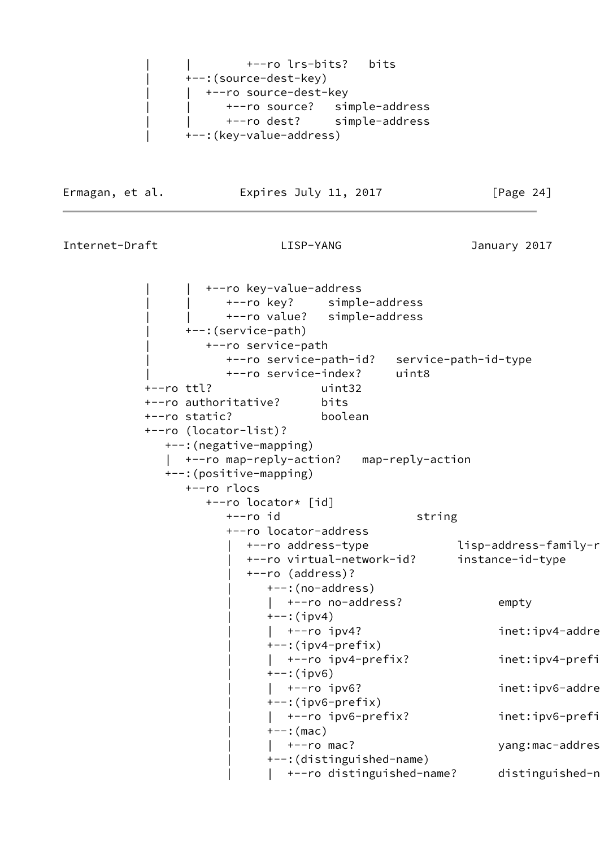```
 | | +--ro lrs-bits? bits
 | +--:(source-dest-key)
| +--ro source-dest-key
       | | +--ro source? simple-address
      | | +--ro dest? simple-address
 | +--:(key-value-address)
```
Ermagan, et al. Expires July 11, 2017 [Page 24]

```
Internet-Draft LISP-YANG January 2017
```
 | | +--ro key-value-address | | +--ro key? simple-address | | +--ro value? simple-address | +--:(service-path) | +--ro service-path | +--ro service-path-id? service-path-id-type | +--ro service-index? uint8 +--ro ttl? uint32 +--ro authoritative? bits +--ro static? boolean +--ro (locator-list)? +--:(negative-mapping) | +--ro map-reply-action? map-reply-action +--:(positive-mapping) +--ro rlocs +--ro locator\* [id] +--ro id string +--ro locator-address +--ro address-type lisp-address-family-r | +--ro virtual-network-id? instance-id-type | +--ro (address)? | +--:(no-address) | +--ro no-address? empty  $+--:$ (ipv4) | +--ro ipv4? inet:ipv4-addre  $+-:$ (ipv4-prefix) | | +--ro ipv4-prefix? inet:ipv4-prefix  $+--:$ (ipv6) | +--ro ipv6? inet:ipv6-addre  $+--$ : (ipv6-prefix) | | +--ro ipv6-prefix? inet:ipv6-prefix  $+--:$  (mac) |  $+--$ ro mac? yang:mac-addres | +--:(distinguished-name) | +--ro distinguished-name? distinguished-n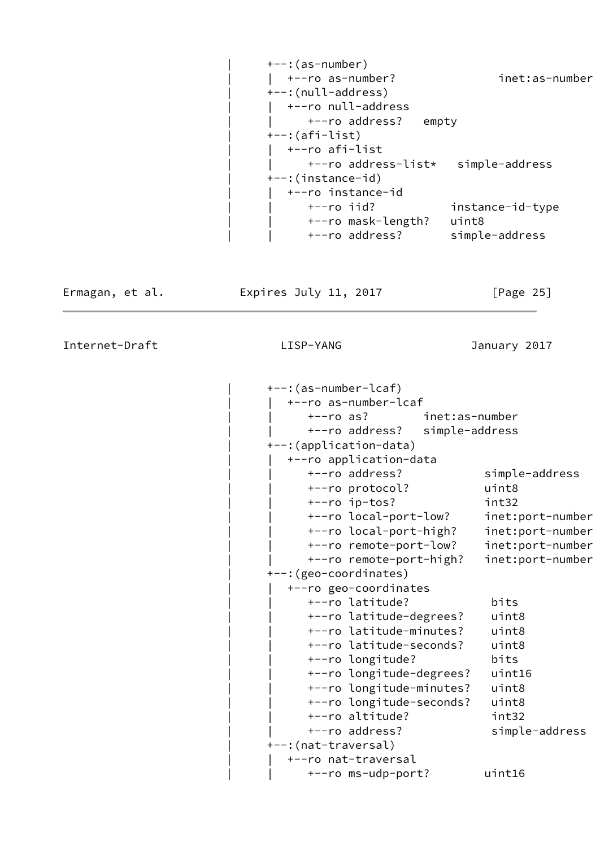| $+--$ : (as-number)                |                  |
|------------------------------------|------------------|
| $+--ro$ as-number?                 | inet:as-number   |
| +--:(null-address)                 |                  |
| +--ro null-address                 |                  |
| +--ro address?<br>empty            |                  |
| $+-$ : (afi-list)                  |                  |
| +--ro afi-list                     |                  |
| +--ro address-list* simple-address |                  |
| +--:(instance-id)                  |                  |
| +--ro instance-id                  |                  |
| $+--ro$ iid?                       | instance-id-type |
| +--ro mask-length?                 | uint8            |
| +--ro address?                     | simple-address   |
|                                    |                  |

Ermagan, et al. 
Expires July 11, 2017  $[Page 25]$ 

Internet-Draft LISP-YANG January 2017

 | +--:(as-number-lcaf) | | +--ro as-number-lcaf | | +--ro as? inet:as-number | | +--ro address? simple-address | +--:(application-data) | | +--ro application-data | | +--ro address? simple-address | | +--ro protocol? uint8 | | +--ro ip-tos? int32 | | +--ro local-port-low? inet:port-number | | +--ro local-port-high? inet:port-number | | +--ro remote-port-low? inet:port-number | | +--ro remote-port-high? inet:port-number --: (geo-coordinates) | | +--ro geo-coordinates | | +--ro latitude? bits | | +--ro latitude-degrees? uint8 | | +--ro latitude-minutes? uint8 | | +--ro latitude-seconds? uint8 | | +--ro longitude? bits | | +--ro longitude-degrees? uint16 | | +--ro longitude-minutes? uint8 | | +--ro longitude-seconds? uint8 | | +--ro altitude? int32 | | +--ro address? simple-address | +--:(nat-traversal) | | +--ro nat-traversal | | +--ro ms-udp-port? uint16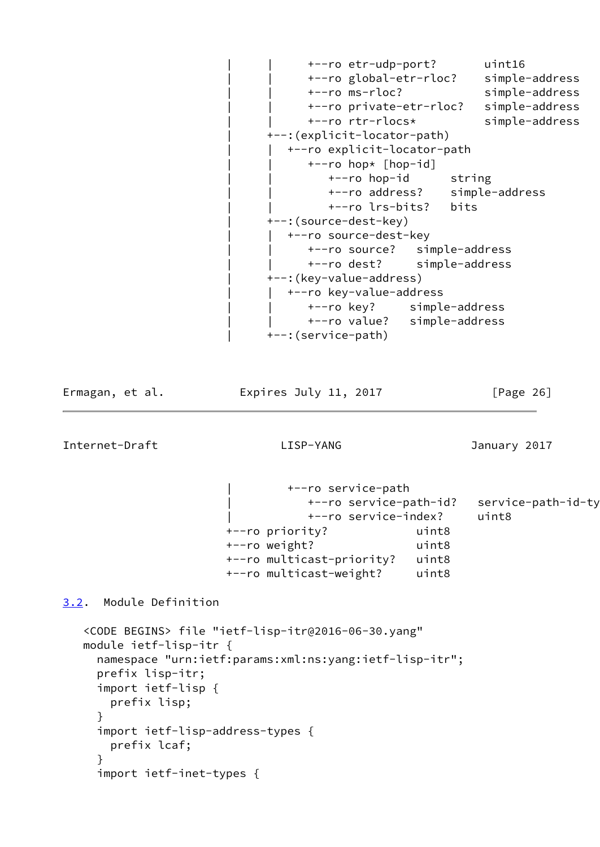```
 | | +--ro etr-udp-port? uint16
       | | +--ro global-etr-rloc? simple-address
       | | +--ro ms-rloc? simple-address
       | | +--ro private-etr-rloc? simple-address
       | | +--ro rtr-rlocs* simple-address
 | +--:(explicit-locator-path)
    | | +--ro explicit-locator-path
     +--ro hop* [hop-id]+--ro hop-id string
          | | +--ro address? simple-address
          | | +--ro lrs-bits? bits
 | +--:(source-dest-key)
  +--ro source-dest-key
       | | +--ro source? simple-address
       | | +--ro dest? simple-address
 | +--:(key-value-address)
   +--ro key-value-address
      | | +--ro key? simple-address
      | | +--ro value? simple-address
 | +--:(service-path)
```
Ermagan, et al. Expires July 11, 2017 [Page 26]

<span id="page-29-1"></span>Internet-Draft LISP-YANG January 2017

 | +--ro service-path | +--ro service-path-id? service-path-id-type | +--ro service-index? uint8 +--ro priority? uint8 +--ro weight? uint8 +--ro multicast-priority? uint8 +--ro multicast-weight? uint8

<span id="page-29-0"></span>[3.2](#page-29-0). Module Definition

```
 <CODE BEGINS> file "ietf-lisp-itr@2016-06-30.yang"
 module ietf-lisp-itr {
   namespace "urn:ietf:params:xml:ns:yang:ietf-lisp-itr";
   prefix lisp-itr;
   import ietf-lisp {
     prefix lisp;
   }
   import ietf-lisp-address-types {
     prefix lcaf;
   }
   import ietf-inet-types {
```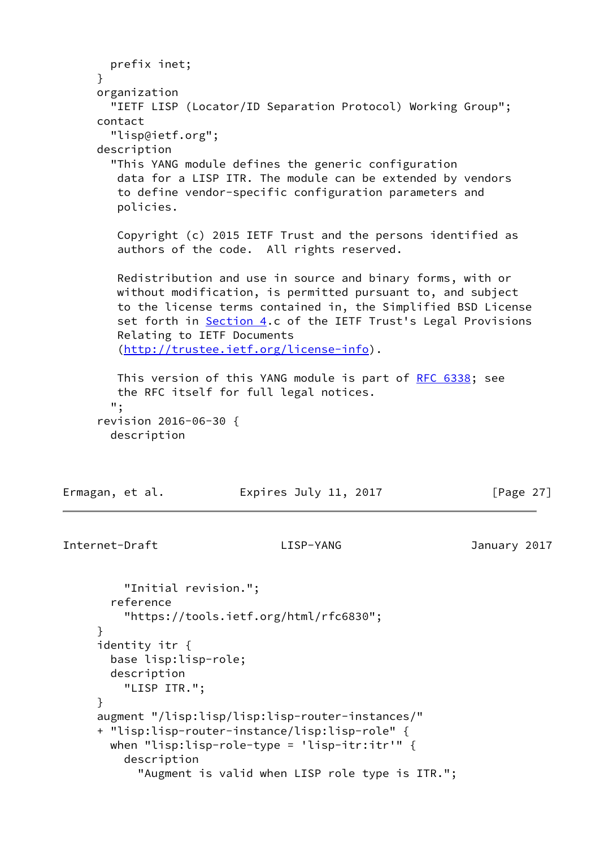```
 prefix inet;
      }
     organization
       "IETF LISP (Locator/ID Separation Protocol) Working Group";
     contact
       "lisp@ietf.org";
     description
        "This YANG module defines the generic configuration
        data for a LISP ITR. The module can be extended by vendors
        to define vendor-specific configuration parameters and
        policies.
        Copyright (c) 2015 IETF Trust and the persons identified as
        authors of the code. All rights reserved.
        Redistribution and use in source and binary forms, with or
        without modification, is permitted pursuant to, and subject
        to the license terms contained in, the Simplified BSD License
        Section 4.c of the IETF Trust's Legal Provisions
        Relating to IETF Documents
         (http://trustee.ietf.org/license-info).
        RFC 6338; see
        the RFC itself for full legal notices.
       ";
      revision 2016-06-30 {
       description
Ermagan, et al.               Expires July 11, 2017               [Page 27]
```

```
Internet-Draft LISP-YANG January 2017
```

```
 "Initial revision.";
   reference
     "https://tools.ietf.org/html/rfc6830";
 }
 identity itr {
   base lisp:lisp-role;
   description
     "LISP ITR.";
 }
 augment "/lisp:lisp/lisp:lisp-router-instances/"
 + "lisp:lisp-router-instance/lisp:lisp-role" {
   when "lisp:lisp-role-type = 'lisp-itr:itr'" {
     description
       "Augment is valid when LISP role type is ITR.";
```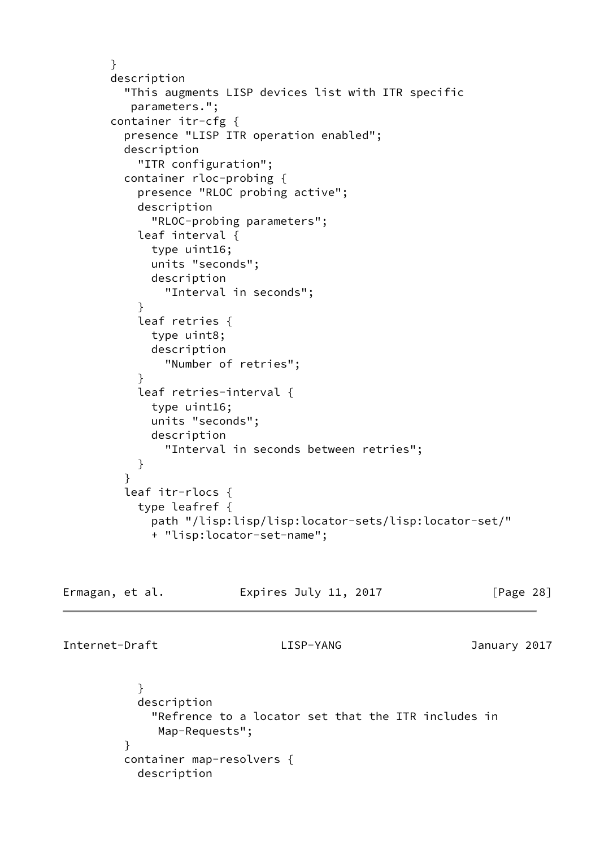```
 }
       description
          "This augments LISP devices list with ITR specific
          parameters.";
       container itr-cfg {
          presence "LISP ITR operation enabled";
          description
            "ITR configuration";
         container rloc-probing {
            presence "RLOC probing active";
            description
              "RLOC-probing parameters";
            leaf interval {
             type uint16;
             units "seconds";
             description
                "Interval in seconds";
 }
            leaf retries {
             type uint8;
             description
                "Number of retries";
 }
            leaf retries-interval {
              type uint16;
             units "seconds";
             description
                "Interval in seconds between retries";
 }
 }
         leaf itr-rlocs {
            type leafref {
             path "/lisp:lisp/lisp:locator-sets/lisp:locator-set/"
              + "lisp:locator-set-name";
```

| Ermagan, et al. | Expires July 11, 2017 | [Page 28] |
|-----------------|-----------------------|-----------|
|-----------------|-----------------------|-----------|

Internet-Draft LISP-YANG January 2017

 } description "Refrence to a locator set that the ITR includes in Map-Requests"; } container map-resolvers { description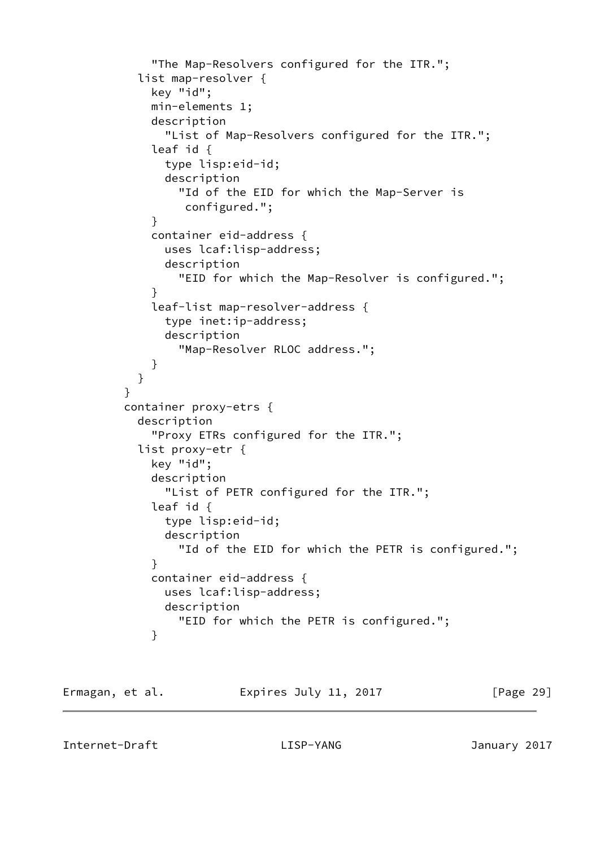```
 "The Map-Resolvers configured for the ITR.";
           list map-resolver {
             key "id";
             min-elements 1;
             description
               "List of Map-Resolvers configured for the ITR.";
             leaf id {
               type lisp:eid-id;
               description
                 "Id of the EID for which the Map-Server is
                  configured.";
 }
             container eid-address {
               uses lcaf:lisp-address;
               description
                 "EID for which the Map-Resolver is configured.";
 }
             leaf-list map-resolver-address {
               type inet:ip-address;
               description
                 "Map-Resolver RLOC address.";
 }
 }
 }
         container proxy-etrs {
           description
             "Proxy ETRs configured for the ITR.";
           list proxy-etr {
             key "id";
             description
               "List of PETR configured for the ITR.";
             leaf id {
               type lisp:eid-id;
               description
                 "Id of the EID for which the PETR is configured.";
 }
             container eid-address {
               uses lcaf:lisp-address;
               description
                 "EID for which the PETR is configured.";
 }
```
<span id="page-32-0"></span>

| Ermagan, et al. | Expires July 11, 2017 | [Page 29] |
|-----------------|-----------------------|-----------|
|-----------------|-----------------------|-----------|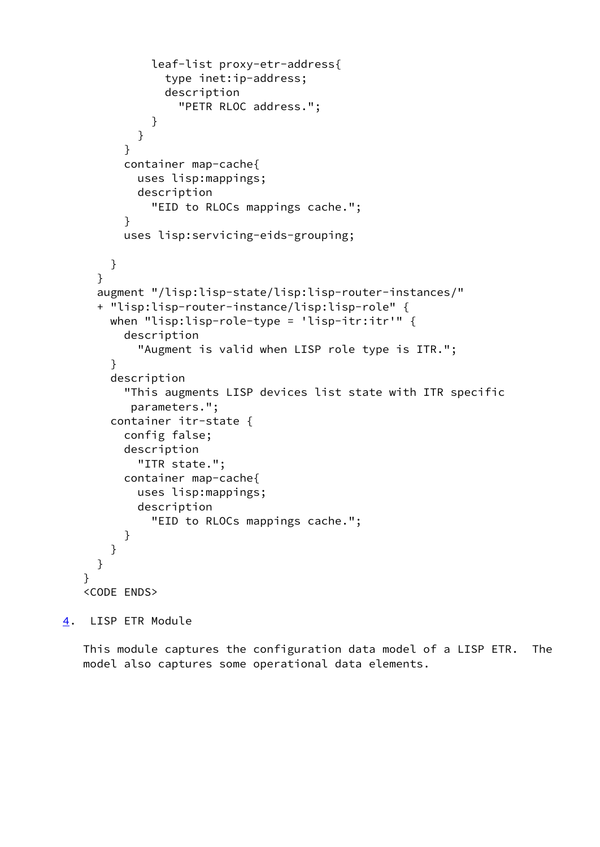```
 leaf-list proxy-etr-address{
                type inet:ip-address;
                description
                  "PETR RLOC address.";
 }
 }
          }
          container map-cache{
            uses lisp:mappings;
            description
              "EID to RLOCs mappings cache.";
          }
          uses lisp:servicing-eids-grouping;
        }
      }
      augment "/lisp:lisp-state/lisp:lisp-router-instances/"
      + "lisp:lisp-router-instance/lisp:lisp-role" {
        when "lisp:lisp-role-type = 'lisp-itr:itr'" {
          description
            "Augment is valid when LISP role type is ITR.";
        }
        description
          "This augments LISP devices list state with ITR specific
           parameters.";
        container itr-state {
          config false;
          description
            "ITR state.";
          container map-cache{
            uses lisp:mappings;
            description
              "EID to RLOCs mappings cache.";
          }
        }
      }
    }
    <CODE ENDS>
```
<span id="page-33-0"></span>[4](#page-33-0). LISP ETR Module

 This module captures the configuration data model of a LISP ETR. The model also captures some operational data elements.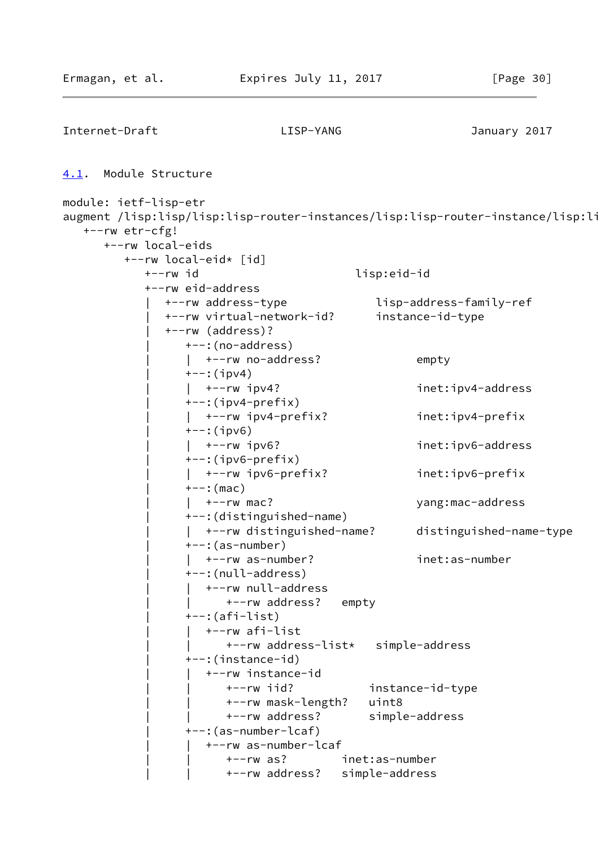```
Internet-Draft LISP-YANG January 2017
4.1. Module Structure
module: ietf-lisp-etr
augment /lisp:lisp/lisp:lisp-router-instances/lisp:lisp-router-instance/lisp:li
   +--rw etr-cfg!
      +--rw local-eids
         +--rw local-eid* [id]
            +--rw id lisp:eid-id
            +--rw eid-address
              | +--rw address-type lisp-address-family-ref
              | +--rw virtual-network-id? instance-id-type
               | +--rw (address)?
                 | +--:(no-address)
                | +--rw no-address? empty
                +--:(ipv4)
                 | | +--rw ipv4? inet:ipv4-address
                +-:(ipv4-prefix)
                 | | +--rw ipv4-prefix? inet:ipv4-prefix
                +--:(ipv6)
                 | | +--rw ipv6? inet:ipv6-address
                 | +--:(ipv6-prefix)
                 | | +--rw ipv6-prefix? inet:ipv6-prefix
                +--: (mac)
                 | | +--rw mac? yang:mac-address
                 | +--:(distinguished-name)
                 | | +--rw distinguished-name? distinguished-name-type
                 | +--:(as-number)
                   | | +--rw as-number? inet:as-number
                 | +--:(null-address)
                   | | +--rw null-address
                       | | +--rw address? empty
                +--: (afi-list)
                    | | +--rw afi-list
                       | | +--rw address-list* simple-address
                 | +--:(instance-id)
                    | | +--rw instance-id
                       | | +--rw iid? instance-id-type
                       | | +--rw mask-length? uint8
                       | | +--rw address? simple-address
                 | +--:(as-number-lcaf)
                    | | +--rw as-number-lcaf
                       | | +--rw as? inet:as-number
                       | | +--rw address? simple-address
```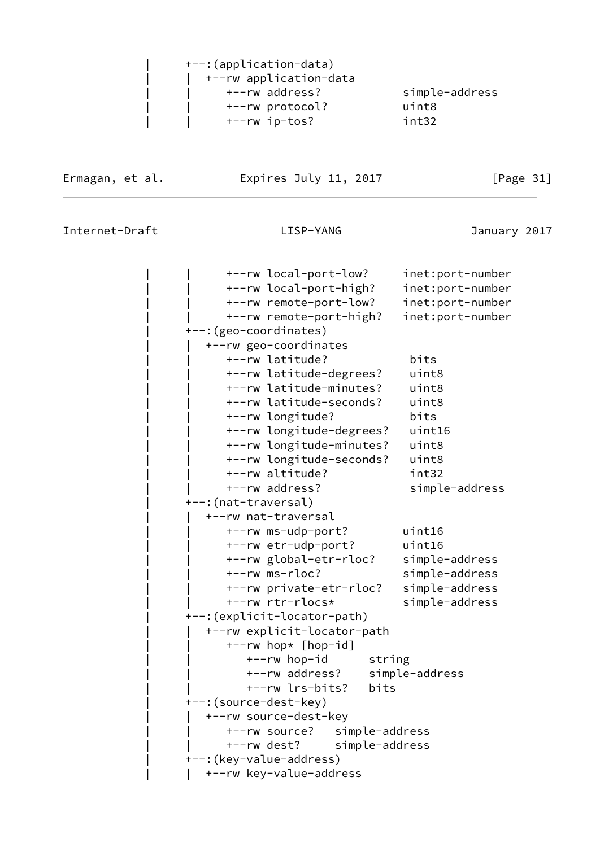|  | +--:(application-data) |                |
|--|------------------------|----------------|
|  | +--rw application-data |                |
|  | +--rw address?         | simple-address |
|  | +--rw protocol?        | uint8          |
|  | +--rw ip-tos?          | int32          |
|  |                        |                |

Ermagan, et al. 
Expires July 11, 2017

Expires 11, 2017

|                              | +--rw local-port-low?        |                | inet:port-number |
|------------------------------|------------------------------|----------------|------------------|
|                              | +--rw local-port-high?       |                | inet:port-number |
|                              | +--rw remote-port-low?       |                | inet:port-number |
|                              | +--rw remote-port-high?      |                | inet:port-number |
| +--: (geo-coordinates)       |                              |                |                  |
|                              | +--rw geo-coordinates        |                |                  |
|                              | +--rw latitude?              |                | bits             |
|                              | +--rw latitude-degrees?      |                | uint8            |
|                              | +--rw latitude-minutes?      |                | uint8            |
|                              | +--rw latitude-seconds?      |                | uint8            |
|                              | +--rw longitude?             |                | bits             |
|                              | +--rw longitude-degrees?     |                | uint16           |
|                              | +--rw longitude-minutes?     |                | uint8            |
|                              | +--rw longitude-seconds?     |                | uint8            |
|                              | +--rw altitude?              |                | int32            |
|                              | +--rw address?               |                | simple-address   |
| +--:(nat-traversal)          |                              |                |                  |
| +--rw nat-traversal          |                              |                |                  |
|                              | +--rw ms-udp-port?           |                | uint16           |
|                              | +--rw etr-udp-port?          |                | uint16           |
|                              | +--rw global-etr-rloc?       |                | simple-address   |
|                              | +--rw ms-rloc?               |                | simple-address   |
|                              | +--rw private-etr-rloc?      |                | simple-address   |
|                              | +--rw rtr-rlocs*             |                | simple-address   |
| +--: (explicit-locator-path) |                              |                |                  |
|                              | +--rw explicit-locator-path  |                |                  |
|                              | +--rw hop* [hop-id]          |                |                  |
|                              | +--rw hop-id                 | string         |                  |
|                              | +--rw address?               |                | simple-address   |
|                              | +--rw lrs-bits?              | bits           |                  |
| +--: (source-dest-key)       |                              |                |                  |
|                              | +--rw source-dest-key        |                |                  |
|                              | +--rw source? simple-address |                |                  |
| $+--rw$ dest?                |                              | simple-address |                  |
| +--: (key-value-address)     |                              |                |                  |
|                              | +--rw key-value-address      |                |                  |
|                              |                              |                |                  |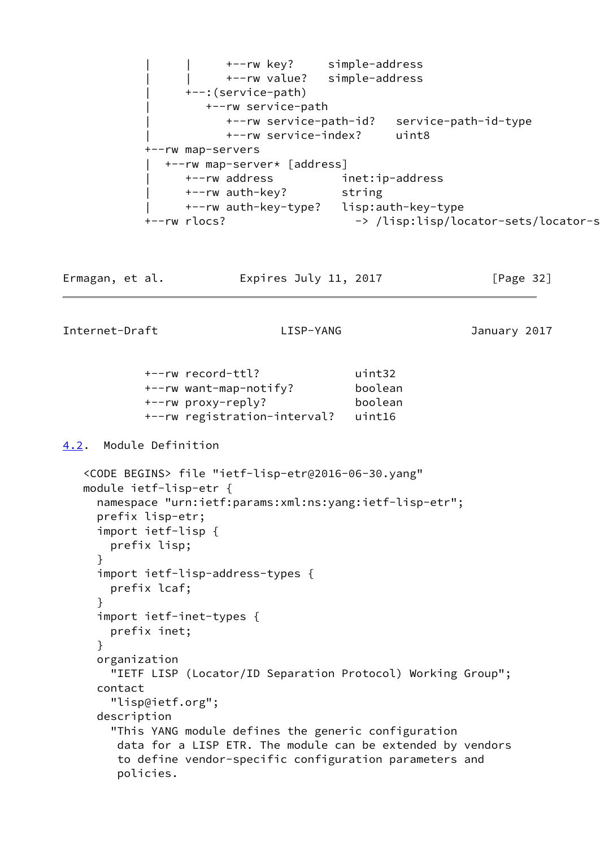<span id="page-36-0"></span> | | +--rw key? simple-address | | +--rw value? simple-address | +--:(service-path) | +--rw service-path | +--rw service-path-id? service-path-id-type | +--rw service-index? uint8 +--rw map-servers | +--rw map-server\* [address] | +--rw address inet:ip-address +--rw auth-key? string | +--rw auth-key-type? lisp:auth-key-type +--rw rlocs?  $\rightarrow$  /lisp:lisp/locator-sets/locator-s Ermagan, et al. Expires July 11, 2017 [Page 32] Internet-Draft LISP-YANG January 2017 +--rw record-ttl? uint32 +--rw want-map-notify? boolean +--rw proxy-reply? boolean +--rw registration-interval? uint16 [4.2](#page-36-0). Module Definition <CODE BEGINS> file "ietf-lisp-etr@2016-06-30.yang" module ietf-lisp-etr { namespace "urn:ietf:params:xml:ns:yang:ietf-lisp-etr"; prefix lisp-etr; import ietf-lisp { prefix lisp; } import ietf-lisp-address-types { prefix lcaf; } import ietf-inet-types { prefix inet; } organization "IETF LISP (Locator/ID Separation Protocol) Working Group"; contact "lisp@ietf.org"; description "This YANG module defines the generic configuration data for a LISP ETR. The module can be extended by vendors to define vendor-specific configuration parameters and policies.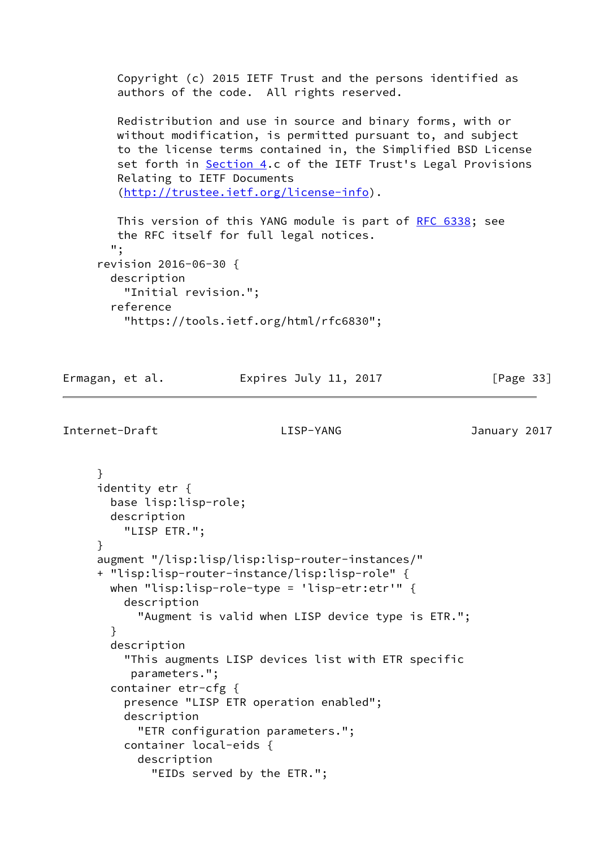Copyright (c) 2015 IETF Trust and the persons identified as authors of the code. All rights reserved.

 Redistribution and use in source and binary forms, with or without modification, is permitted pursuant to, and subject to the license terms contained in, the Simplified BSD License set forth in [Section 4.](#page-33-0)c of the IETF Trust's Legal Provisions Relating to IETF Documents [\(http://trustee.ietf.org/license-info](http://trustee.ietf.org/license-info)).

This version of this YANG module is part of [RFC 6338](https://datatracker.ietf.org/doc/pdf/rfc6338); see the RFC itself for full legal notices. "; revision 2016-06-30 { description "Initial revision."; reference "https://tools.ietf.org/html/rfc6830";

Ermagan, et al. Expires July 11, 2017 [Page 33]

```
Internet-Draft LISP-YANG January 2017
```
 } identity etr { base lisp:lisp-role; description "LISP ETR."; } augment "/lisp:lisp/lisp:lisp-router-instances/" + "lisp:lisp-router-instance/lisp:lisp-role" { when "lisp:lisp-role-type = 'lisp-etr:etr'" { description "Augment is valid when LISP device type is ETR."; } description "This augments LISP devices list with ETR specific parameters."; container etr-cfg { presence "LISP ETR operation enabled"; description "ETR configuration parameters."; container local-eids { description "EIDs served by the ETR.";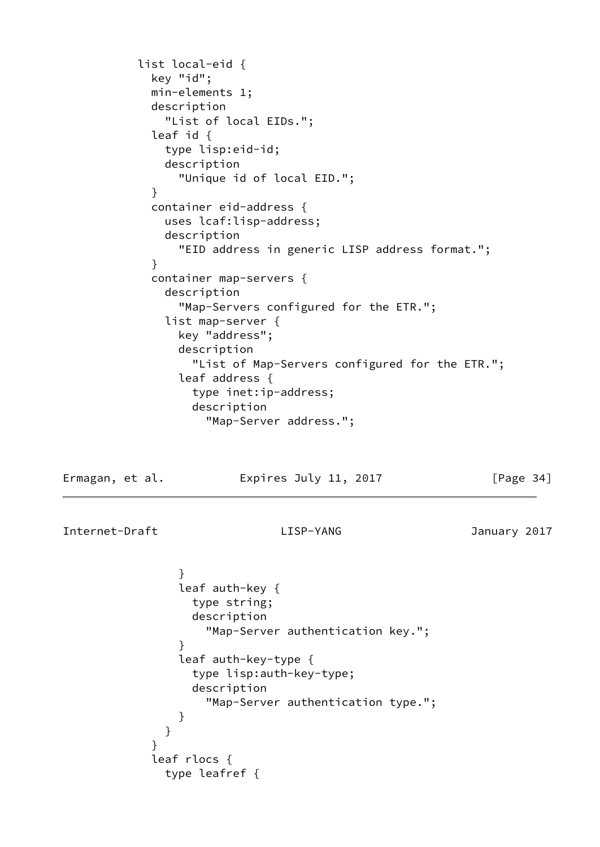```
 list local-eid {
              key "id";
              min-elements 1;
              description
                "List of local EIDs.";
              leaf id {
                type lisp:eid-id;
                description
                  "Unique id of local EID.";
 }
              container eid-address {
                uses lcaf:lisp-address;
                description
                  "EID address in generic LISP address format.";
 }
              container map-servers {
                description
                  "Map-Servers configured for the ETR.";
                list map-server {
                  key "address";
                  description
                    "List of Map-Servers configured for the ETR.";
                  leaf address {
                    type inet:ip-address;
                    description
                      "Map-Server address.";
```
Ermagan, et al. Expires July 11, 2017 [Page 34]

Internet-Draft LISP-YANG January 2017

}

```
 }
              leaf auth-key {
                type string;
                description
                  "Map-Server authentication key.";
 }
              leaf auth-key-type {
                type lisp:auth-key-type;
                description
                  "Map-Server authentication type.";
 }
 }
           leaf rlocs {
             type leafref {
```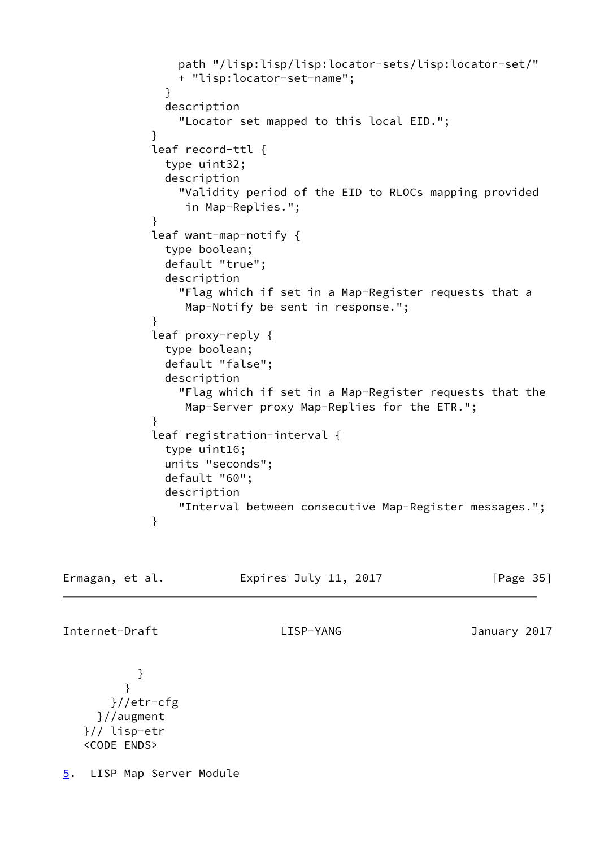```
 path "/lisp:lisp/lisp:locator-sets/lisp:locator-set/"
                 + "lisp:locator-set-name";
 }
               description
                 "Locator set mapped to this local EID.";
 }
             leaf record-ttl {
               type uint32;
               description
                 "Validity period of the EID to RLOCs mapping provided
                  in Map-Replies.";
 }
             leaf want-map-notify {
               type boolean;
               default "true";
               description
                 "Flag which if set in a Map-Register requests that a
                  Map-Notify be sent in response.";
 }
             leaf proxy-reply {
               type boolean;
               default "false";
               description
                 "Flag which if set in a Map-Register requests that the
                  Map-Server proxy Map-Replies for the ETR.";
 }
             leaf registration-interval {
               type uint16;
               units "seconds";
               default "60";
               description
                 "Interval between consecutive Map-Register messages.";
 }
```

```
Ermagan, et al. 
Expires July 11, 2017 [Page 35]
```
Internet-Draft LISP-YANG January 2017

```
 }
         }
       }//etr-cfg
     }//augment
   }// lisp-etr
   <CODE ENDS>
```
<span id="page-39-0"></span>[5](#page-39-0). LISP Map Server Module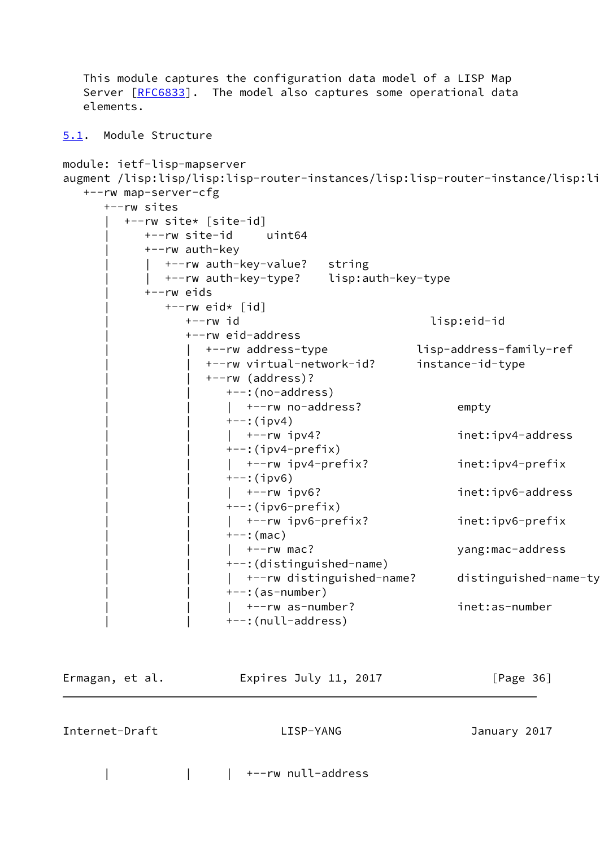```
 This module captures the configuration data model of a LISP Map
  [RFC6833]. The model also captures some operational data
   elements.
5.1. Module Structure
module: ietf-lisp-mapserver
augment /lisp:lisp/lisp:lisp-router-instances/lisp:lisp-router-instance/lisp:li
   +--rw map-server-cfg
      +--rw sites
         | +--rw site* [site-id]
            | +--rw site-id uint64
            | +--rw auth-key
              | | +--rw auth-key-value? string
              | | +--rw auth-key-type? lisp:auth-key-type
            | +--rw eids
              +--rw eid* \lceil id \rceil | +--rw id lisp:eid-id
                 | +--rw eid-address
                    | | +--rw address-type lisp-address-family-ref
                    | | +--rw virtual-network-id? instance-id-type
                    | | +--rw (address)?
                       | | +--:(no-address)
                      | +-rw no-address? empty
                      +--:(ipv4)
                      | +--rw ipv4? inet:ipv4-address
                      +-: (ipv4-prefix)
                       | | | +--rw ipv4-prefix? inet:ipv4-prefix
                      +--:(ipv6)
                      | +--rw ipv6? inet:ipv6-address
                      +-: (ipv6-prefix)
                       | | | +--rw ipv6-prefix? inet:ipv6-prefix
                      +--: (mac)
                      | +--rw mac? yang:mac-address
                       | | +--:(distinguished-name)
                      | +--rw distinguished-name? distinguished-name-ty
                      ---: (as-number)| +-rw as-number? inet:as-number
                       | | +--:(null-address)
```

| Ermagan, et al. | Expires July 11, 2017 | [Page 36]    |
|-----------------|-----------------------|--------------|
| Internet-Draft  | LISP-YANG             | January 2017 |

| | | +--rw null-address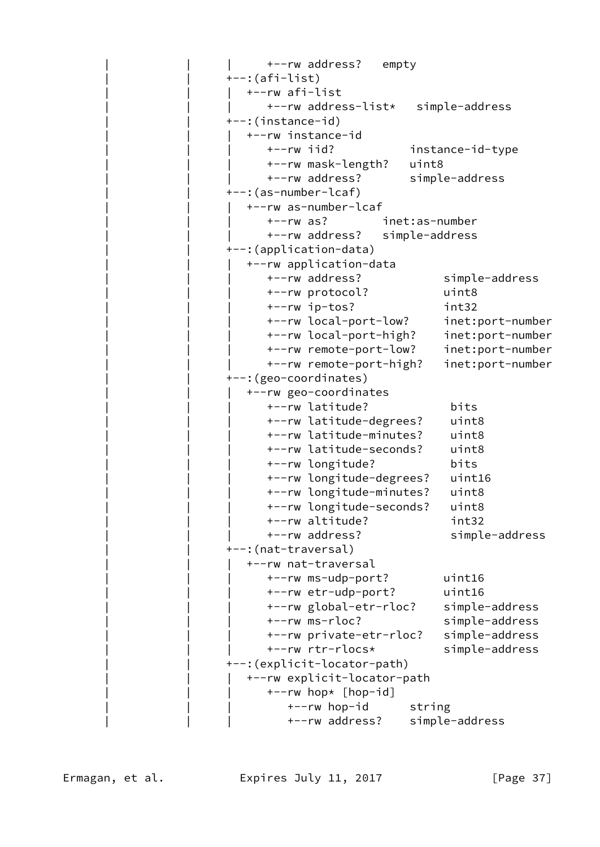```
 | | | +--rw address? empty
 | | +--:(afi-list)
    | | | +--rw afi-list
       | | | +--rw address-list* simple-address
 | | +--:(instance-id)
    | | | +--rw instance-id
       | | | +--rw iid? instance-id-type
       | | | +--rw mask-length? uint8
       | | | +--rw address? simple-address
 | | +--:(as-number-lcaf)
    | | | +--rw as-number-lcaf
       | | | +--rw as? inet:as-number
       | | | +--rw address? simple-address
 | | +--:(application-data)
    | | | +--rw application-data
       | | | +--rw address? simple-address
       | | | +--rw protocol? uint8
       | | | +--rw ip-tos? int32
       | | | +--rw local-port-low? inet:port-number
       | | | +--rw local-port-high? inet:port-number
       | | | +--rw remote-port-low? inet:port-number
       | | | +--rw remote-port-high? inet:port-number
 | | +--:(geo-coordinates)
    | | | +--rw geo-coordinates
       | | | +--rw latitude? bits
       | | | +--rw latitude-degrees? uint8
       | | | +--rw latitude-minutes? uint8
       | | | +--rw latitude-seconds? uint8
       | | | +--rw longitude? bits
       | | | +--rw longitude-degrees? uint16
       | | | +--rw longitude-minutes? uint8
       | | | +--rw longitude-seconds? uint8
       | | | +--rw altitude? int32
      +--rw address? simple-address
+--: (nat-traversal)
    | | | +--rw nat-traversal
       | | | +--rw ms-udp-port? uint16
       | | | +--rw etr-udp-port? uint16
       | | | +--rw global-etr-rloc? simple-address
       | | | +--rw ms-rloc? simple-address
       | | | +--rw private-etr-rloc? simple-address
       | | | +--rw rtr-rlocs* simple-address
 | | +--:(explicit-locator-path)
    | | | +--rw explicit-locator-path
      +--rw hop* [hop-id]+--rw hop-id string
          | | | +--rw address? simple-address
```
Ermagan, et al. Expires July 11, 2017 [Page 37]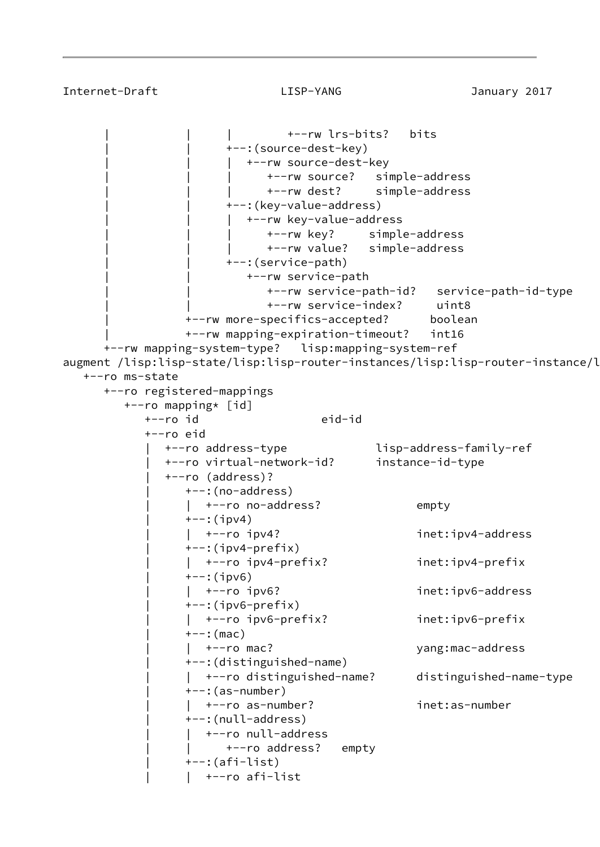```
 | | | +--rw lrs-bits? bits
                       +--: (source-dest-key)
                          +--rw source-dest-key
                              | | | +--rw source? simple-address
                              | | | +--rw dest? simple-address
                       +--: (key-value-address)
                           | | | +--rw key-value-address
                              | | | +--rw key? simple-address
                              | | | +--rw value? simple-address
                        | | +--:(service-path)
                           | | +--rw service-path
                              | | +--rw service-path-id? service-path-id-type
                              | | +--rw service-index? uint8
                  | +--rw more-specifics-accepted? boolean
                  | +--rw mapping-expiration-timeout? int16
      +--rw mapping-system-type? lisp:mapping-system-ref
augment /lisp:lisp-state/lisp:lisp-router-instances/lisp:lisp-router-instance/l
   +--ro ms-state
      +--ro registered-mappings
         +--ro mapping* [id]
            +--ro id eid-id
            +--ro eid
               | +--ro address-type lisp-address-family-ref
               | +--ro virtual-network-id? instance-id-type
               | +--ro (address)?
                  | +--:(no-address)
                 | +--ro no-address? empty
                 +--:(ipv4)
                  | | +--ro ipv4? inet:ipv4-address
                 +-: (ipv4-prefix)
                  | | +--ro ipv4-prefix? inet:ipv4-prefix
                 +--:(ipv6)
                    | | +--ro ipv6? inet:ipv6-address
                 +-: (ipv6-prefix)
                  | | +--ro ipv6-prefix? inet:ipv6-prefix
                 ---:(mac)
                     | | +--ro mac? yang:mac-address
                  | +--:(distinguished-name)
                  | | +--ro distinguished-name? distinguished-name-type
                 +--: (as-number)
                     | | +--ro as-number? inet:as-number
                  | +--:(null-address)
                    | | +--ro null-address
                       +--ro address? empty
                  | +--:(afi-list)
                     | | +--ro afi-list
```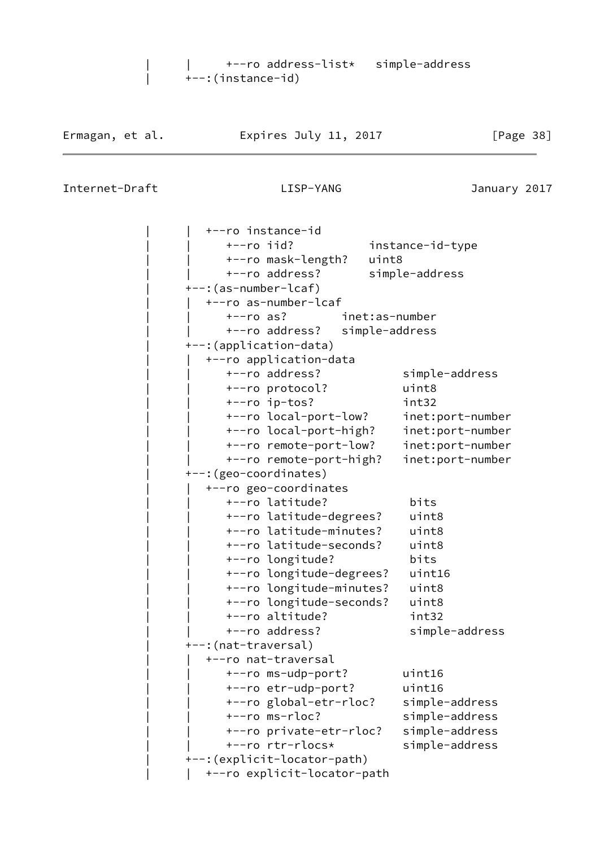| | +--ro address-list\* simple-address | +--:(instance-id)

Internet-Draft LISP-YANG January 2017

 | | +--ro instance-id | | +--ro iid? instance-id-type | | +--ro mask-length? uint8 | | +--ro address? simple-address | +--:(as-number-lcaf) | | +--ro as-number-lcaf | | +--ro as? inet:as-number | | +--ro address? simple-address | +--:(application-data) | | +--ro application-data | | +--ro address? simple-address | | +--ro protocol? uint8 | | +--ro ip-tos? int32 | | +--ro local-port-low? inet:port-number | | +--ro local-port-high? inet:port-number | | +--ro remote-port-low? inet:port-number | | +--ro remote-port-high? inet:port-number | +--:(geo-coordinates) | | +--ro geo-coordinates | | +--ro latitude? bits | | +--ro latitude-degrees? uint8 | | +--ro latitude-minutes? uint8 | | +--ro latitude-seconds? uint8 | | +--ro longitude? bits | | +--ro longitude-degrees? uint16 | | +--ro longitude-minutes? uint8 | | +--ro longitude-seconds? uint8 | | +--ro altitude? int32 | | +--ro address? simple-address | +--:(nat-traversal) | | +--ro nat-traversal | | +--ro ms-udp-port? uint16 | | +--ro etr-udp-port? uint16 | | +--ro global-etr-rloc? simple-address | | +--ro ms-rloc? simple-address | | +--ro private-etr-rloc? simple-address | | +--ro rtr-rlocs\* simple-address | +--:(explicit-locator-path) | | +--ro explicit-locator-path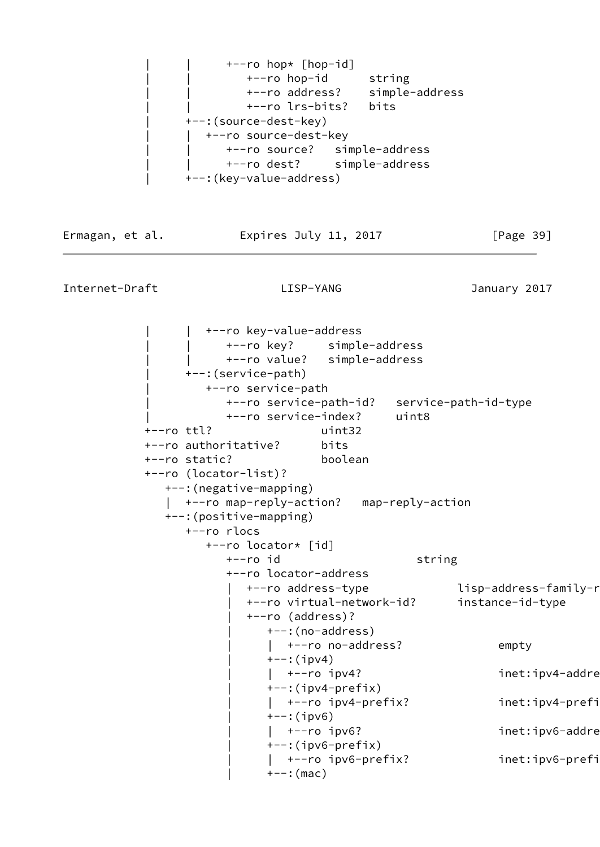

Ermagan, et al. **Expires July 11, 2017** [Page 39]

Internet-Draft LISP-YANG January 2017

+--ro key-value-address | | +--ro key? simple-address | | +--ro value? simple-address | +--:(service-path) | +--ro service-path | +--ro service-path-id? service-path-id-type | +--ro service-index? uint8 +--ro ttl? uint32 +--ro authoritative? bits +--ro static? boolean +--ro (locator-list)? +--:(negative-mapping) | +--ro map-reply-action? map-reply-action +--:(positive-mapping) +--ro rlocs +--ro locator\* [id] +--ro id string +--ro locator-address +--ro address-type lisp-address-family-ref- | +--ro virtual-network-id? instance-id-type | +--ro (address)? | +--:(no-address) |  $+--$ ro no-address? empty  $+--:$ (ipv4) | | +--ro ipv4? inet:ipv4-address | +--:(ipv4-prefix) | +--ro ipv4-prefix? inet:ipv4-prefi  $+--:$ (ipv6) | +--ro ipv6? inet:ipv6-addre  $+--$ :(ipv6-prefix) | | +--ro ipv6-prefix? inet:ipv6-prefix  $+--:$  (mac)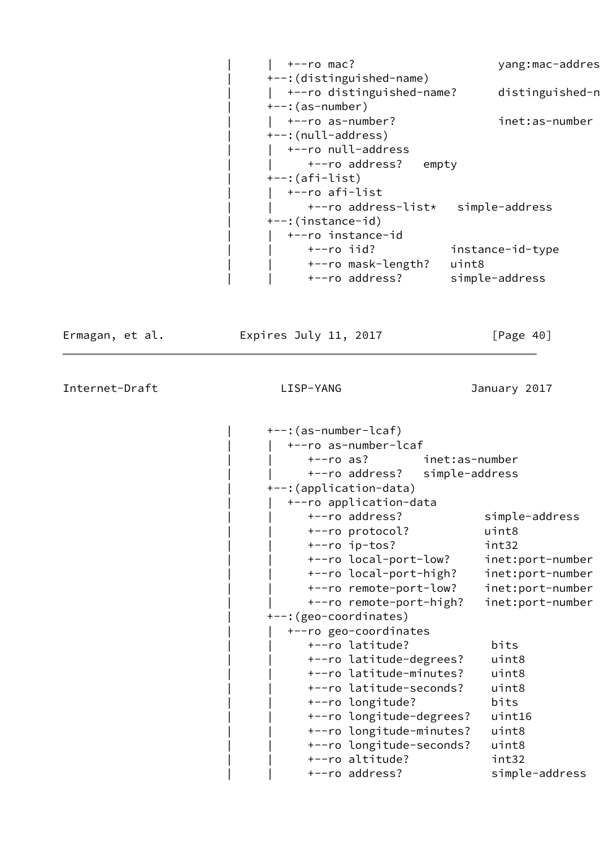| $+--ro$ mac?                       | yang:mac-addres  |
|------------------------------------|------------------|
| +--: (distinguished-name)          |                  |
| +--ro distinguished-name?          | distinguished-n  |
| $+-$ : (as-number)                 |                  |
| +--ro as-number?                   | inet:as-number   |
| +--:(null-address)                 |                  |
| +--ro null-address                 |                  |
| +--ro address?<br>empty            |                  |
| $+-$ : (afi-list)                  |                  |
| +--ro afi-list                     |                  |
| +--ro address-list* simple-address |                  |
| +--:(instance-id)                  |                  |
| +--ro instance-id                  |                  |
| $+--ro$ iid?                       | instance-id-type |
| +--ro mask-length?                 | uint8            |
| +--ro address?                     | simple-address   |

Ermagan, et al. 
Expires July 11, 2017  $[Page 40]$ 

Internet-Draft LISP-YANG January 2017

 | +--:(as-number-lcaf) | | +--ro as-number-lcaf | | +--ro as? inet:as-number | | +--ro address? simple-address | +--:(application-data) | | +--ro application-data | | +--ro address? simple-address | | +--ro protocol? uint8 | | +--ro ip-tos? int32 | | +--ro local-port-low? inet:port-number | | +--ro local-port-high? inet:port-number | | +--ro remote-port-low? inet:port-number | | +--ro remote-port-high? inet:port-number | +--:(geo-coordinates) | | +--ro geo-coordinates | | +--ro latitude? bits | | +--ro latitude-degrees? uint8 | | +--ro latitude-minutes? uint8 | | +--ro latitude-seconds? uint8 | | +--ro longitude? bits | | +--ro longitude-degrees? uint16 | | +--ro longitude-minutes? uint8 | | +--ro longitude-seconds? uint8 | | +--ro altitude? int32 +--ro address? simple-address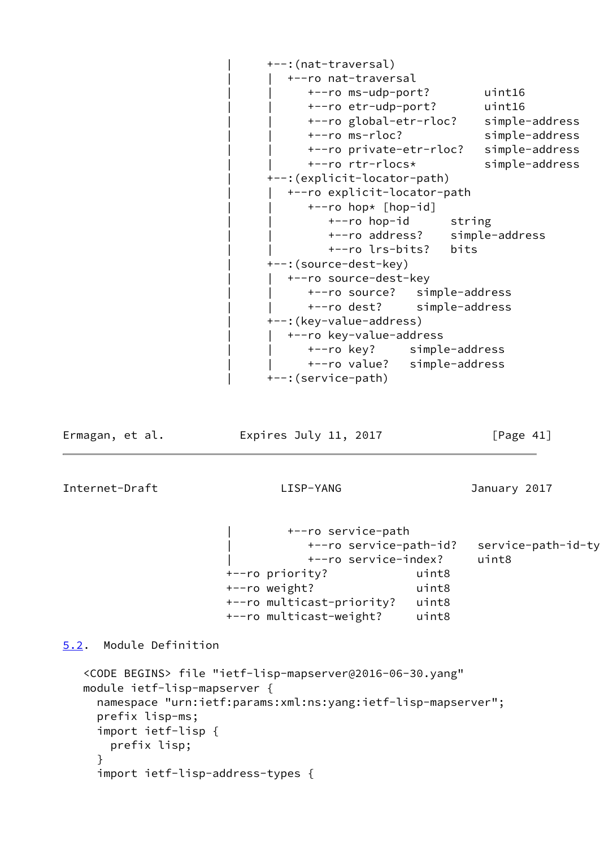| +--:(nat-traversal)           |                |
|-------------------------------|----------------|
| +--ro nat-traversal           |                |
| +--ro ms-udp-port?            | uint16         |
| +--ro etr-udp-port?           | uint16         |
| +--ro global-etr-rloc?        | simple-address |
| $+--ro$ ms-rloc?              | simple-address |
| +--ro private-etr-rloc?       | simple-address |
| +--ro rtr-rlocs*              | simple-address |
| +--: (explicit-locator-path)  |                |
| +--ro explicit-locator-path   |                |
| +--ro hop* [hop-id]           |                |
| +--ro hop-id<br>string        |                |
| +--ro address? simple-address |                |
| +--ro lrs-bits?<br>bits       |                |
| +--: (source-dest-key)        |                |
| +--ro source-dest-key         |                |
| +--ro source? simple-address  |                |
| +--ro dest? simple-address    |                |
| +--: (key-value-address)      |                |
| +--ro key-value-address       |                |
| +--ro key? simple-address     |                |
| +--ro value? simple-address   |                |
| +--: (service-path)           |                |

Ermagan, et al. 
Expires July 11, 2017  $[Page 41]$ 

Internet-Draft LISP-YANG January 2017

 | +--ro service-path | +--ro service-path-id? service-path-id-type | +--ro service-index? uint8 +--ro priority? uint8 +--ro weight? uint8 +--ro multicast-priority? uint8 +--ro multicast-weight? uint8

<span id="page-46-0"></span>[5.2](#page-46-0). Module Definition

```
 <CODE BEGINS> file "ietf-lisp-mapserver@2016-06-30.yang"
 module ietf-lisp-mapserver {
   namespace "urn:ietf:params:xml:ns:yang:ietf-lisp-mapserver";
   prefix lisp-ms;
   import ietf-lisp {
     prefix lisp;
   }
   import ietf-lisp-address-types {
```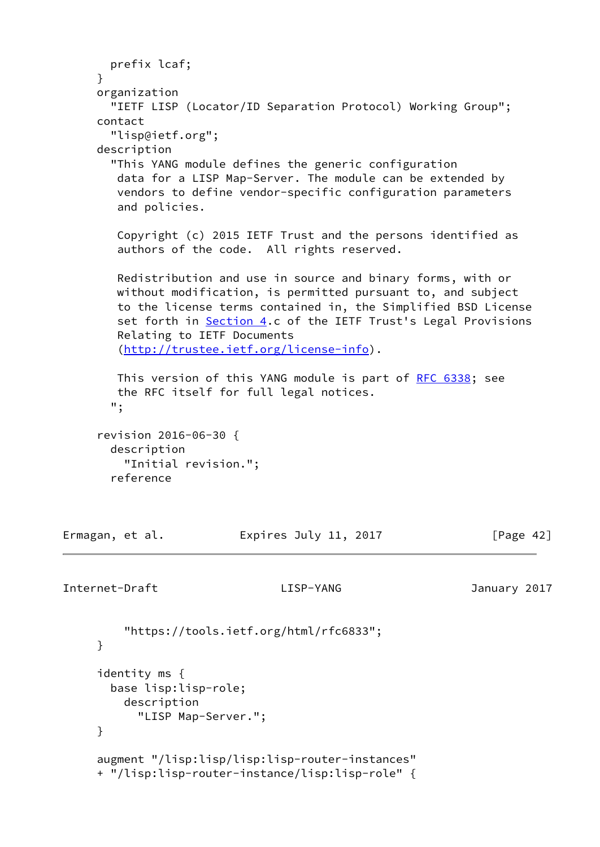```
 prefix lcaf;
     }
     organization
       "IETF LISP (Locator/ID Separation Protocol) Working Group";
     contact
       "lisp@ietf.org";
     description
       "This YANG module defines the generic configuration
        data for a LISP Map-Server. The module can be extended by
        vendors to define vendor-specific configuration parameters
        and policies.
        Copyright (c) 2015 IETF Trust and the persons identified as
        authors of the code. All rights reserved.
        Redistribution and use in source and binary forms, with or
        without modification, is permitted pursuant to, and subject
        to the license terms contained in, the Simplified BSD License
        Section 4.c of the IETF Trust's Legal Provisions
        Relating to IETF Documents
        (http://trustee.ietf.org/license-info).
        RFC 6338; see
        the RFC itself for full legal notices.
       ";
     revision 2016-06-30 {
       description
         "Initial revision.";
       reference
Ermagan, et al.             Expires July 11, 2017               [Page 42]
Internet-Draft LISP-YANG January 2017
         "https://tools.ietf.org/html/rfc6833";
     }
     identity ms {
       base lisp:lisp-role;
         description
           "LISP Map-Server.";
```

```
 augment "/lisp:lisp/lisp:lisp-router-instances"
 + "/lisp:lisp-router-instance/lisp:lisp-role" {
```
}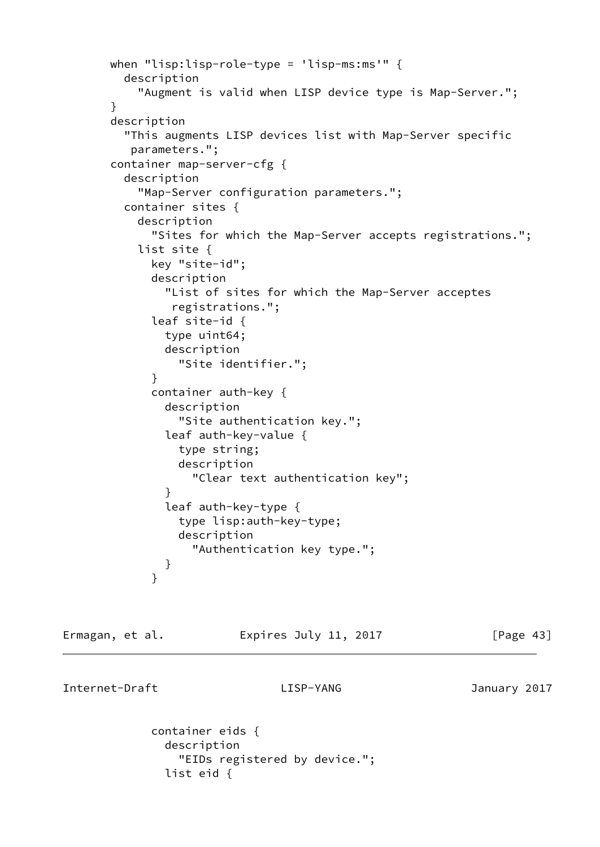```
 when "lisp:lisp-role-type = 'lisp-ms:ms'" {
         description
           "Augment is valid when LISP device type is Map-Server.";
       }
       description
         "This augments LISP devices list with Map-Server specific
          parameters.";
       container map-server-cfg {
         description
           "Map-Server configuration parameters.";
         container sites {
           description
             "Sites for which the Map-Server accepts registrations.";
           list site {
             key "site-id";
             description
               "List of sites for which the Map-Server acceptes
                registrations.";
             leaf site-id {
               type uint64;
               description
                 "Site identifier.";
 }
             container auth-key {
               description
                 "Site authentication key.";
               leaf auth-key-value {
                 type string;
                 description
                    "Clear text authentication key";
 }
               leaf auth-key-type {
                 type lisp:auth-key-type;
                 description
                    "Authentication key type.";
 }
 }
```
Ermagan, et al. **Expires July 11, 2017** [Page 43]

Internet-Draft LISP-YANG January 2017

 container eids { description "EIDs registered by device."; list eid {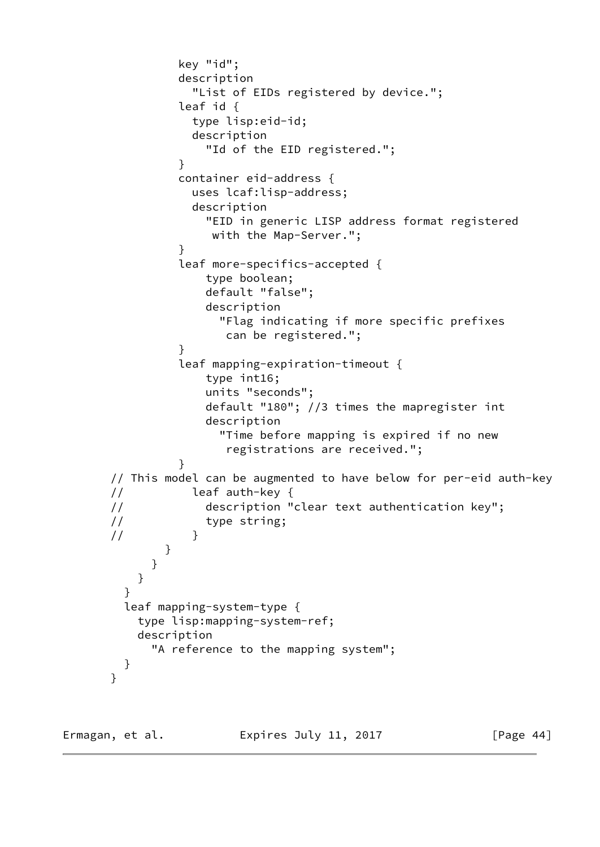```
 key "id";
                description
                  "List of EIDs registered by device.";
                leaf id {
                  type lisp:eid-id;
                  description
                    "Id of the EID registered.";
 }
                container eid-address {
                  uses lcaf:lisp-address;
                  description
                    "EID in generic LISP address format registered
                     with the Map-Server.";
 }
                leaf more-specifics-accepted {
                    type boolean;
                    default "false";
                    description
                      "Flag indicating if more specific prefixes
                       can be registered.";
 }
                leaf mapping-expiration-timeout {
                    type int16;
                    units "seconds";
                    default "180"; //3 times the mapregister int
                    description
                      "Time before mapping is expired if no new
                       registrations are received.";
 }
       // This model can be augmented to have below for per-eid auth-key
       // leaf auth-key {
       // description "clear text authentication key";
       // type string;
      \frac{1}{2} }
 }
 }
 }
 }
         leaf mapping-system-type {
          type lisp:mapping-system-ref;
          description
            "A reference to the mapping system";
         }
       }
```
Ermagan, et al. **Expires July 11, 2017** [Page 44]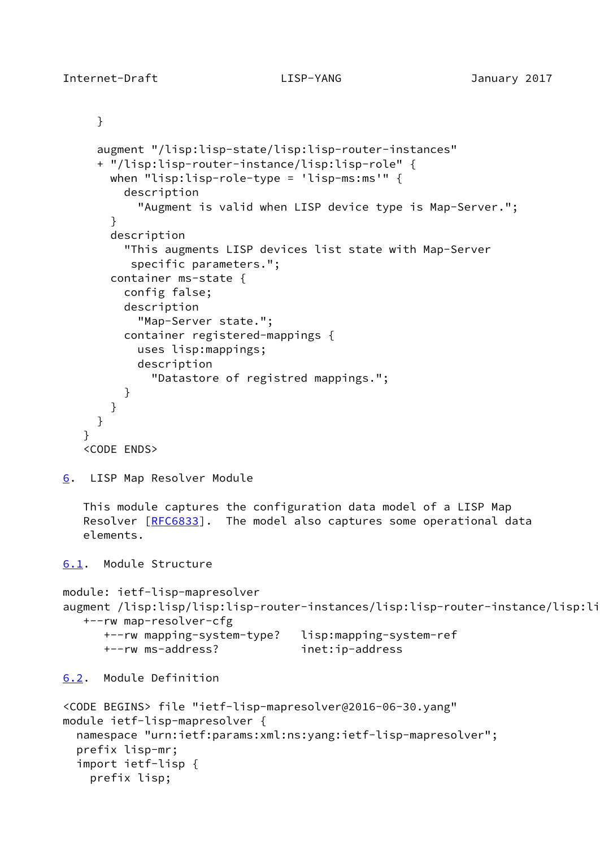```
 }
      augment "/lisp:lisp-state/lisp:lisp-router-instances"
      + "/lisp:lisp-router-instance/lisp:lisp-role" {
        when "lisp:lisp-role-type = 'lisp-ms:ms'" {
          description
            "Augment is valid when LISP device type is Map-Server.";
        }
        description
          "This augments LISP devices list state with Map-Server
           specific parameters.";
        container ms-state {
          config false;
          description
            "Map-Server state.";
          container registered-mappings {
            uses lisp:mappings;
            description
              "Datastore of registred mappings.";
          }
       }
      }
    }
    <CODE ENDS>
6. LISP Map Resolver Module
    This module captures the configuration data model of a LISP Map
   [RFC6833]. The model also captures some operational data
    elements.
6.1. Module Structure
module: ietf-lisp-mapresolver
augment /lisp:lisp/lisp:lisp-router-instances/lisp:lisp-router-instance/lisp:li
    +--rw map-resolver-cfg
       +--rw mapping-system-type? lisp:mapping-system-ref
       +--rw ms-address? inet:ip-address
6.2. Module Definition
<CODE BEGINS> file "ietf-lisp-mapresolver@2016-06-30.yang"
module ietf-lisp-mapresolver {
   namespace "urn:ietf:params:xml:ns:yang:ietf-lisp-mapresolver";
   prefix lisp-mr;
   import ietf-lisp {
     prefix lisp;
```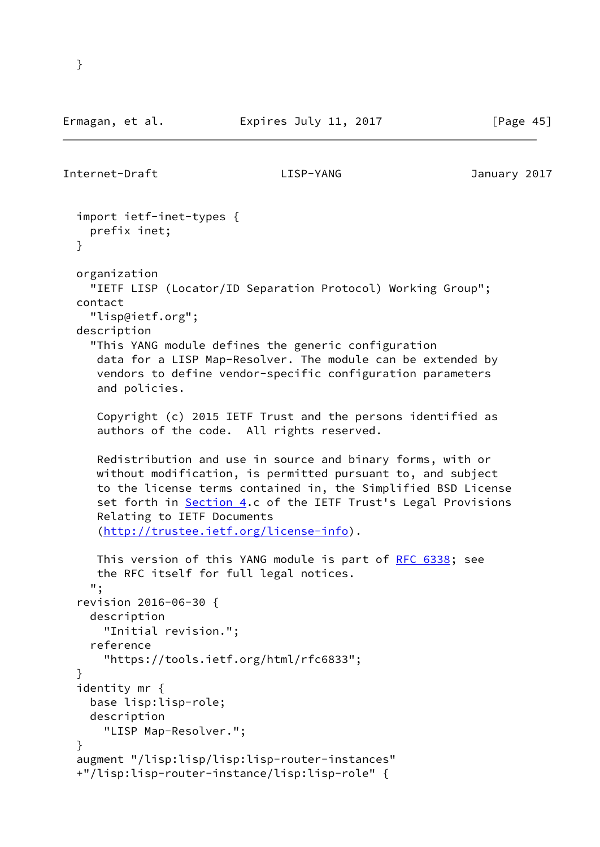```
Internet-Draft LISP-YANG January 2017
  import ietf-inet-types {
    prefix inet;
  }
  organization
    "IETF LISP (Locator/ID Separation Protocol) Working Group";
  contact
    "lisp@ietf.org";
  description
    "This YANG module defines the generic configuration
     data for a LISP Map-Resolver. The module can be extended by
     vendors to define vendor-specific configuration parameters
     and policies.
     Copyright (c) 2015 IETF Trust and the persons identified as
     authors of the code. All rights reserved.
     Redistribution and use in source and binary forms, with or
     without modification, is permitted pursuant to, and subject
     to the license terms contained in, the Simplified BSD License
    Section 4.c of the IETF Trust's Legal Provisions
     Relating to IETF Documents
     (http://trustee.ietf.org/license-info).
     RFC 6338; see
     the RFC itself for full legal notices.
    ";
  revision 2016-06-30 {
    description
      "Initial revision.";
    reference
      "https://tools.ietf.org/html/rfc6833";
  }
  identity mr {
    base lisp:lisp-role;
    description
      "LISP Map-Resolver.";
  }
  augment "/lisp:lisp/lisp:lisp-router-instances"
  +"/lisp:lisp-router-instance/lisp:lisp-role" {
```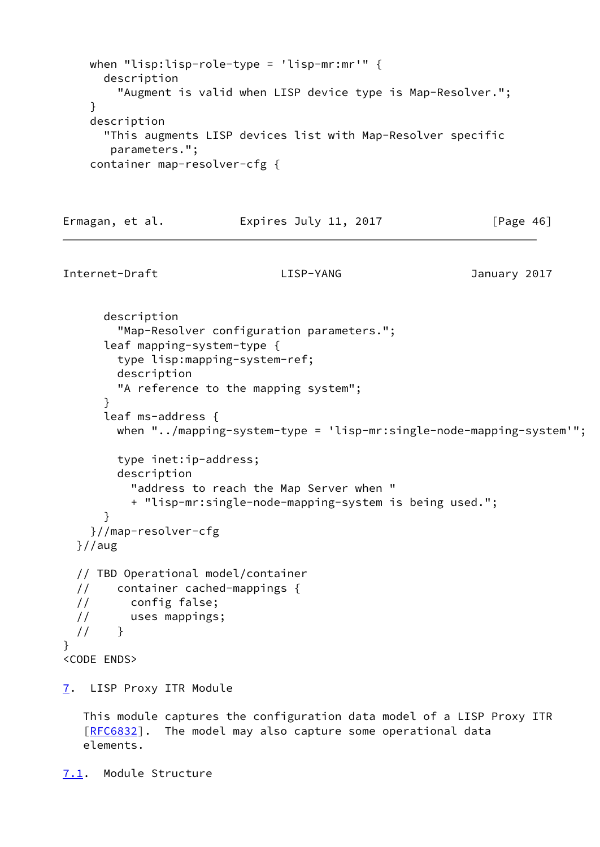```
 when "lisp:lisp-role-type = 'lisp-mr:mr'" {
      description
        "Augment is valid when LISP device type is Map-Resolver.";
     }
     description
      "This augments LISP devices list with Map-Resolver specific
       parameters.";
     container map-resolver-cfg {
Ermagan, et al. 
Expires July 11, 2017 [Page 46]
Internet-Draft LISP-YANG January 2017
      description
        "Map-Resolver configuration parameters.";
      leaf mapping-system-type {
        type lisp:mapping-system-ref;
        description
        "A reference to the mapping system";
      }
      leaf ms-address {
        when "../mapping-system-type = 'lisp-mr:single-node-mapping-system'";
        type inet:ip-address;
        description
          "address to reach the Map Server when "
          + "lisp-mr:single-node-mapping-system is being used.";
      }
    }//map-resolver-cfg
  }//aug
  // TBD Operational model/container
  // container cached-mappings {
  // config false;
  // uses mappings;
 // }
}
<CODE ENDS>
7. LISP Proxy ITR Module
   This module captures the configuration data model of a LISP Proxy ITR
   [RFC6832]. The model may also capture some operational data
   elements.
```

```
7.1. Module Structure
```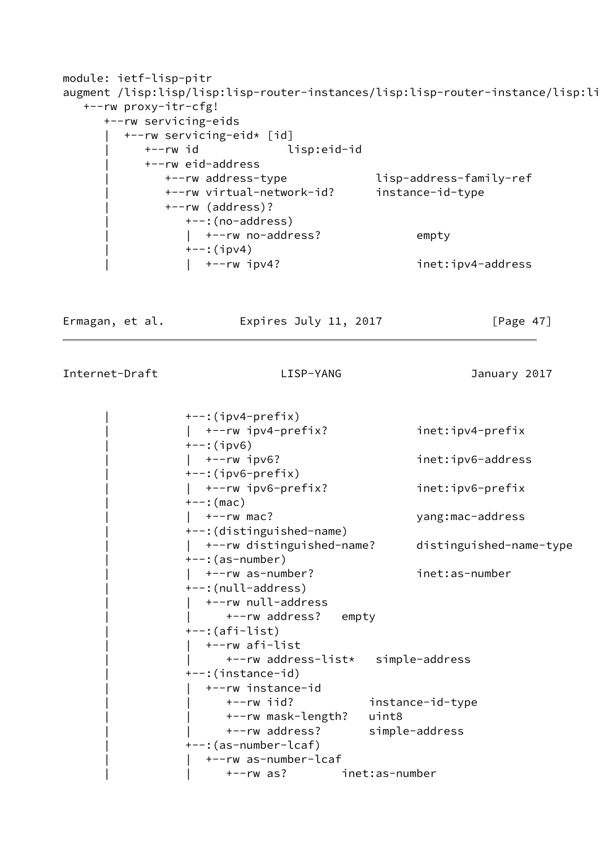```
module: ietf-lisp-pitr
augment /lisp:lisp/lisp:lisp-router-instances/lisp:lisp-router-instance/lisp:li
   +--rw proxy-itr-cfg!
      +--rw servicing-eids
        | +--rw servicing-eid* [id]
           | +--rw id lisp:eid-id
           | +--rw eid-address
              | +--rw address-type lisp-address-family-ref
              | +--rw virtual-network-id? instance-id-type
              | +--rw (address)?
                | +--:(no-address)
               | +--rw no-address? empty
               +--:(ipv4)
                | | +--rw ipv4? inet:ipv4-address
Ermagan, et al. 
Expires July 11, 2017

[Page 47]Internet-Draft LISP-YANG January 2017
               +--: (ipv4-prefix)
                | | +--rw ipv4-prefix? inet:ipv4-prefix
               +--:(ipv6)
                | | +--rw ipv6? inet:ipv6-address
               +-:(ipv6-prefix)
                | | +--rw ipv6-prefix? inet:ipv6-prefix
               +--: (mac)
                | | +--rw mac? yang:mac-address
                | +--:(distinguished-name)
                | | +--rw distinguished-name? distinguished-name-type
                | +--:(as-number)
                | | +--rw as-number? inet:as-number
                | +--:(null-address)
                 | | +--rw null-address
                    +--rw address? empty
```

```
 | +--:(afi-list)
 | | +--rw afi-list
       | | +--rw address-list* simple-address
 | +--:(instance-id)
  | | +--rw instance-id
       | | +--rw iid? instance-id-type
       | | +--rw mask-length? uint8
      | | +--rw address? simple-address
 | +--:(as-number-lcaf)
   | | +--rw as-number-lcaf
       | | +--rw as? inet:as-number
```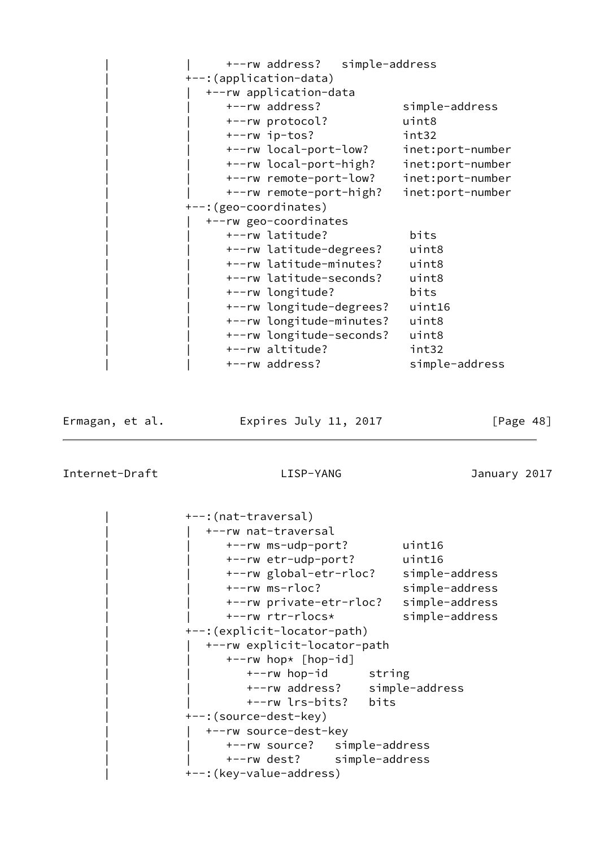| | +--rw address? simple-address | +--:(application-data) | | +--rw application-data | | +--rw address? simple-address | | +--rw protocol? uint8 | | +--rw ip-tos? int32 | | +--rw local-port-low? inet:port-number | | +--rw local-port-high? inet:port-number | | +--rw remote-port-low? inet:port-number | | +--rw remote-port-high? inet:port-number | +--:(geo-coordinates) | | +--rw geo-coordinates | | +--rw latitude? bits | | +--rw latitude-degrees? uint8 | | +--rw latitude-minutes? uint8 | | +--rw latitude-seconds? uint8 | | +--rw longitude? bits | | +--rw longitude-degrees? uint16 | | +--rw longitude-minutes? uint8 | | +--rw longitude-seconds? uint8 | | +--rw altitude? int32 +--rw address? simple-address

Ermagan, et al. 
Expires July 11, 2017  $[Page 48]$ 

Internet-Draft LISP-YANG January 2017

 | +--:(nat-traversal) | | +--rw nat-traversal | | +--rw ms-udp-port? uint16 | | +--rw etr-udp-port? uint16 | | +--rw global-etr-rloc? simple-address | | +--rw ms-rloc? simple-address | | +--rw private-etr-rloc? simple-address | | +--rw rtr-rlocs\* simple-address | +--:(explicit-locator-path) | | +--rw explicit-locator-path | | +--rw hop\* [hop-id] +--rw hop-id string | | +--rw address? simple-address | | +--rw lrs-bits? bits | +--:(source-dest-key) +--rw source-dest-key | | +--rw source? simple-address | | +--rw dest? simple-address | +--:(key-value-address)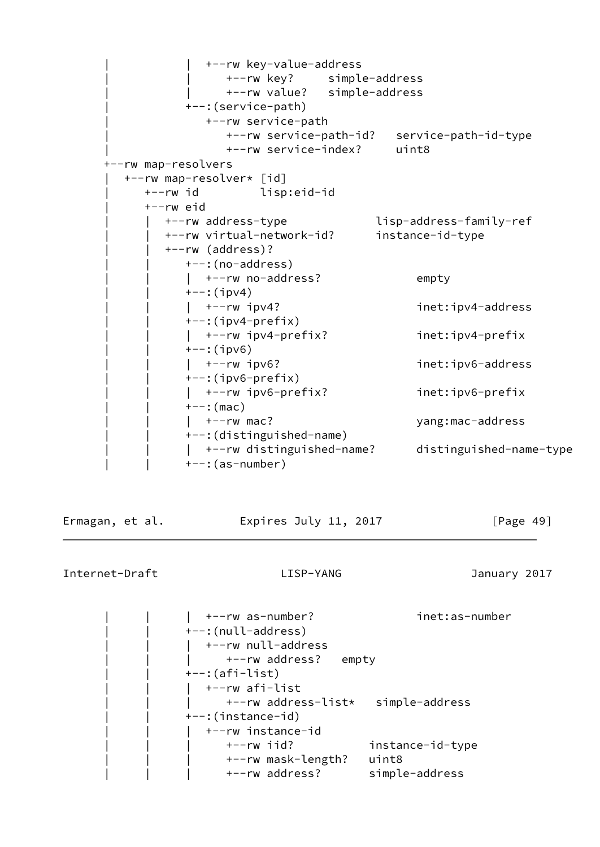| | +--rw key-value-address | | +--rw key? simple-address | | +--rw value? simple-address | +--:(service-path) | +--rw service-path | +--rw service-path-id? service-path-id-type | +--rw service-index? uint8 +--rw map-resolvers | +--rw map-resolver\* [id] | +--rw id lisp:eid-id | +--rw eid | | +--rw address-type lisp-address-family-ref | | +--rw virtual-network-id? instance-id-type | | +--rw (address)? | | +--:(no-address) | | | +--rw no-address? empty | | +--:(ipv4) | | | +--rw ipv4? inet:ipv4-address | | +--:(ipv4-prefix) | | | +--rw ipv4-prefix? inet:ipv4-prefix | | +--:(ipv6) | | | +--rw ipv6? inet:ipv6-address | | +--:(ipv6-prefix) | | | +--rw ipv6-prefix? inet:ipv6-prefix | | +--:(mac) | | | +--rw mac? yang:mac-address | | +--:(distinguished-name) | | | +--rw distinguished-name? distinguished-name-type | | +--:(as-number)

Ermagan, et al. Expires July 11, 2017 [Page 49]

| +--rw as-number?        | inet:as-number   |
|-------------------------|------------------|
| +--: (null-address)     |                  |
| +--rw null-address      |                  |
| +--rw address?<br>empty |                  |
| $+-$ : (afi-list)       |                  |
| +--rw afi-list          |                  |
| +--rw address-list*     | simple-address   |
| +--:(instance-id)       |                  |
| +--rw instance-id       |                  |
| $+--rw$ iid?            | instance-id-type |
| +--rw mask-length?      | uint8            |
| +--rw address?          | simple-address   |
|                         |                  |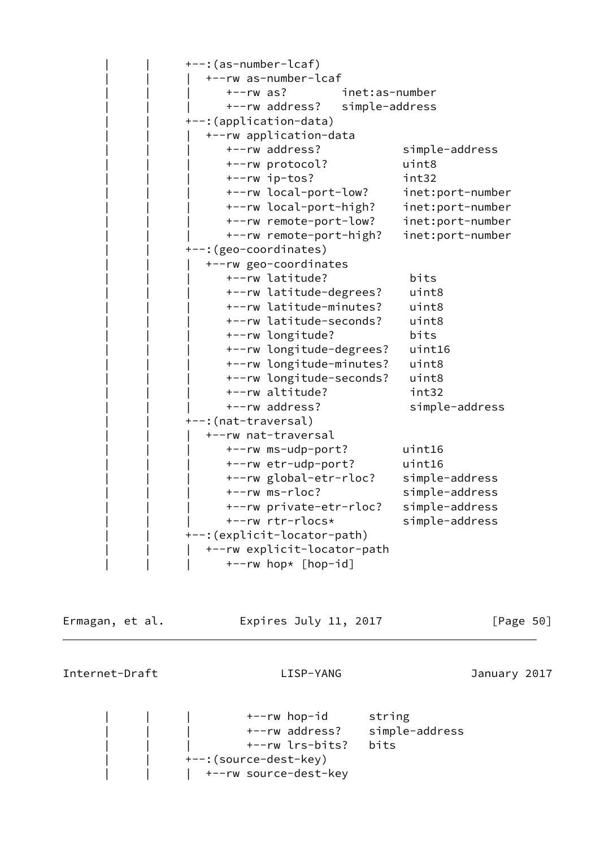| | +--:(as-number-lcaf) | | | +--rw as-number-lcaf | | | +--rw as? inet:as-number | | | +--rw address? simple-address | | +--:(application-data) | | | +--rw application-data | | | +--rw address? simple-address | | | +--rw protocol? uint8 | | | +--rw ip-tos? int32 | | | +--rw local-port-low? inet:port-number | | | +--rw local-port-high? inet:port-number | | | +--rw remote-port-low? inet:port-number | | | +--rw remote-port-high? inet:port-number +--: (geo-coordinates) | | | +--rw geo-coordinates | | | +--rw latitude? bits | | | +--rw latitude-degrees? uint8 | | | +--rw latitude-minutes? uint8 | | | +--rw latitude-seconds? uint8 | | | +--rw longitude? bits | | | +--rw longitude-degrees? uint16 | | | +--rw longitude-minutes? uint8 | | | +--rw longitude-seconds? uint8 | | | +--rw altitude? int32 | | | +--rw address? simple-address +--:(nat-traversal) | | | +--rw nat-traversal | | | +--rw ms-udp-port? uint16 | | | +--rw etr-udp-port? uint16 | | | +--rw global-etr-rloc? simple-address | | | +--rw ms-rloc? simple-address | | | +--rw private-etr-rloc? simple-address | | | +--rw rtr-rlocs\* simple-address | | +--:(explicit-locator-path) | | | +--rw explicit-locator-path  $+--rw$  hop\* [hop-id]

Ermagan, et al. Expires July 11, 2017 [Page 50]

Internet-Draft LISP-YANG January 2017

+--rw hop-id string | | | +--rw address? simple-address | | | +--rw lrs-bits? bits +--: (source-dest-key) +--rw source-dest-key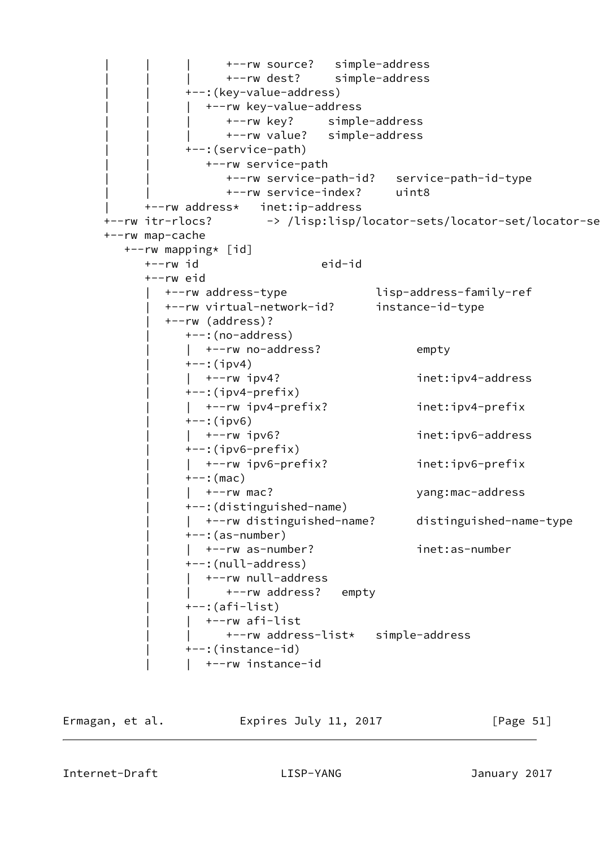```
 | | | +--rw source? simple-address
                  | | | +--rw dest? simple-address
           +--: (key-value-address)
              +--rw key-value-address
                  | | | +--rw key? simple-address
                  | | | +--rw value? simple-address
            | | +--:(service-path)
               | | +--rw service-path
                  | | +--rw service-path-id? service-path-id-type
                  | | +--rw service-index? uint8
      | +--rw address* inet:ip-address
+--rw itr-rlocs? -> /lisp:lisp/locator-sets/locator-set/locator-se
 +--rw map-cache
   +--rw mapping* [id]
      +--rw id eid-id
      +--rw eid
         | +--rw address-type lisp-address-family-ref
         | +--rw virtual-network-id? instance-id-type
         | +--rw (address)?
            | +--:(no-address)
           | +--rw no-address? empty
           +--:(ipv4)
            | | +--rw ipv4? inet:ipv4-address
            | +--:(ipv4-prefix)
            | | +--rw ipv4-prefix? inet:ipv4-prefix
           +--:(ipv6)
           | +--rw ipv6? inet:ipv6-address
            | +--:(ipv6-prefix)
            | | +--rw ipv6-prefix? inet:ipv6-prefix
           +--: (mac)
            | | +--rw mac? yang:mac-address
            | +--:(distinguished-name)
            | | +--rw distinguished-name? distinguished-name-type
           ---:(as-number)
            | | +--rw as-number? inet:as-number
            | +--:(null-address)
           | +--rw null-address
                  | | +--rw address? empty
           +--: (afi-list)
            | | +--rw afi-list
                  | | +--rw address-list* simple-address
            | +--:(instance-id)
            | | +--rw instance-id
```
Ermagan, et al. Expires July 11, 2017 [Page 51]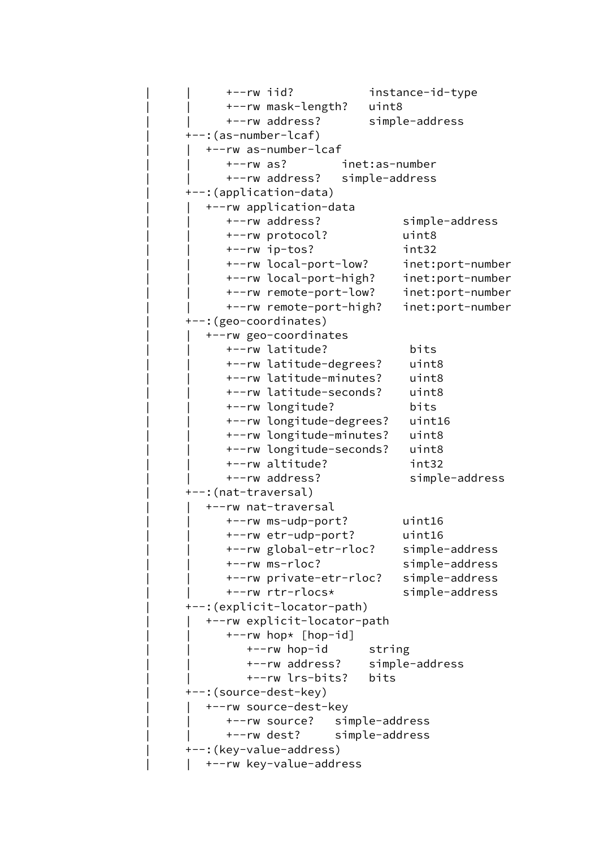```
 | | +--rw iid? instance-id-type
       | | +--rw mask-length? uint8
       | | +--rw address? simple-address
 | +--:(as-number-lcaf)
   | | +--rw as-number-lcaf
       | | +--rw as? inet:as-number
      | | +--rw address? simple-address
 | +--:(application-data)
   | | +--rw application-data
       | | +--rw address? simple-address
       | | +--rw protocol? uint8
       | | +--rw ip-tos? int32
       | | +--rw local-port-low? inet:port-number
      | | +--rw local-port-high? inet:port-number
       | | +--rw remote-port-low? inet:port-number
       | | +--rw remote-port-high? inet:port-number
 | +--:(geo-coordinates)
   | | +--rw geo-coordinates
       | | +--rw latitude? bits
       | | +--rw latitude-degrees? uint8
       | | +--rw latitude-minutes? uint8
       | | +--rw latitude-seconds? uint8
       | | +--rw longitude? bits
       | | +--rw longitude-degrees? uint16
       | | +--rw longitude-minutes? uint8
       | | +--rw longitude-seconds? uint8
       | | +--rw altitude? int32
      +--rw address? simple-address
 | +--:(nat-traversal)
   | | +--rw nat-traversal
       | | +--rw ms-udp-port? uint16
       | | +--rw etr-udp-port? uint16
       | | +--rw global-etr-rloc? simple-address
       | | +--rw ms-rloc? simple-address
       | | +--rw private-etr-rloc? simple-address
       | | +--rw rtr-rlocs* simple-address
 | +--:(explicit-locator-path)
   | | +--rw explicit-locator-path
      +--rw hop* [hop-id]+--rw hop-id string
          | | +--rw address? simple-address
          | | +--rw lrs-bits? bits
 | +--:(source-dest-key)
   | | +--rw source-dest-key
       | | +--rw source? simple-address
      | | +--rw dest? simple-address
 | +--:(key-value-address)
   | | +--rw key-value-address
```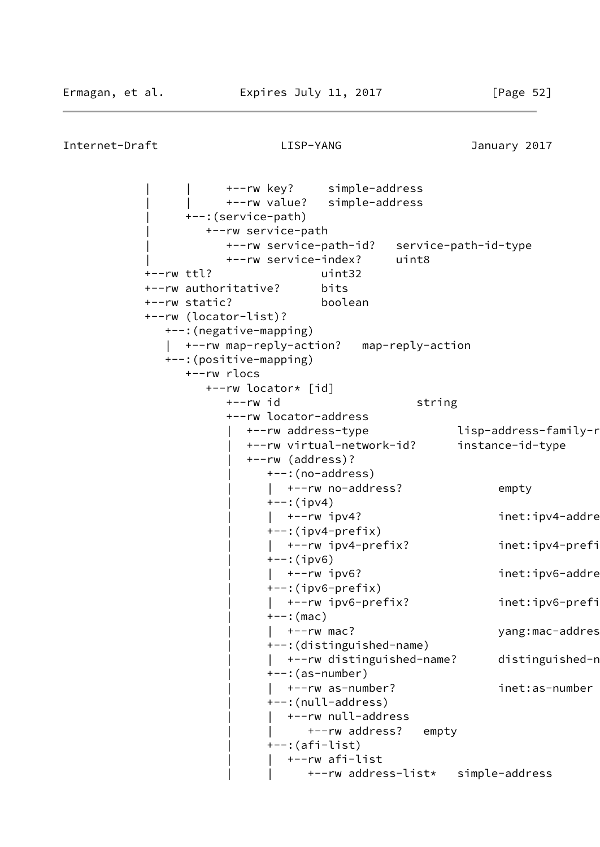```
Internet-Draft LISP-YANG January 2017
```
 | | +--rw key? simple-address | | +--rw value? simple-address | +--:(service-path) | +--rw service-path | +--rw service-path-id? service-path-id-type | +--rw service-index? uint8 +--rw ttl? uint32 +--rw authoritative? bits +--rw static? boolean +--rw (locator-list)? +--:(negative-mapping) | +--rw map-reply-action? map-reply-action +--:(positive-mapping) +--rw rlocs +--rw locator\* [id] +--rw id string +--rw locator-address +--rw address-type lisp-address-family-r | +--rw virtual-network-id? instance-id-type | +--rw (address)? | +--:(no-address) |  $+-rw$  no-address? empty  $+--:$ (ipv4) | +--rw ipv4? inet:ipv4-addre  $+--$ : (ipv4-prefix) | | +--rw ipv4-prefix? inet:ipv4-prefix  $+--:$ (ipv6) | +--rw ipv6? inet:ipv6-address  $+-:$ (ipv6-prefix) | | +--rw ipv6-prefix? inet:ipv6-prefix  $+--:$  (mac) |  $+--rw$  mac? yang:mac-addres | +--:(distinguished-name) | +--rw distinguished-name? distinguished-n  $---:$ (as-number) | | +--rw as-number? inet:as-number | +--:(null-address) | | +--rw null-address | | +--rw address? empty | +--:(afi-list) | | +--rw afi-list | | +--rw address-list\* simple-address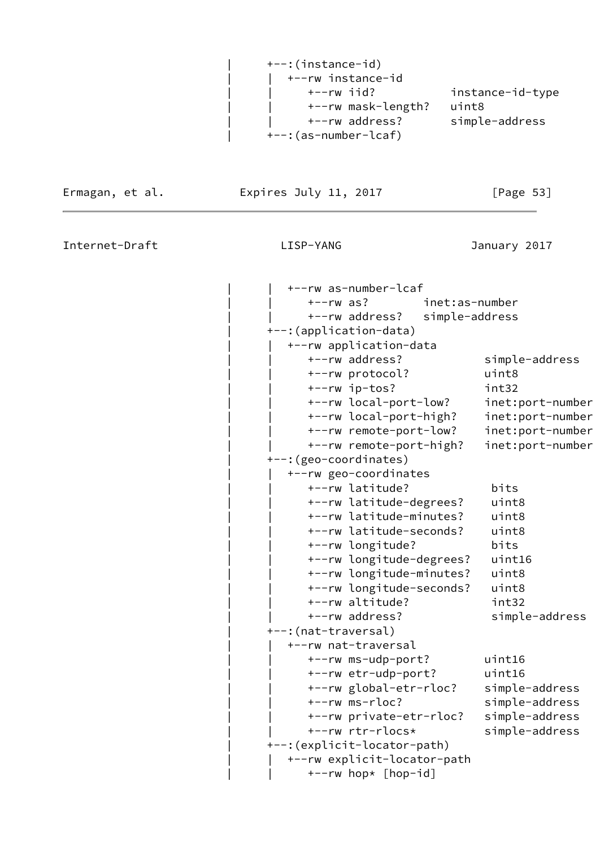| +--:(instance-id)         |                  |
|---------------------------|------------------|
| $\vert$ +--rw instance-id |                  |
| +--rw iid?                | instance-id-type |
| +--rw mask-length?        | uint8            |
| +--rw address?            | simple-address   |
| +--:(as-number-lcaf)      |                  |

Ermagan, et al. Expires July 11, 2017 [Page 53]

 $\overline{a}$ 

| +--rw as-number-lcaf         |                  |
|------------------------------|------------------|
| $+--rw$ as?                  | inet:as-number   |
| +--rw address?               | simple-address   |
| +--: (application-data)      |                  |
| +--rw application-data       |                  |
| +--rw address?               | simple-address   |
| +--rw protocol?              | uint8            |
| +--rw ip-tos?                | int32            |
| +--rw local-port-low?        | inet:port-number |
| +--rw local-port-high?       | inet:port-number |
| +--rw remote-port-low?       | inet:port-number |
| +--rw remote-port-high?      | inet:port-number |
| +--: (geo-coordinates)       |                  |
| +--rw geo-coordinates        |                  |
| +--rw latitude?              | bits             |
| +--rw latitude-degrees?      | uint8            |
| +--rw latitude-minutes?      | uint8            |
| +--rw latitude-seconds?      | uint8            |
| +--rw longitude?             | bits             |
| +--rw longitude-degrees?     | uint16           |
| +--rw longitude-minutes?     | uint8            |
| +--rw longitude-seconds?     | uint8            |
| +--rw altitude?              | int32            |
| +--rw address?               | simple-address   |
| +--: (nat-traversal)         |                  |
| +--rw nat-traversal          |                  |
| +--rw ms-udp-port?           | uint16           |
| +--rw etr-udp-port?          | uint16           |
| +--rw global-etr-rloc?       | simple-address   |
| +--rw ms-rloc?               | simple-address   |
| +--rw private-etr-rloc?      | simple-address   |
| +--rw rtr-rlocs*             | simple-address   |
| +--: (explicit-locator-path) |                  |
| +--rw explicit-locator-path  |                  |
| +--rw hop* [hop-id]          |                  |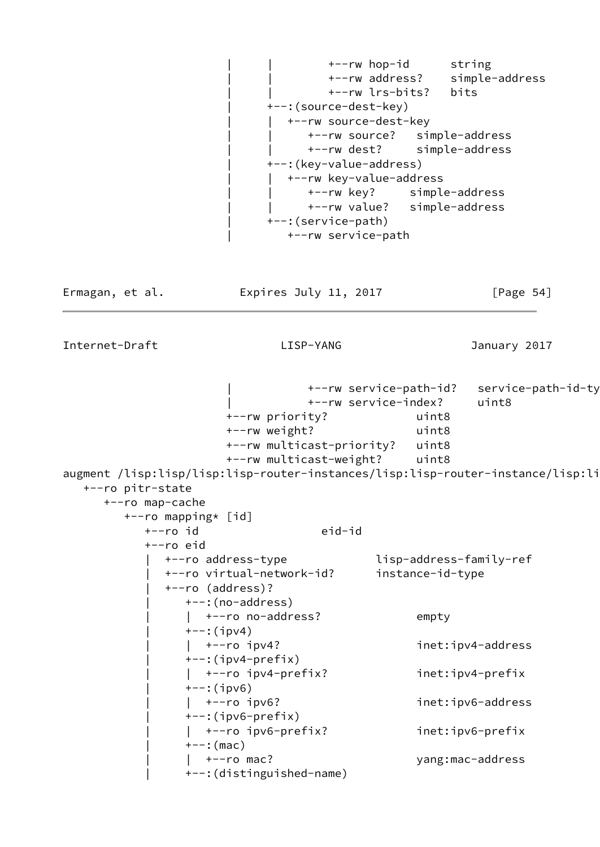| | +--rw hop-id string | | +--rw address? simple-address | | +--rw lrs-bits? bits | +--:(source-dest-key) +--rw source-dest-key | | +--rw source? simple-address | | +--rw dest? simple-address | +--:(key-value-address) | | +--rw key-value-address | | +--rw key? simple-address | | +--rw value? simple-address | +--:(service-path) | +--rw service-path Ermagan, et al. Expires July 11, 2017 [Page 54] Internet-Draft LISP-YANG January 2017 | +--rw service-path-id? service-path-id-type | +--rw service-index? uint8 +--rw priority? uint8 +--rw weight? uint8 +--rw multicast-priority? uint8 +--rw multicast-weight? uint8 augment /lisp:lisp/lisp:lisp-router-instances/lisp:lisp-router-instance/lisp:li +--ro pitr-state +--ro map-cache +--ro mapping\* [id] +--ro id eid-id +--ro eid

 | +--ro address-type lisp-address-family-ref | +--ro virtual-network-id? instance-id-type | +--ro (address)? | +--:(no-address) | +--ro no-address? empty  $+--:$ (ipv4) | | +--ro ipv4? inet:ipv4-address | +--:(ipv4-prefix) | | +--ro ipv4-prefix? inet:ipv4-prefix | +--:(ipv6) | | +--ro ipv6? inet:ipv6-address  $+-:$ (ipv6-prefix) | | +--ro ipv6-prefix? inet:ipv6-prefix  $+--:$  (mac) | | +--ro mac? yang:mac-address | +--:(distinguished-name)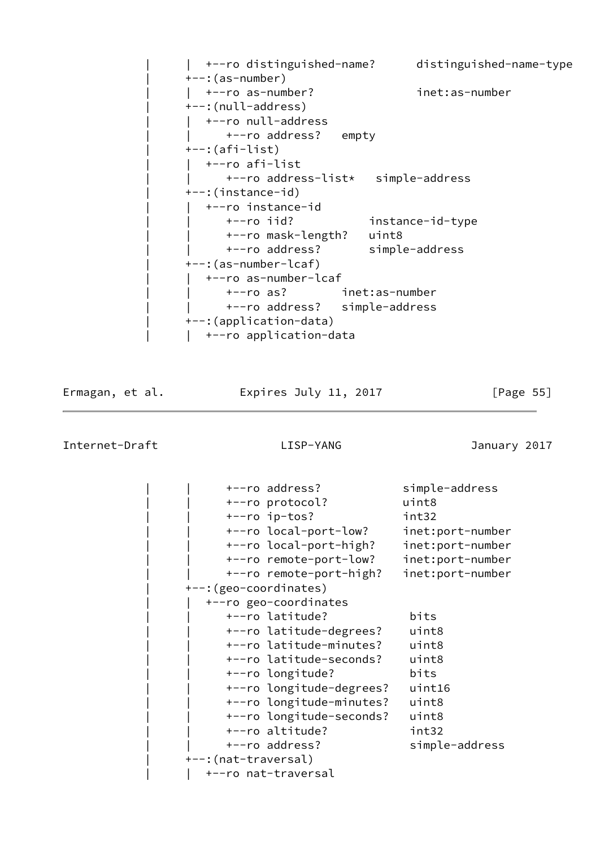| | +--ro distinguished-name? distinguished-name-type | +--:(as-number) | | +--ro as-number? inet:as-number | +--:(null-address) | +--ro null-address +--ro address? empty  $+-$ : (afi-list) | | +--ro afi-list | | +--ro address-list\* simple-address | +--:(instance-id) | | +--ro instance-id | | +--ro iid? instance-id-type | | +--ro mask-length? uint8 | | +--ro address? simple-address | +--:(as-number-lcaf) | +--ro as-number-lcaf | | +--ro as? inet:as-number | | +--ro address? simple-address | +--:(application-data) | +--ro application-data

Ermagan, et al. 
Expires July 11, 2017  $[Page 55]$ 

| +--ro address?           | simple-address   |
|--------------------------|------------------|
| +--ro protocol?          | uint8            |
| +--ro ip-tos?            | int32            |
| +--ro local-port-low?    | inet:port-number |
| +--ro local-port-high?   | inet:port-number |
| +--ro remote-port-low?   | inet:port-number |
| +--ro remote-port-high?  | inet:port-number |
| +--: (geo-coordinates)   |                  |
| +--ro geo-coordinates    |                  |
| +--ro latitude?          | bits             |
| +--ro latitude-degrees?  | uint8            |
| +--ro latitude-minutes?  | uint8            |
| +--ro latitude-seconds?  | uint8            |
| +--ro longitude?         | bits             |
| +--ro longitude-degrees? | uint16           |
| +--ro longitude-minutes? | uint8            |
| +--ro longitude-seconds? | uint8            |
| +--ro altitude?          | int32            |
| +--ro address?           | simple-address   |
| +--:(nat-traversal)      |                  |
| +--ro nat-traversal      |                  |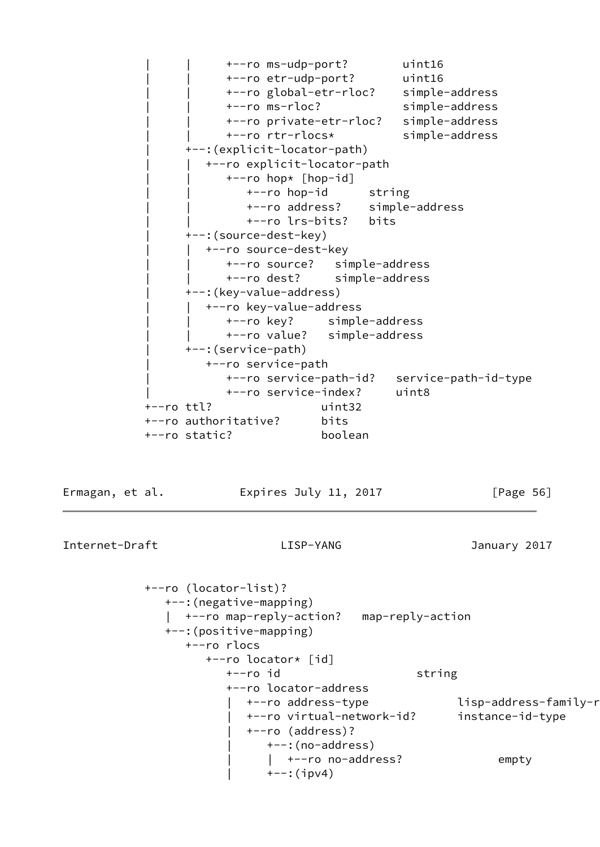| | +--ro ms-udp-port? uint16 | | +--ro etr-udp-port? uint16 | | +--ro global-etr-rloc? simple-address | | +--ro ms-rloc? simple-address | | +--ro private-etr-rloc? simple-address | | +--ro rtr-rlocs\* simple-address | +--:(explicit-locator-path) | | +--ro explicit-locator-path | | +--ro hop\* [hop-id] +--ro hop-id string | | +--ro address? simple-address | | +--ro lrs-bits? bits | +--:(source-dest-key) +--ro source-dest-key | | +--ro source? simple-address | | +--ro dest? simple-address | +--:(key-value-address) | | +--ro key-value-address | | +--ro key? simple-address | | +--ro value? simple-address | +--:(service-path) | +--ro service-path | +--ro service-path-id? service-path-id-type | +--ro service-index? uint8 +--ro ttl? uint32 +--ro authoritative? bits +--ro static? boolean

Ermagan, et al. **Expires July 11, 2017** [Page 56]

Internet-Draft LISP-YANG January 2017

 +--ro (locator-list)? +--:(negative-mapping) | +--ro map-reply-action? map-reply-action +--:(positive-mapping) +--ro rlocs +--ro locator\* [id] +--ro id string +--ro locator-address +--ro address-type lisp-address-family-r | +--ro virtual-network-id? instance-id-type | +--ro (address)? | +--:(no-address) | +--ro no-address? empty  $+--:$ (ipv4)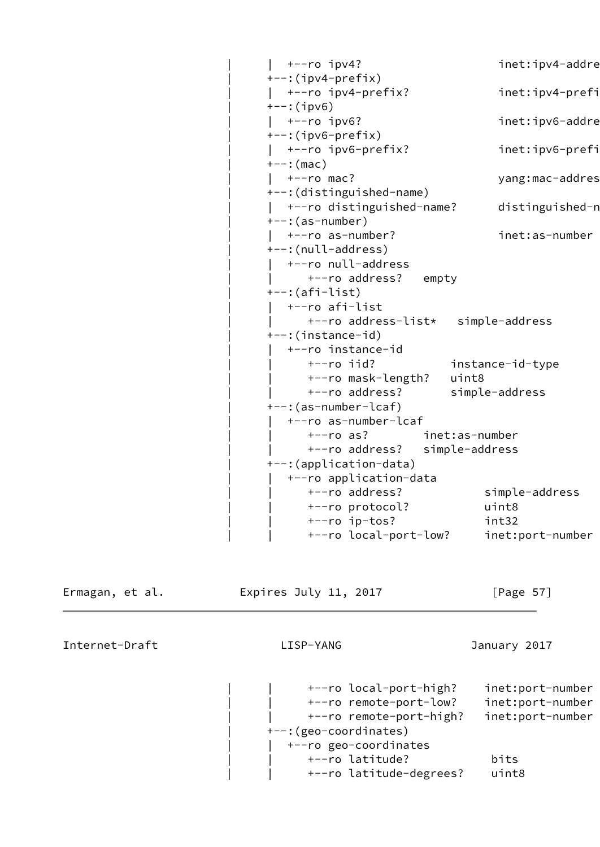```
| +--ro ipv4? inet:ipv4-addre
---:(ipv4-prefix)
 | | +--ro ipv4-prefix? inet:ipv4-prefix
+--:(ipv6)
| +--ro ipv6? inet:ipv6-addre
+-:(ipv6-prefix)
 | | +--ro ipv6-prefix? inet:ipv6-prefix
+--: (mac)
| +--ro mac? yang:mac-addres
 | +--:(distinguished-name)
| +--ro distinguished-name? distinguished-n
---:(as-number)
 | | +--ro as-number? inet:as-number
 | +--:(null-address)
  | | +--ro null-address
 | | +--ro address? empty
 | +--:(afi-list)
 | | +--ro afi-list
      | | +--ro address-list* simple-address
 | +--:(instance-id)
   | | +--ro instance-id
      | | +--ro iid? instance-id-type
      | | +--ro mask-length? uint8
     | | +--ro address? simple-address
 | +--:(as-number-lcaf)
   | | +--ro as-number-lcaf
      | | +--ro as? inet:as-number
     | | +--ro address? simple-address
 | +--:(application-data)
   | | +--ro application-data
      | | +--ro address? simple-address
      | | +--ro protocol? uint8
      | | +--ro ip-tos? int32
      | | +--ro local-port-low? inet:port-number
```
Ermagan, et al. 
Expires July 11, 2017  $[Page 57]$ 

Internet-Draft LISP-YANG January 2017

 | | +--ro local-port-high? inet:port-number | | +--ro remote-port-low? inet:port-number | | +--ro remote-port-high? inet:port-number | +--:(geo-coordinates) | | +--ro geo-coordinates | | +--ro latitude? bits | | +--ro latitude-degrees? uint8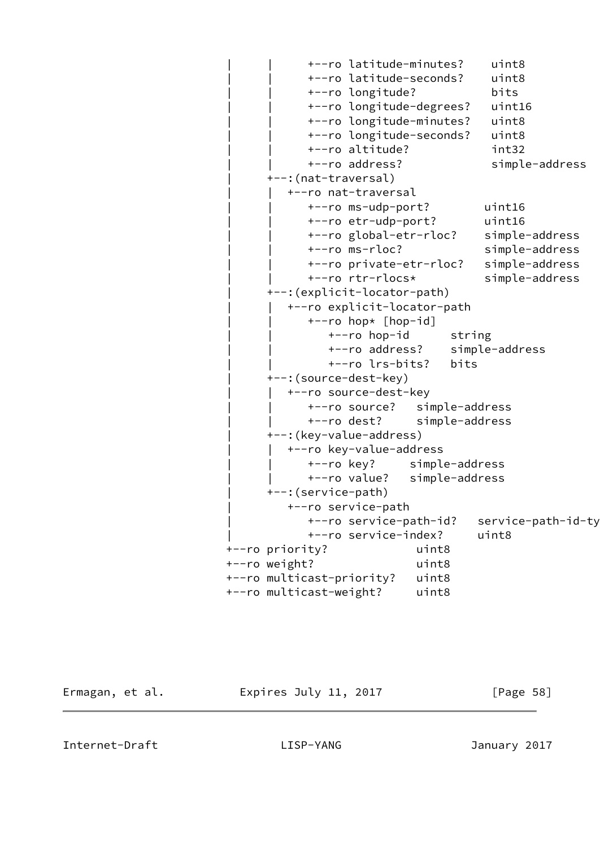```
 | | +--ro latitude-minutes? uint8
             | | +--ro latitude-seconds? uint8
             | | +--ro longitude? bits
             | | +--ro longitude-degrees? uint16
             | | +--ro longitude-minutes? uint8
             | | +--ro longitude-seconds? uint8
             | | +--ro altitude? int32
             | | +--ro address? simple-address
       | +--:(nat-traversal)
          | | +--ro nat-traversal
             | | +--ro ms-udp-port? uint16
             | | +--ro etr-udp-port? uint16
             | | +--ro global-etr-rloc? simple-address
             | | +--ro ms-rloc? simple-address
            +--ro private-etr-rloc? simple-address
             | | +--ro rtr-rlocs* simple-address
       | +--:(explicit-locator-path)
          | | +--ro explicit-locator-path
             | | +--ro hop* [hop-id]
               +--ro hop-id string
                | | +--ro address? simple-address
                | | +--ro lrs-bits? bits
       | +--:(source-dest-key)
          | | +--ro source-dest-key
             | | +--ro source? simple-address
             | | +--ro dest? simple-address
       | +--:(key-value-address)
         +--ro key-value-address
             | | +--ro key? simple-address
             | | +--ro value? simple-address
       | +--:(service-path)
          | +--ro service-path
            +--ro service-path-id? service-path-id-ty
             | +--ro service-index? uint8
 +--ro priority? uint8
 +--ro weight? uint8
 +--ro multicast-priority? uint8
 +--ro multicast-weight? uint8
```
Ermagan, et al. **Expires July 11, 2017** [Page 58]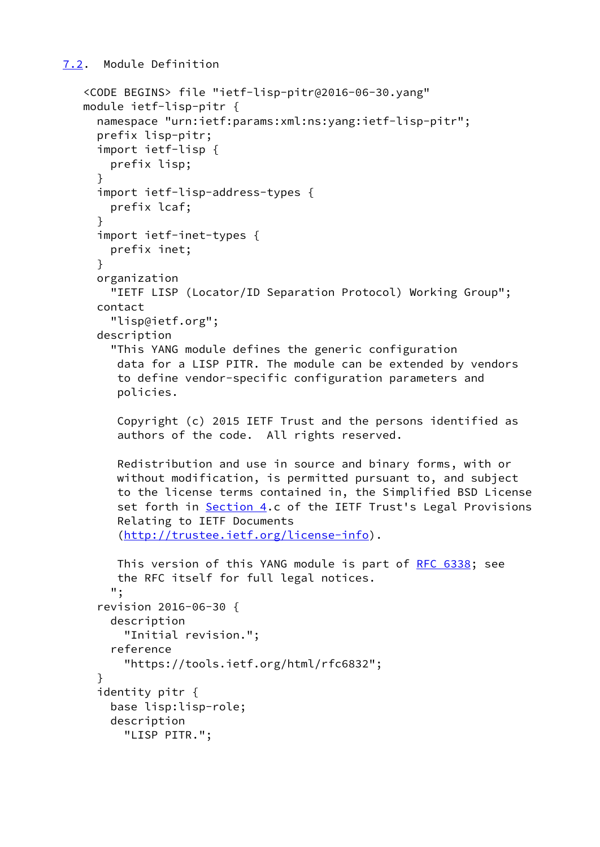<span id="page-66-0"></span>[7.2](#page-66-0). Module Definition

```
 <CODE BEGINS> file "ietf-lisp-pitr@2016-06-30.yang"
 module ietf-lisp-pitr {
   namespace "urn:ietf:params:xml:ns:yang:ietf-lisp-pitr";
   prefix lisp-pitr;
   import ietf-lisp {
     prefix lisp;
   }
   import ietf-lisp-address-types {
     prefix lcaf;
   }
   import ietf-inet-types {
     prefix inet;
   }
   organization
     "IETF LISP (Locator/ID Separation Protocol) Working Group";
   contact
     "lisp@ietf.org";
   description
     "This YANG module defines the generic configuration
      data for a LISP PITR. The module can be extended by vendors
      to define vendor-specific configuration parameters and
      policies.
      Copyright (c) 2015 IETF Trust and the persons identified as
      authors of the code. All rights reserved.
     Redistribution and use in source and binary forms, with or
     without modification, is permitted pursuant to, and subject
      to the license terms contained in, the Simplified BSD License
      Section 4.c of the IETF Trust's Legal Provisions
      Relating to IETF Documents
      (http://trustee.ietf.org/license-info).
     RFC 6338; see
      the RFC itself for full legal notices.
     ";
   revision 2016-06-30 {
     description
       "Initial revision.";
     reference
       "https://tools.ietf.org/html/rfc6832";
   }
   identity pitr {
     base lisp:lisp-role;
     description
       "LISP PITR.";
```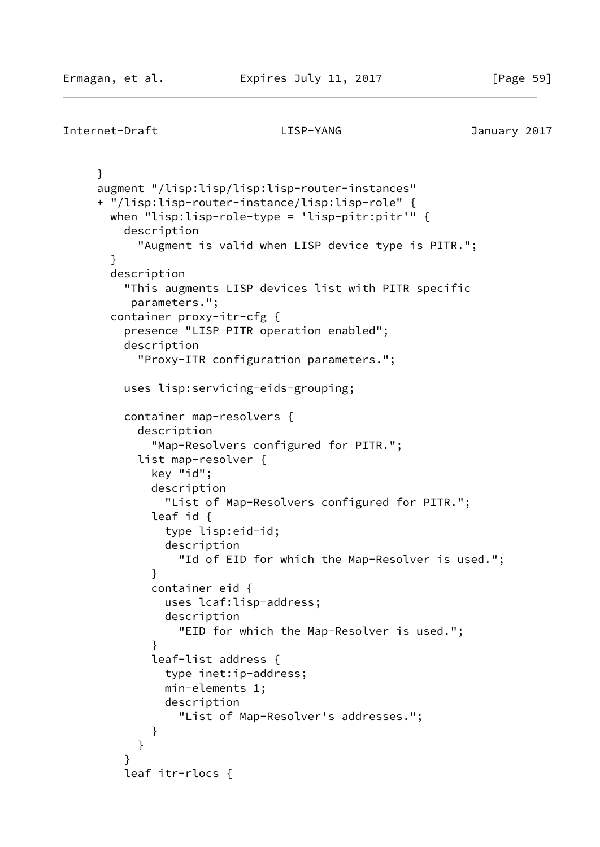```
Internet-Draft LISP-YANG January 2017
     }
     augment "/lisp:lisp/lisp:lisp-router-instances"
     + "/lisp:lisp-router-instance/lisp:lisp-role" {
       when "lisp:lisp-role-type = 'lisp-pitr:pitr'" {
         description
           "Augment is valid when LISP device type is PITR.";
       }
       description
         "This augments LISP devices list with PITR specific
          parameters.";
       container proxy-itr-cfg {
         presence "LISP PITR operation enabled";
         description
           "Proxy-ITR configuration parameters.";
         uses lisp:servicing-eids-grouping;
         container map-resolvers {
           description
             "Map-Resolvers configured for PITR.";
           list map-resolver {
             key "id";
             description
               "List of Map-Resolvers configured for PITR.";
             leaf id {
               type lisp:eid-id;
               description
                 "Id of EID for which the Map-Resolver is used.";
 }
             container eid {
               uses lcaf:lisp-address;
               description
                 "EID for which the Map-Resolver is used.";
 }
             leaf-list address {
               type inet:ip-address;
               min-elements 1;
               description
                 "List of Map-Resolver's addresses.";
 }
 }
 }
         leaf itr-rlocs {
```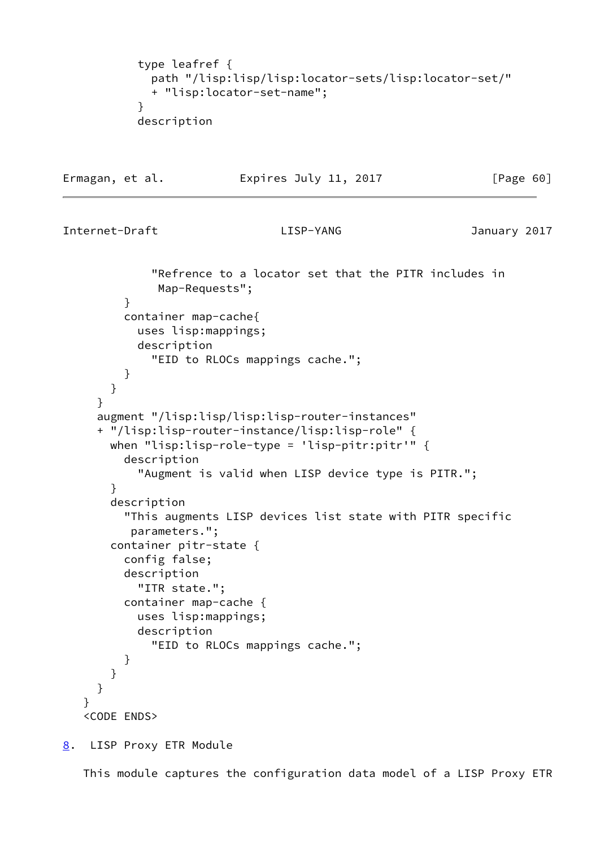```
 type leafref {
             path "/lisp:lisp/lisp:locator-sets/lisp:locator-set/"
             + "lisp:locator-set-name";
 }
           description
```

```
Ermagan, et al. Expires July 11, 2017 [Page 60]
Internet-Draft LISP-YANG January 2017
              "Refrence to a locator set that the PITR includes in
              Map-Requests";
         }
         container map-cache{
           uses lisp:mappings;
           description
              "EID to RLOCs mappings cache.";
         }
       }
     }
      augment "/lisp:lisp/lisp:lisp-router-instances"
      + "/lisp:lisp-router-instance/lisp:lisp-role" {
       when "lisp:lisp-role-type = 'lisp-pitr:pitr'" {
         description
            "Augment is valid when LISP device type is PITR.";
       }
       description
          "This augments LISP devices list state with PITR specific
          parameters.";
       container pitr-state {
          config false;
         description
           "ITR state.";
         container map-cache {
           uses lisp:mappings;
           description
              "EID to RLOCs mappings cache.";
          }
       }
     }
    }
    <CODE ENDS>
```
<span id="page-68-0"></span>[8](#page-68-0). LISP Proxy ETR Module

This module captures the configuration data model of a LISP Proxy ETR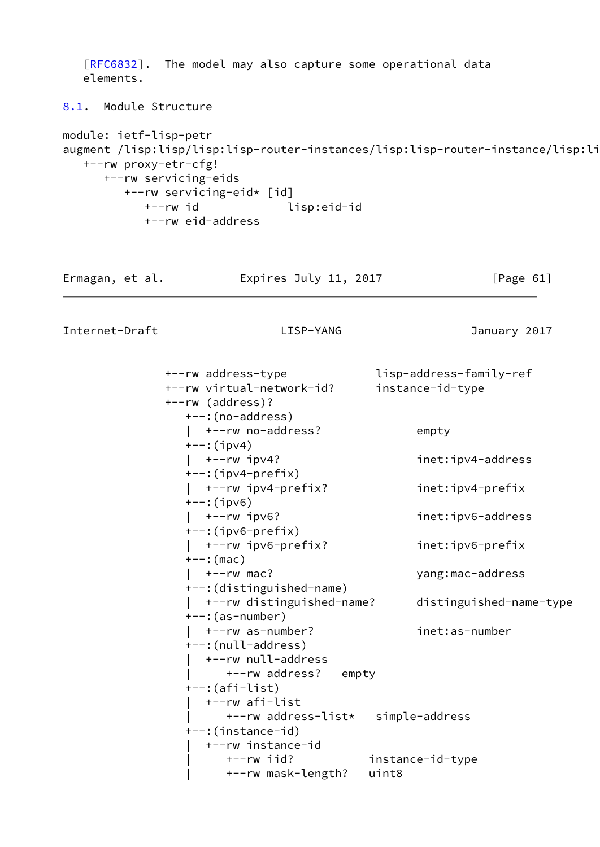```
[RFC6832]. The model may also capture some operational data
   elements.
8.1. Module Structure
module: ietf-lisp-petr
augment /lisp:lisp/lisp:lisp-router-instances/lisp:lisp-router-instance/lisp:li
   +--rw proxy-etr-cfg!
      +--rw servicing-eids
         +--rw servicing-eid* [id]
           +--rw id lisp:eid-id
           +--rw eid-address
Ermagan, et al.             Expires July 11, 2017             [Page 61]
Internet-Draft LISP-YANG January 2017
              +--rw address-type lisp-address-family-ref
              +--rw virtual-network-id? instance-id-type
              +--rw (address)?
                 +--:(no-address)
                 | +--rw no-address? empty
                 +--:(ipv4)
                 | +--rw ipv4? inet:ipv4-address
                 +--:(ipv4-prefix)
                 | +--rw ipv4-prefix? inet:ipv4-prefix
                 +--:(ipv6)
                 | +--rw ipv6? inet:ipv6-address
                 +--:(ipv6-prefix)
                 | +--rw ipv6-prefix? inet:ipv6-prefix
                 +--:(mac)
                 | +--rw mac? yang:mac-address
                 +--:(distinguished-name)
                 | +--rw distinguished-name? distinguished-name-type
                 +--:(as-number)
                 | +--rw as-number? inet:as-number
                 +--:(null-address)
                   | +--rw null-address
                      | +--rw address? empty
                 +--:(afi-list)
                   | +--rw afi-list
                      | +--rw address-list* simple-address
                 +--:(instance-id)
                   | +--rw instance-id
                      | +--rw iid? instance-id-type
                      | +--rw mask-length? uint8
```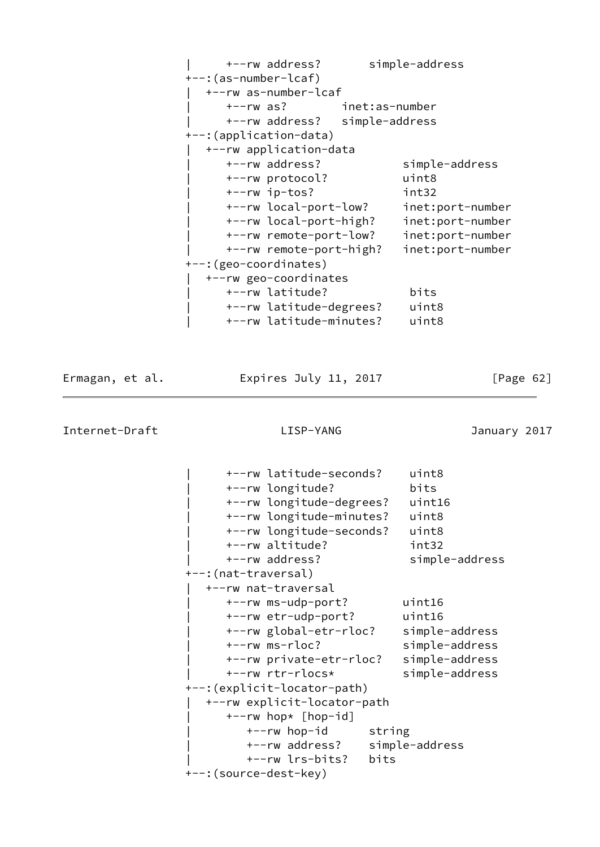| +--rw address?                | simple-address   |
|-------------------------------|------------------|
| +--: (as-number-lcaf)         |                  |
| +--rw as-number-lcaf          |                  |
| +--rw as? inet:as-number      |                  |
| +--rw address? simple-address |                  |
| +--: (application-data)       |                  |
| +--rw application-data        |                  |
| +--rw address?                | simple-address   |
| +--rw protocol?               | uint8            |
| $+--rw$ ip-tos?               | int32            |
| +--rw local-port-low?         | inet:port-number |
| +--rw local-port-high?        | inet:port-number |
| +--rw remote-port-low?        | inet:port-number |
| +--rw remote-port-high?       | inet:port-number |
| +--: (geo-coordinates)        |                  |
| +--rw geo-coordinates         |                  |
| +--rw latitude?               | bits             |
| +--rw latitude-degrees?       | uint8            |
| +--rw latitude-minutes?       | uint8            |

Ermagan, et al. 
Expires July 11, 2017  $[Page 62]$ 

|                       | +--rw latitude-seconds?<br>+--rw longitude?<br>+--rw longitude-degrees?<br>+--rw longitude-minutes?<br>+--rw longitude-seconds?                               |      | uint8<br>bits<br>uint16<br>uint8<br>uint8                                                |
|-----------------------|---------------------------------------------------------------------------------------------------------------------------------------------------------------|------|------------------------------------------------------------------------------------------|
|                       | +--rw altitude?<br>+--rw address?                                                                                                                             |      | int32<br>simple-address                                                                  |
| +--:(nat-traversal)   | +--rw nat-traversal                                                                                                                                           |      |                                                                                          |
|                       | +--rw ms-udp-port?<br>+--rw etr-udp-port?<br>+--rw global-etr-rloc?<br>+--rw ms-rloc?<br>+--rw private-etr-rloc?<br>+--rw rtr-rlocs*                          |      | uint16<br>uint16<br>simple-address<br>simple-address<br>simple-address<br>simple-address |
| +--:(source-dest-key) | +--: (explicit-locator-path)<br>+--rw explicit-locator-path<br>+--rw hop* [hop-id]<br>+--rw hop-id string<br>+--rw address? simple-address<br>+--rw lrs-bits? | bits |                                                                                          |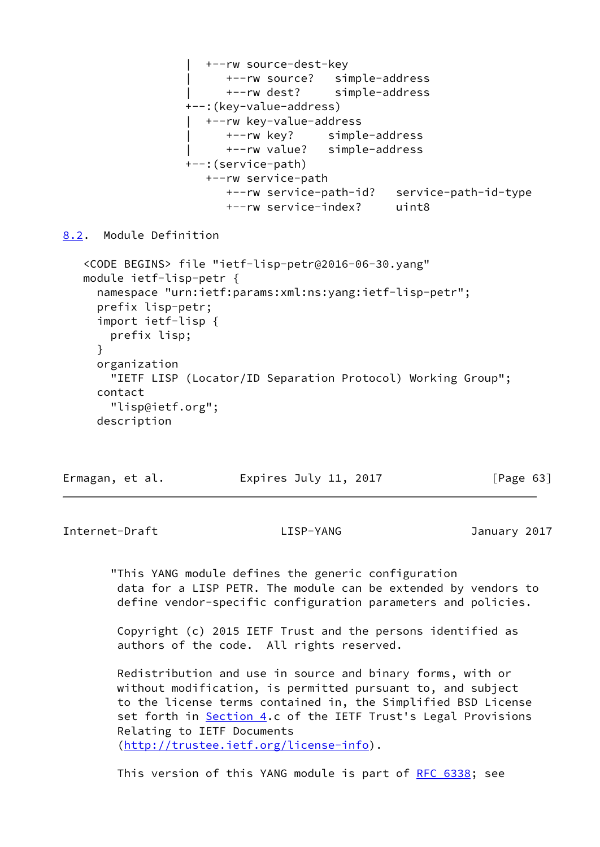

<span id="page-71-0"></span>[8.2](#page-71-0). Module Definition

```
 <CODE BEGINS> file "ietf-lisp-petr@2016-06-30.yang"
 module ietf-lisp-petr {
   namespace "urn:ietf:params:xml:ns:yang:ietf-lisp-petr";
   prefix lisp-petr;
   import ietf-lisp {
     prefix lisp;
   }
   organization
     "IETF LISP (Locator/ID Separation Protocol) Working Group";
   contact
     "lisp@ietf.org";
   description
```
Ermagan, et al. Expires July 11, 2017 [Page 63]

Internet-Draft LISP-YANG January 2017

 "This YANG module defines the generic configuration data for a LISP PETR. The module can be extended by vendors to define vendor-specific configuration parameters and policies.

 Copyright (c) 2015 IETF Trust and the persons identified as authors of the code. All rights reserved.

 Redistribution and use in source and binary forms, with or without modification, is permitted pursuant to, and subject to the license terms contained in, the Simplified BSD License set forth in [Section 4.](#page-33-0)c of the IETF Trust's Legal Provisions Relating to IETF Documents [\(http://trustee.ietf.org/license-info](http://trustee.ietf.org/license-info)).

This version of this YANG module is part of [RFC 6338](https://datatracker.ietf.org/doc/pdf/rfc6338); see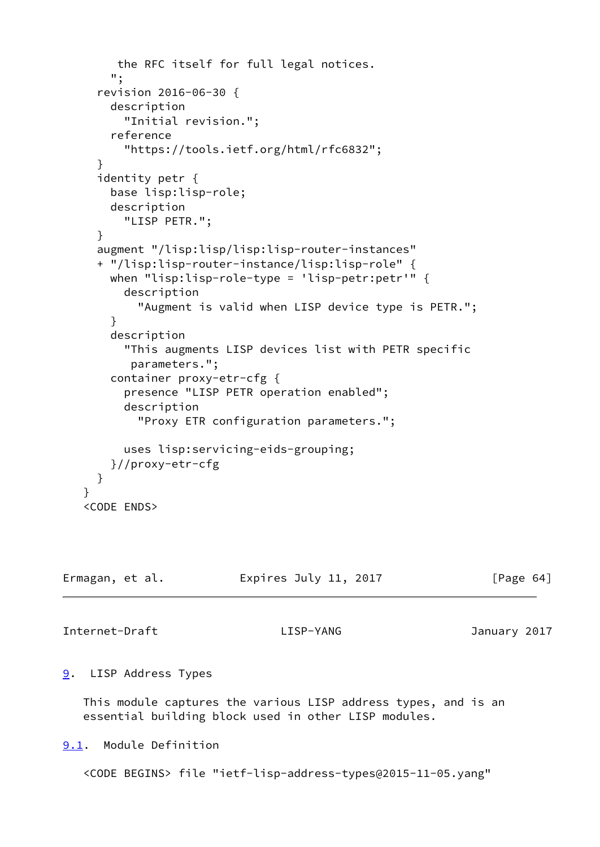```
 the RFC itself for full legal notices.
     ";
   revision 2016-06-30 {
     description
       "Initial revision.";
     reference
       "https://tools.ietf.org/html/rfc6832";
   }
   identity petr {
     base lisp:lisp-role;
     description
       "LISP PETR.";
   }
   augment "/lisp:lisp/lisp:lisp-router-instances"
   + "/lisp:lisp-router-instance/lisp:lisp-role" {
     when "lisp:lisp-role-type = 'lisp-petr:petr'" {
       description
         "Augment is valid when LISP device type is PETR.";
     }
     description
       "This augments LISP devices list with PETR specific
        parameters.";
     container proxy-etr-cfg {
       presence "LISP PETR operation enabled";
       description
         "Proxy ETR configuration parameters.";
       uses lisp:servicing-eids-grouping;
     }//proxy-etr-cfg
   }
 }
 <CODE ENDS>
```

| Ermagan, et al. | Expires July 11, 2017 | [Page 64] |
|-----------------|-----------------------|-----------|
|                 |                       |           |

Internet-Draft LISP-YANG January 2017

## <span id="page-72-0"></span>[9](#page-72-0). LISP Address Types

 This module captures the various LISP address types, and is an essential building block used in other LISP modules.

<span id="page-72-1"></span>[9.1](#page-72-1). Module Definition

<CODE BEGINS> file "ietf-lisp-address-types@2015-11-05.yang"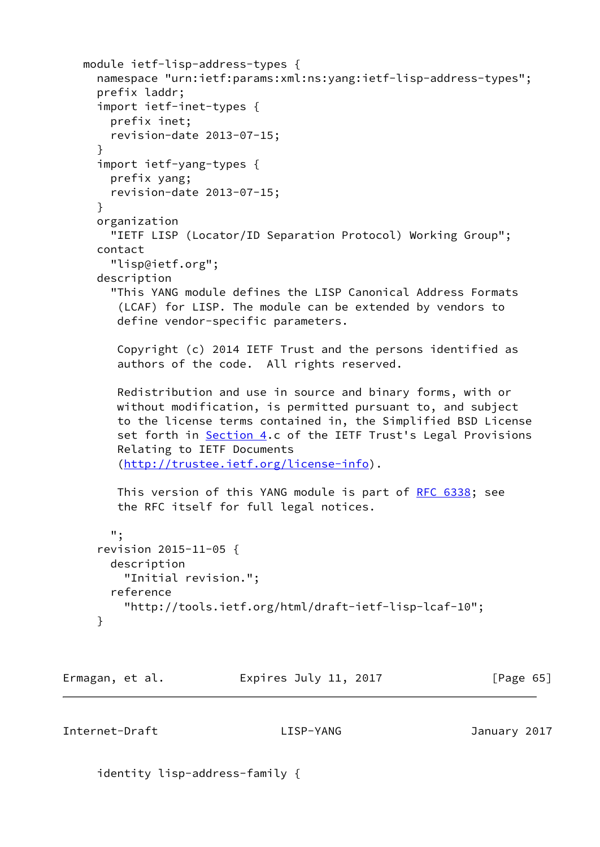```
 module ietf-lisp-address-types {
   namespace "urn:ietf:params:xml:ns:yang:ietf-lisp-address-types";
   prefix laddr;
   import ietf-inet-types {
     prefix inet;
     revision-date 2013-07-15;
   }
   import ietf-yang-types {
     prefix yang;
     revision-date 2013-07-15;
   }
   organization
     "IETF LISP (Locator/ID Separation Protocol) Working Group";
   contact
     "lisp@ietf.org";
   description
     "This YANG module defines the LISP Canonical Address Formats
      (LCAF) for LISP. The module can be extended by vendors to
      define vendor-specific parameters.
      Copyright (c) 2014 IETF Trust and the persons identified as
      authors of the code. All rights reserved.
      Redistribution and use in source and binary forms, with or
     without modification, is permitted pursuant to, and subject
      to the license terms contained in, the Simplified BSD License
      Section 4.c of the IETF Trust's Legal Provisions
      Relating to IETF Documents
      (http://trustee.ietf.org/license-info).
     RFC 6338; see
      the RFC itself for full legal notices.
     ";
   revision 2015-11-05 {
     description
       "Initial revision.";
     reference
       "http://tools.ietf.org/html/draft-ietf-lisp-lcaf-10";
   }
```
Ermagan, et al. **Expires July 11, 2017** [Page 65]

Internet-Draft LISP-YANG January 2017

identity lisp-address-family {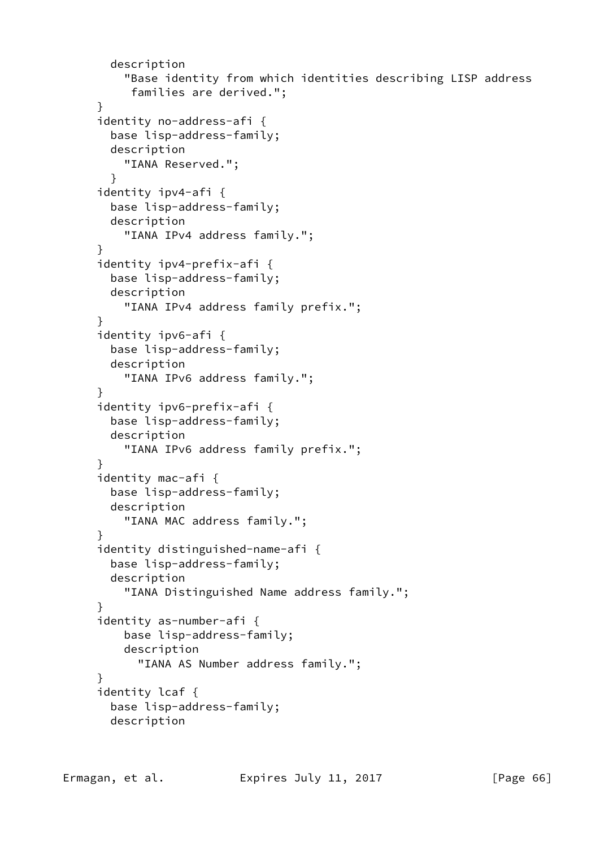```
 description
     "Base identity from which identities describing LISP address
      families are derived.";
 }
 identity no-address-afi {
   base lisp-address-family;
   description
     "IANA Reserved.";
   }
 identity ipv4-afi {
   base lisp-address-family;
   description
     "IANA IPv4 address family.";
 }
 identity ipv4-prefix-afi {
   base lisp-address-family;
   description
     "IANA IPv4 address family prefix.";
 }
 identity ipv6-afi {
   base lisp-address-family;
   description
     "IANA IPv6 address family.";
 }
 identity ipv6-prefix-afi {
   base lisp-address-family;
   description
     "IANA IPv6 address family prefix.";
 }
 identity mac-afi {
   base lisp-address-family;
   description
     "IANA MAC address family.";
 }
 identity distinguished-name-afi {
   base lisp-address-family;
   description
     "IANA Distinguished Name address family.";
 }
 identity as-number-afi {
     base lisp-address-family;
     description
       "IANA AS Number address family.";
 }
 identity lcaf {
   base lisp-address-family;
   description
```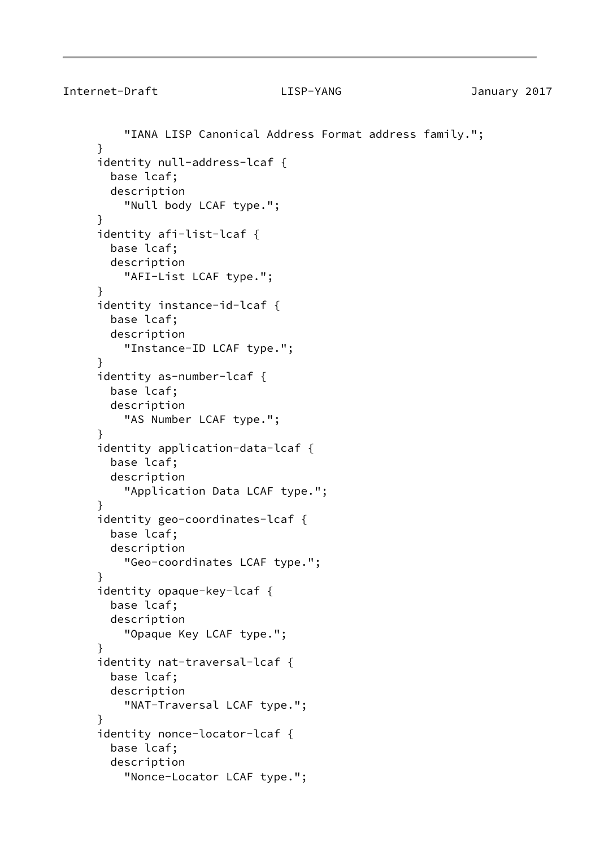```
 "IANA LISP Canonical Address Format address family.";
 }
 identity null-address-lcaf {
   base lcaf;
   description
     "Null body LCAF type.";
 }
 identity afi-list-lcaf {
   base lcaf;
   description
     "AFI-List LCAF type.";
 }
 identity instance-id-lcaf {
   base lcaf;
   description
     "Instance-ID LCAF type.";
 }
 identity as-number-lcaf {
   base lcaf;
   description
     "AS Number LCAF type.";
 }
 identity application-data-lcaf {
   base lcaf;
   description
     "Application Data LCAF type.";
 }
 identity geo-coordinates-lcaf {
   base lcaf;
   description
     "Geo-coordinates LCAF type.";
 }
 identity opaque-key-lcaf {
   base lcaf;
   description
     "Opaque Key LCAF type.";
 }
 identity nat-traversal-lcaf {
   base lcaf;
   description
     "NAT-Traversal LCAF type.";
 }
 identity nonce-locator-lcaf {
   base lcaf;
   description
     "Nonce-Locator LCAF type.";
```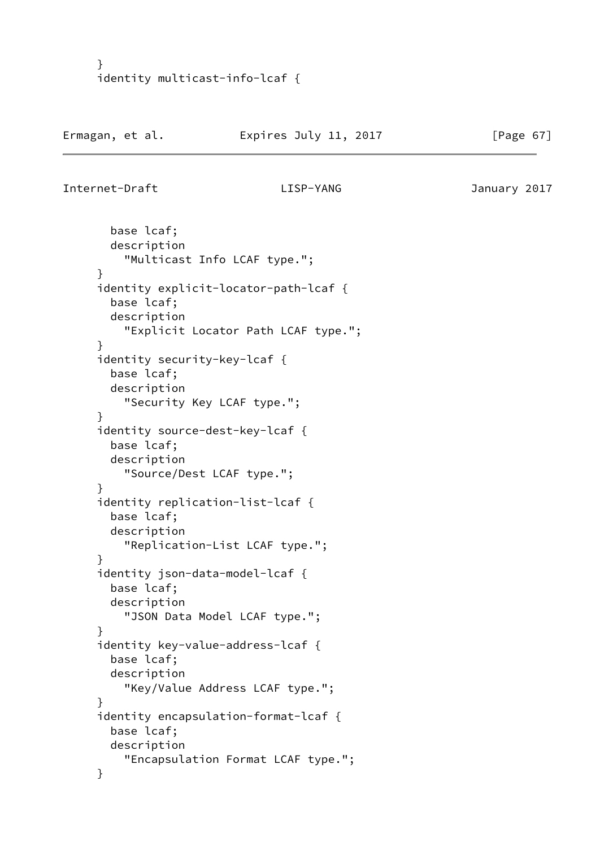```
 }
 identity multicast-info-lcaf {
```

```
Internet-Draft LISP-YANG January 2017
```
 base lcaf; description "Multicast Info LCAF type."; } identity explicit-locator-path-lcaf { base lcaf; description "Explicit Locator Path LCAF type."; } identity security-key-lcaf { base lcaf; description "Security Key LCAF type."; } identity source-dest-key-lcaf { base lcaf; description "Source/Dest LCAF type."; } identity replication-list-lcaf { base lcaf; description "Replication-List LCAF type."; } identity json-data-model-lcaf { base lcaf; description "JSON Data Model LCAF type."; } identity key-value-address-lcaf { base lcaf; description "Key/Value Address LCAF type."; } identity encapsulation-format-lcaf { base lcaf; description "Encapsulation Format LCAF type."; }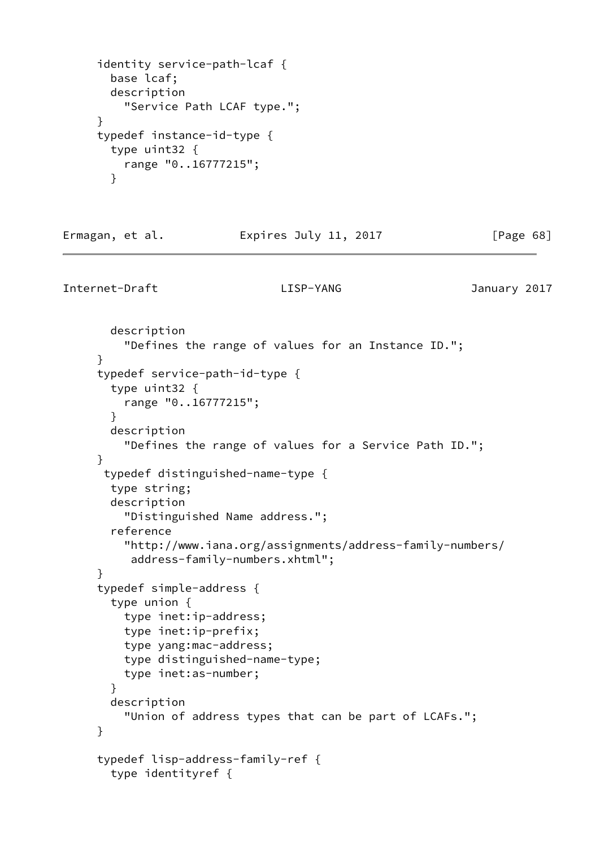```
 identity service-path-lcaf {
   base lcaf;
   description
     "Service Path LCAF type.";
 }
 typedef instance-id-type {
   type uint32 {
    range "0..16777215";
   }
```
Ermagan, et al. **Expires July 11, 2017** [Page 68]

```
 description
     "Defines the range of values for an Instance ID.";
 }
 typedef service-path-id-type {
   type uint32 {
     range "0..16777215";
   }
   description
     "Defines the range of values for a Service Path ID.";
 }
  typedef distinguished-name-type {
   type string;
   description
     "Distinguished Name address.";
   reference
     "http://www.iana.org/assignments/address-family-numbers/
      address-family-numbers.xhtml";
 }
 typedef simple-address {
   type union {
     type inet:ip-address;
     type inet:ip-prefix;
     type yang:mac-address;
     type distinguished-name-type;
     type inet:as-number;
   }
   description
     "Union of address types that can be part of LCAFs.";
 }
 typedef lisp-address-family-ref {
   type identityref {
```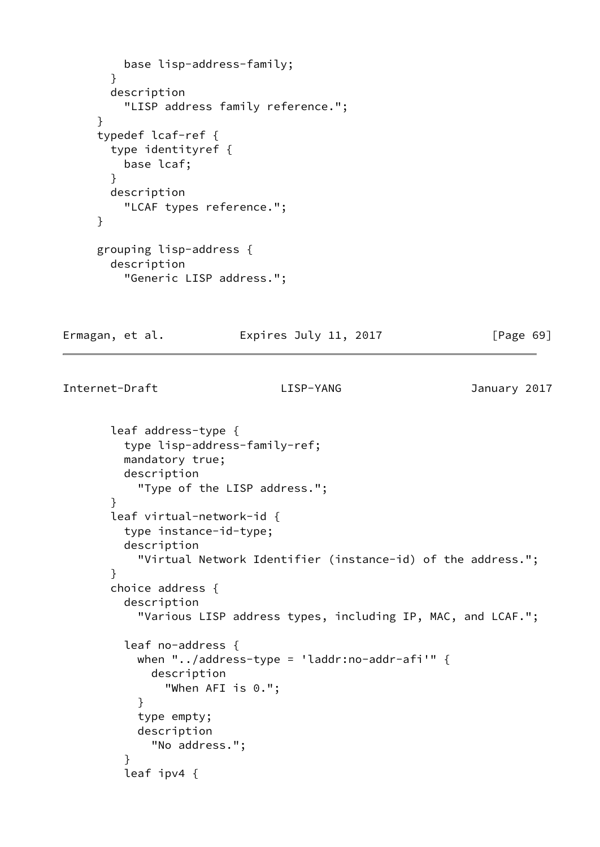```
 base lisp-address-family;
   }
   description
     "LISP address family reference.";
 }
 typedef lcaf-ref {
   type identityref {
    base lcaf;
   }
   description
     "LCAF types reference.";
 }
 grouping lisp-address {
   description
     "Generic LISP address.";
```
Ermagan, et al. **Expires July 11, 2017** [Page 69]

```
Internet-Draft LISP-YANG January 2017
```

```
 leaf address-type {
          type lisp-address-family-ref;
          mandatory true;
          description
            "Type of the LISP address.";
        }
        leaf virtual-network-id {
          type instance-id-type;
          description
            "Virtual Network Identifier (instance-id) of the address.";
        }
        choice address {
          description
            "Various LISP address types, including IP, MAC, and LCAF.";
          leaf no-address {
           when "../address-type = 'laddr:no-addr-afi'" \{ description
                "When AFI is 0.";
 }
            type empty;
            description
              "No address.";
 }
          leaf ipv4 {
```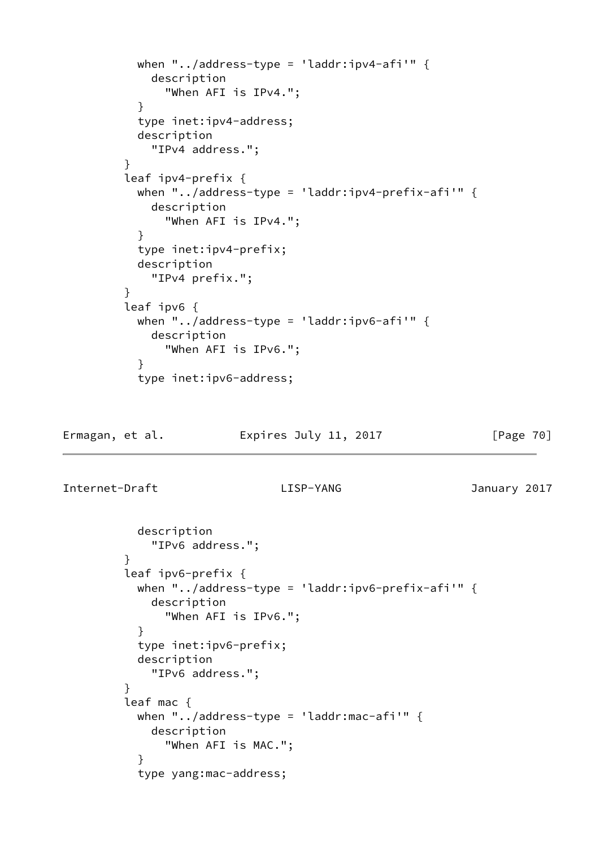```
 when "../address-type = 'laddr:ipv4-afi'" {
             description
               "When AFI is IPv4.";
 }
           type inet:ipv4-address;
           description
             "IPv4 address.";
 }
         leaf ipv4-prefix {
          when "../address-type = 'laddr:ipv4-prefix-afi'" {
             description
               "When AFI is IPv4.";
 }
           type inet:ipv4-prefix;
           description
             "IPv4 prefix.";
 }
         leaf ipv6 {
          when "../address-type = 'laddr:ipv6-afi'" {
             description
               "When AFI is IPv6.";
 }
           type inet:ipv6-address;
```
Ermagan, et al. 
Expires July 11, 2017  $[Page 70]$ 

```
 description
             "IPv6 address.";
         }
         leaf ipv6-prefix {
           when "../address-type = 'laddr:ipv6-prefix-afi'" {
             description
               "When AFI is IPv6.";
 }
           type inet:ipv6-prefix;
           description
             "IPv6 address.";
 }
         leaf mac {
           when "../address-type = 'laddr:mac-afi'" {
             description
               "When AFI is MAC.";
 }
           type yang:mac-address;
```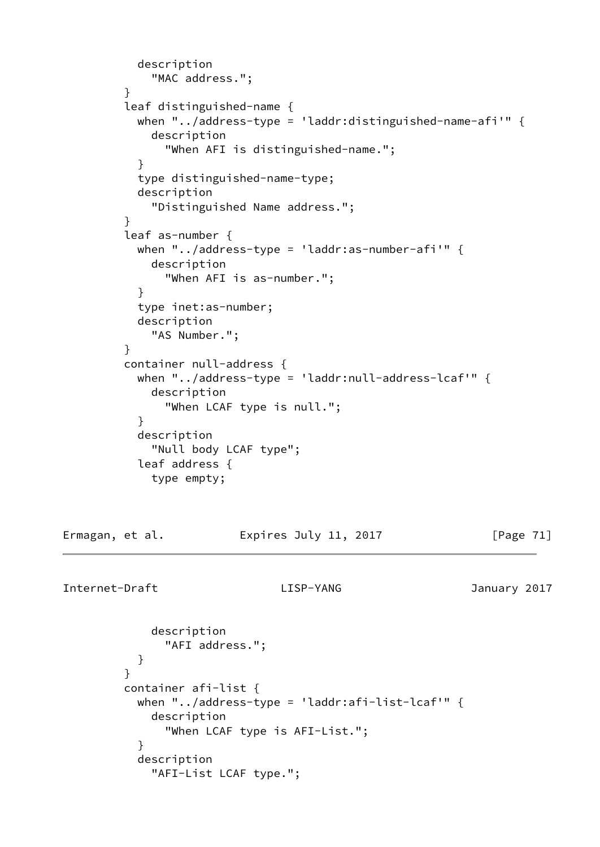```
 description
             "MAC address.";
 }
         leaf distinguished-name {
           when "../address-type = 'laddr:distinguished-name-afi'" {
            description
              "When AFI is distinguished-name.";
 }
           type distinguished-name-type;
           description
             "Distinguished Name address.";
         }
         leaf as-number {
          when "../address-type = 'laddr:as-number-afi'" \{ description
              "When AFI is as-number.";
 }
           type inet:as-number;
           description
             "AS Number.";
 }
         container null-address {
           when "../address-type = 'laddr:null-address-lcaf'" {
            description
              "When LCAF type is null.";
 }
           description
            "Null body LCAF type";
           leaf address {
            type empty;
Ermagan, et al. Expires July 11, 2017 [Page 71]
Internet-Draft LISP-YANG January 2017
```

```
 description
              "AFI address.";
 }
 }
         container afi-list {
         when "../address-type = 'laddr:afi-list-lcaf'" {
            description
              "When LCAF type is AFI-List.";
 }
           description
            "AFI-List LCAF type.";
```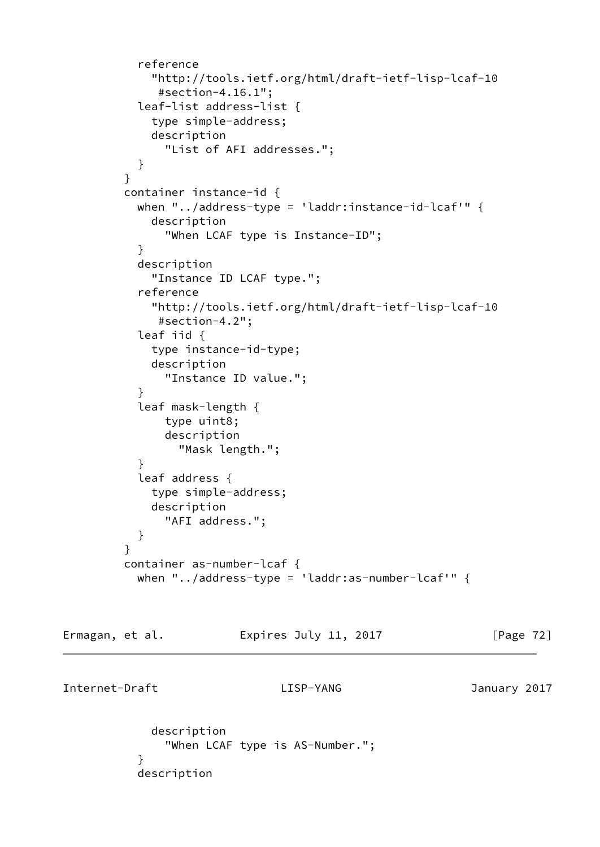```
 reference
             "http://tools.ietf.org/html/draft-ietf-lisp-lcaf-10
              #section-4.16.1";
           leaf-list address-list {
             type simple-address;
             description
               "List of AFI addresses.";
 }
 }
         container instance-id {
          when "../address-type = 'laddr:instance-id-lcaf'" {
             description
               "When LCAF type is Instance-ID";
 }
           description
             "Instance ID LCAF type.";
           reference
             "http://tools.ietf.org/html/draft-ietf-lisp-lcaf-10
              #section-4.2";
           leaf iid {
             type instance-id-type;
             description
               "Instance ID value.";
 }
           leaf mask-length {
               type uint8;
               description
                 "Mask length.";
 }
           leaf address {
             type simple-address;
             description
               "AFI address.";
           }
         }
         container as-number-lcaf {
           when "../address-type = 'laddr:as-number-lcaf'" {
```
Ermagan, et al. **Expires July 11, 2017** [Page 72]

Internet-Draft LISP-YANG January 2017

 description "When LCAF type is AS-Number."; } description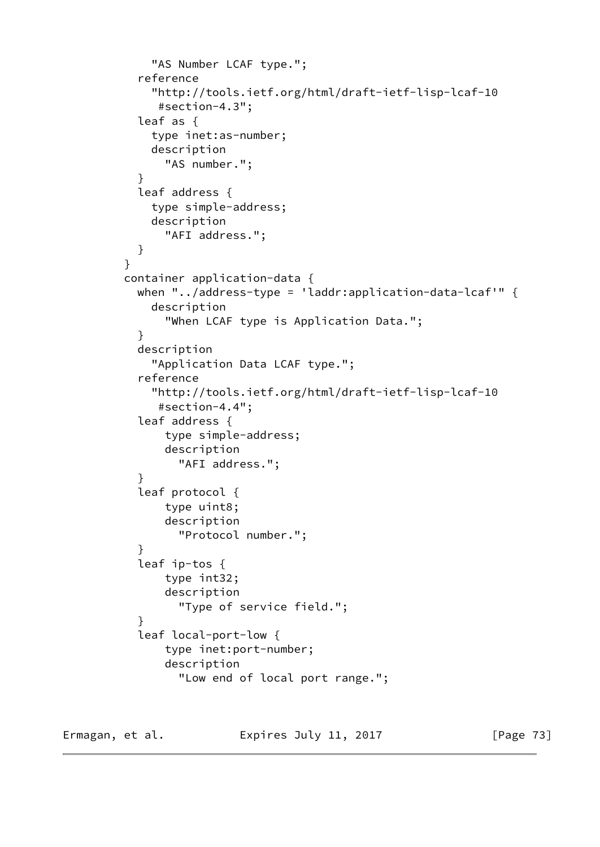```
 "AS Number LCAF type.";
            reference
              "http://tools.ietf.org/html/draft-ietf-lisp-lcaf-10
               #section-4.3";
            leaf as {
              type inet:as-number;
             description
                "AS number.";
 }
            leaf address {
             type simple-address;
             description
               "AFI address.";
 }
         }
         container application-data {
           when "../address-type = 'laddr:application-data-lcaf'" {
             description
                "When LCAF type is Application Data.";
 }
            description
              "Application Data LCAF type.";
            reference
              "http://tools.ietf.org/html/draft-ietf-lisp-lcaf-10
              #section-4.4";
            leaf address {
               type simple-address;
               description
                 "AFI address.";
 }
            leaf protocol {
               type uint8;
               description
                 "Protocol number.";
 }
            leaf ip-tos {
               type int32;
               description
                 "Type of service field.";
 }
            leaf local-port-low {
               type inet:port-number;
               description
                  "Low end of local port range.";
```
Ermagan, et al. Expires July 11, 2017 [Page 73]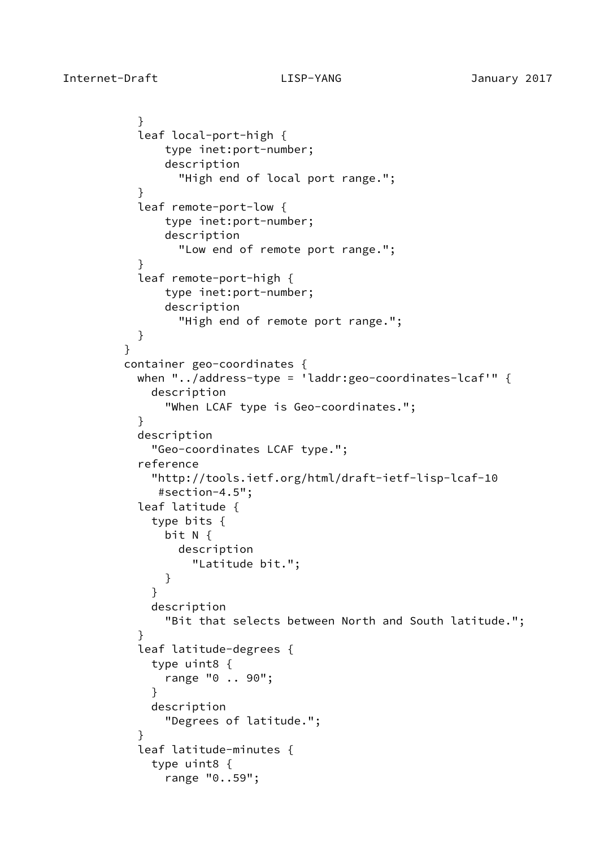}

```
 }
           leaf local-port-high {
              type inet:port-number;
               description
                 "High end of local port range.";
 }
           leaf remote-port-low {
               type inet:port-number;
               description
                 "Low end of remote port range.";
 }
           leaf remote-port-high {
               type inet:port-number;
               description
                 "High end of remote port range.";
 }
         container geo-coordinates {
           when "../address-type = 'laddr:geo-coordinates-lcaf'" {
             description
               "When LCAF type is Geo-coordinates.";
 }
           description
             "Geo-coordinates LCAF type.";
           reference
             "http://tools.ietf.org/html/draft-ietf-lisp-lcaf-10
              #section-4.5";
           leaf latitude {
             type bits {
              bit N {
                 description
                  "Latitude bit.";
 }
 }
             description
               "Bit that selects between North and South latitude.";
 }
           leaf latitude-degrees {
             type uint8 {
               range "0 .. 90";
 }
             description
              "Degrees of latitude.";
 }
           leaf latitude-minutes {
             type uint8 {
               range "0..59";
```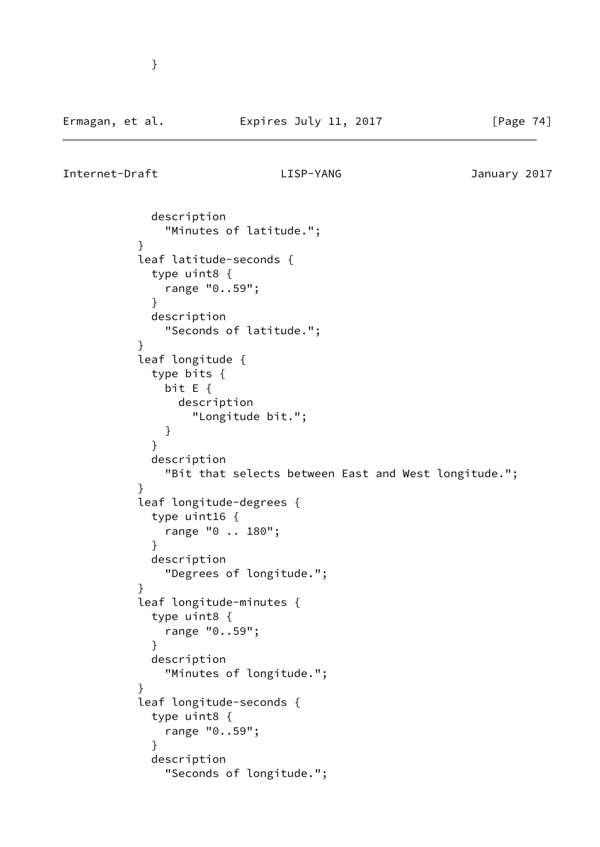}

```
 description
              "Minutes of latitude.";
 }
          leaf latitude-seconds {
            type uint8 {
              range "0..59";
 }
            description
              "Seconds of latitude.";
 }
          leaf longitude {
            type bits {
              bit E {
                description
                 "Longitude bit.";
 }
 }
            description
              "Bit that selects between East and West longitude.";
 }
          leaf longitude-degrees {
            type uint16 {
              range "0 .. 180";
 }
            description
              "Degrees of longitude.";
 }
          leaf longitude-minutes {
            type uint8 {
              range "0..59";
 }
            description
              "Minutes of longitude.";
 }
          leaf longitude-seconds {
            type uint8 {
              range "0..59";
 }
            description
              "Seconds of longitude.";
```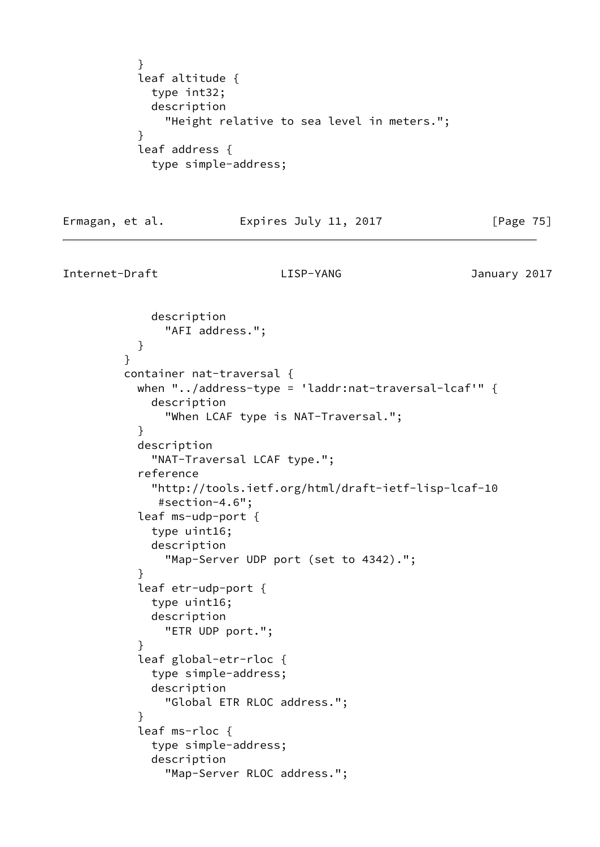```
 }
           leaf altitude {
            type int32;
            description
              "Height relative to sea level in meters.";
 }
           leaf address {
            type simple-address;
```
## Ermagan, et al. **Expires July 11, 2017** [Page 75]

```
Internet-Draft LISP-YANG January 2017
```
}

```
 description
               "AFI address.";
 }
         container nat-traversal {
          when "../address-type = 'laddr:nat-traversal-lcaf'" \{ description
               "When LCAF type is NAT-Traversal.";
 }
           description
             "NAT-Traversal LCAF type.";
           reference
             "http://tools.ietf.org/html/draft-ietf-lisp-lcaf-10
              #section-4.6";
           leaf ms-udp-port {
             type uint16;
             description
               "Map-Server UDP port (set to 4342).";
 }
           leaf etr-udp-port {
             type uint16;
             description
               "ETR UDP port.";
 }
           leaf global-etr-rloc {
             type simple-address;
             description
               "Global ETR RLOC address.";
 }
           leaf ms-rloc {
             type simple-address;
             description
               "Map-Server RLOC address.";
```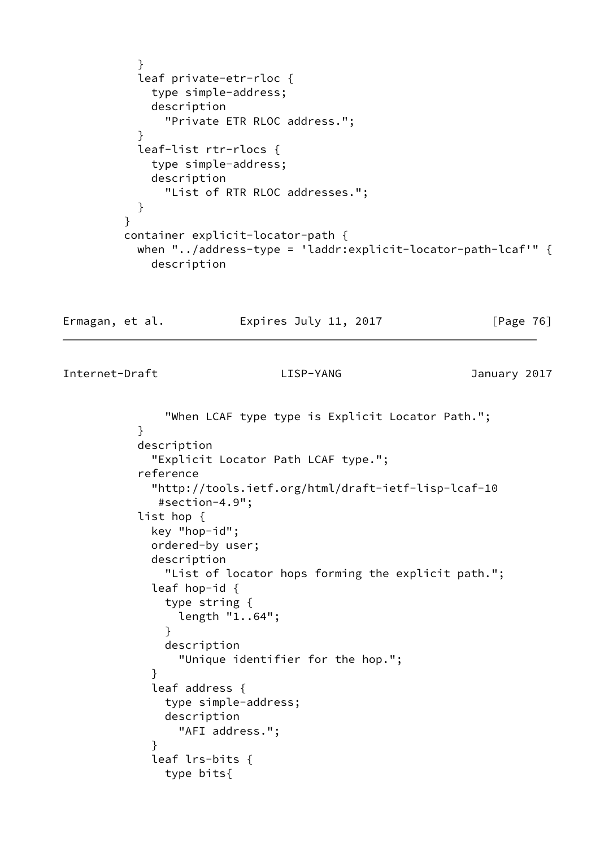```
 }
           leaf private-etr-rloc {
             type simple-address;
             description
               "Private ETR RLOC address.";
 }
           leaf-list rtr-rlocs {
             type simple-address;
             description
               "List of RTR RLOC addresses.";
 }
         }
         container explicit-locator-path {
           when "../address-type = 'laddr:explicit-locator-path-lcaf'" {
             description
```
Ermagan, et al. Expires July 11, 2017 [Page 76]

```
 "When LCAF type type is Explicit Locator Path.";
 }
           description
             "Explicit Locator Path LCAF type.";
           reference
             "http://tools.ietf.org/html/draft-ietf-lisp-lcaf-10
              #section-4.9";
           list hop {
             key "hop-id";
             ordered-by user;
             description
               "List of locator hops forming the explicit path.";
             leaf hop-id {
               type string {
                 length "1..64";
 }
               description
                 "Unique identifier for the hop.";
 }
             leaf address {
               type simple-address;
               description
                 "AFI address.";
 }
             leaf lrs-bits {
               type bits{
```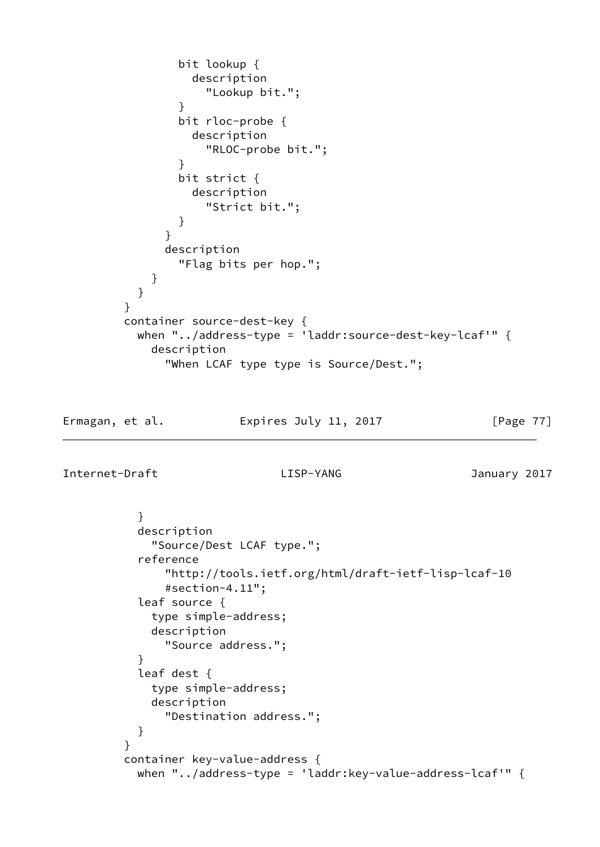```
 bit lookup {
                 description
                   "Lookup bit.";
 }
               bit rloc-probe {
                 description
                  "RLOC-probe bit.";
 }
               bit strict {
                 description
                   "Strict bit.";
 }
 }
             description
               "Flag bits per hop.";
 }
 }
        }
        container source-dest-key {
          when "../address-type = 'laddr:source-dest-key-lcaf'" {
            description
             "When LCAF type type is Source/Dest.";
```
# Ermagan, et al. Expires July 11, 2017 [Page 77]

```
 }
           description
             "Source/Dest LCAF type.";
           reference
               "http://tools.ietf.org/html/draft-ietf-lisp-lcaf-10
               #section-4.11";
           leaf source {
             type simple-address;
             description
               "Source address.";
 }
           leaf dest {
             type simple-address;
             description
               "Destination address.";
           }
 }
         container key-value-address {
           when "../address-type = 'laddr:key-value-address-lcaf'" {
```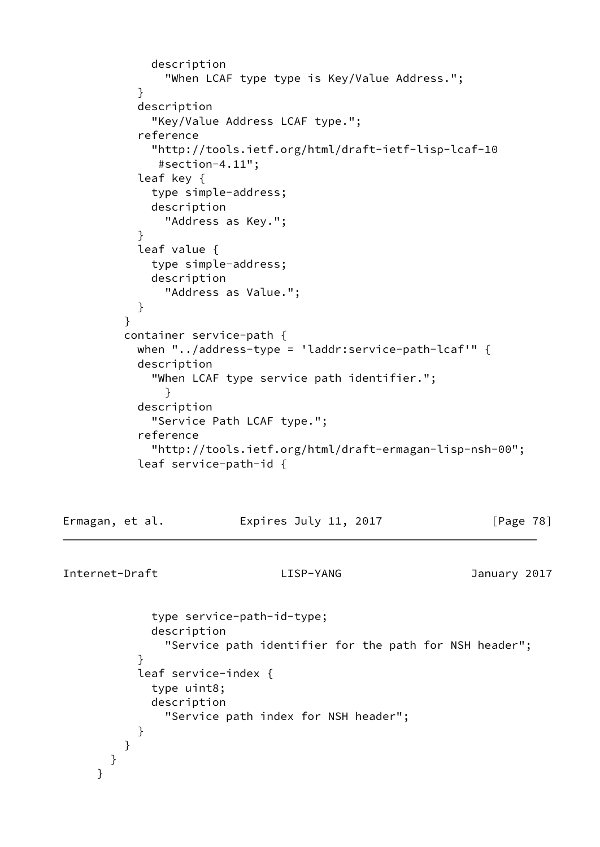```
 description
               "When LCAF type type is Key/Value Address.";
 }
           description
             "Key/Value Address LCAF type.";
           reference
             "http://tools.ietf.org/html/draft-ietf-lisp-lcaf-10
              #section-4.11";
           leaf key {
             type simple-address;
             description
               "Address as Key.";
 }
           leaf value {
             type simple-address;
             description
               "Address as Value.";
 }
 }
         container service-path {
           when "../address-type = 'laddr:service-path-lcaf'" {
           description
             "When LCAF type service path identifier.";
 }
           description
             "Service Path LCAF type.";
           reference
             "http://tools.ietf.org/html/draft-ermagan-lisp-nsh-00";
           leaf service-path-id {
```
Ermagan, et al. **Expires July 11, 2017** [Page 78]

```
Internet-Draft LISP-YANG January 2017
```
 type service-path-id-type; description "Service path identifier for the path for NSH header"; } leaf service-index { type uint8; description "Service path index for NSH header"; } } } }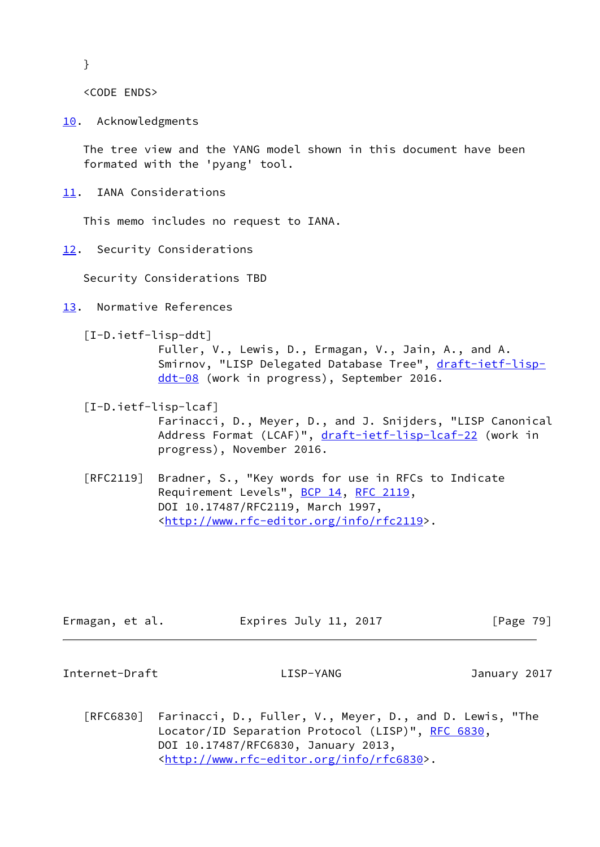}

<CODE ENDS>

<span id="page-89-0"></span>[10.](#page-89-0) Acknowledgments

 The tree view and the YANG model shown in this document have been formated with the 'pyang' tool.

<span id="page-89-1"></span>[11.](#page-89-1) IANA Considerations

This memo includes no request to IANA.

<span id="page-89-2"></span>[12.](#page-89-2) Security Considerations

Security Considerations TBD

- <span id="page-89-3"></span>[13.](#page-89-3) Normative References
	- [I-D.ietf-lisp-ddt]

 Fuller, V., Lewis, D., Ermagan, V., Jain, A., and A. Smirnov, "LISP Delegated Database Tree", [draft-ietf-lisp](https://datatracker.ietf.org/doc/pdf/draft-ietf-lisp-ddt-08) [ddt-08](https://datatracker.ietf.org/doc/pdf/draft-ietf-lisp-ddt-08) (work in progress), September 2016.

- [I-D.ietf-lisp-lcaf] Farinacci, D., Meyer, D., and J. Snijders, "LISP Canonical Address Format (LCAF)", [draft-ietf-lisp-lcaf-22](https://datatracker.ietf.org/doc/pdf/draft-ietf-lisp-lcaf-22) (work in progress), November 2016.
- [RFC2119] Bradner, S., "Key words for use in RFCs to Indicate Requirement Levels", [BCP 14](https://datatracker.ietf.org/doc/pdf/bcp14), [RFC 2119](https://datatracker.ietf.org/doc/pdf/rfc2119), DOI 10.17487/RFC2119, March 1997, <<http://www.rfc-editor.org/info/rfc2119>>.

| Ermagan, et al. | Expires July 11, 2017 | [Page 79]    |
|-----------------|-----------------------|--------------|
| Internet-Draft  | LISP-YANG             | January 2017 |

 [RFC6830] Farinacci, D., Fuller, V., Meyer, D., and D. Lewis, "The Locator/ID Separation Protocol (LISP)", [RFC 6830,](https://datatracker.ietf.org/doc/pdf/rfc6830) DOI 10.17487/RFC6830, January 2013, <<http://www.rfc-editor.org/info/rfc6830>>.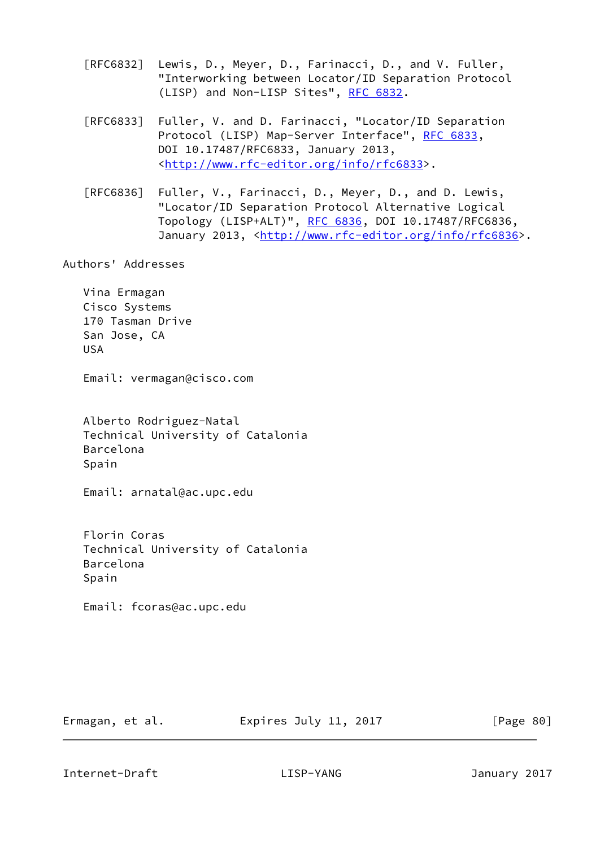- [RFC6832] Lewis, D., Meyer, D., Farinacci, D., and V. Fuller, "Interworking between Locator/ID Separation Protocol (LISP) and Non-LISP Sites", [RFC 6832.](https://datatracker.ietf.org/doc/pdf/rfc6832)
- [RFC6833] Fuller, V. and D. Farinacci, "Locator/ID Separation Protocol (LISP) Map-Server Interface", [RFC 6833](https://datatracker.ietf.org/doc/pdf/rfc6833), DOI 10.17487/RFC6833, January 2013, <<http://www.rfc-editor.org/info/rfc6833>>.
- [RFC6836] Fuller, V., Farinacci, D., Meyer, D., and D. Lewis, "Locator/ID Separation Protocol Alternative Logical Topology (LISP+ALT)", [RFC 6836](https://datatracker.ietf.org/doc/pdf/rfc6836), DOI 10.17487/RFC6836, January 2013, [<http://www.rfc-editor.org/info/rfc6836](http://www.rfc-editor.org/info/rfc6836)>.

Authors' Addresses

 Vina Ermagan Cisco Systems 170 Tasman Drive San Jose, CA USA

Email: vermagan@cisco.com

 Alberto Rodriguez-Natal Technical University of Catalonia Barcelona Spain

Email: arnatal@ac.upc.edu

 Florin Coras Technical University of Catalonia Barcelona Spain

Email: fcoras@ac.upc.edu

Ermagan, et al. Expires July 11, 2017 [Page 80]